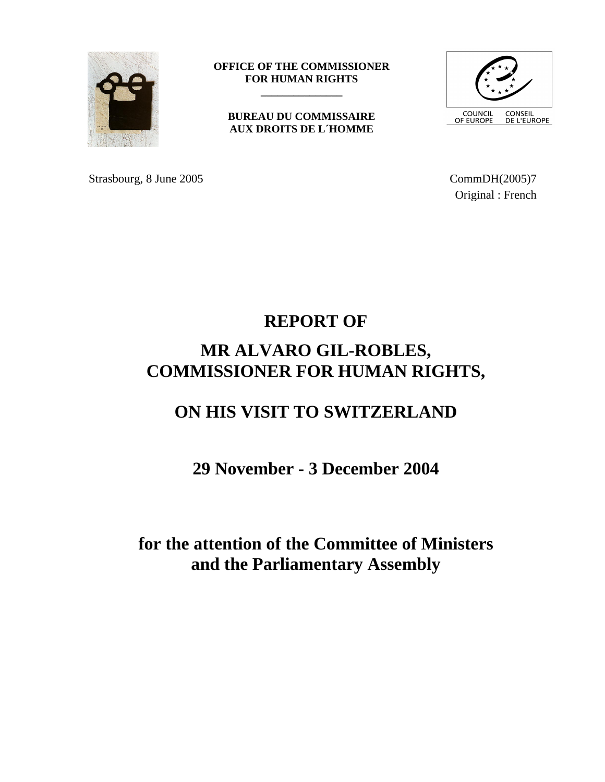

**OFFICE OF THE COMMISSIONER FOR HUMAN RIGHTS \_\_\_\_\_\_\_\_\_\_\_\_\_\_\_**

#### **BUREAU DU COMMISSAIRE AUX DROITS DE L´HOMME**



Strasbourg, 8 June 2005 CommDH(2005)7

Original : French

# **REPORT OF**

# **MR ALVARO GIL-ROBLES, COMMISSIONER FOR HUMAN RIGHTS,**

## **ON HIS VISIT TO SWITZERLAND**

## **29 November - 3 December 2004**

## **for the attention of the Committee of Ministers and the Parliamentary Assembly**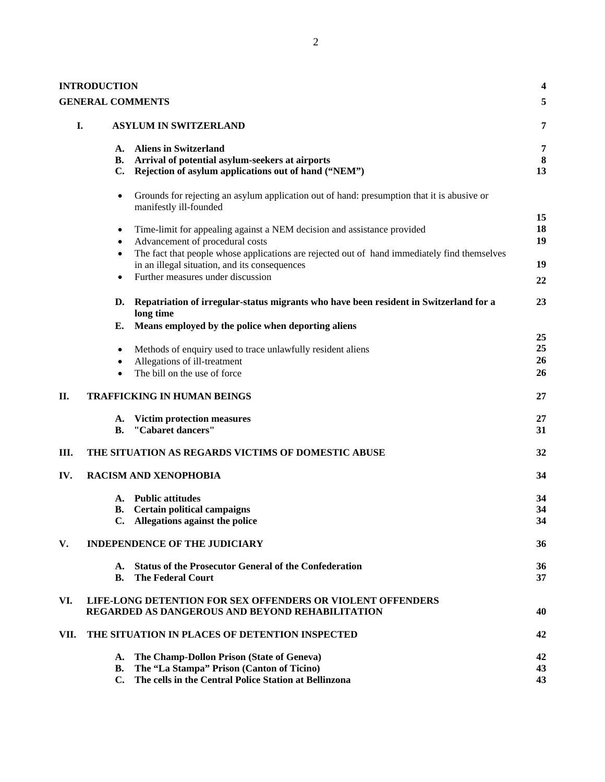| <b>INTRODUCTION</b> |                                    |                                                                                                                                 |          |  |
|---------------------|------------------------------------|---------------------------------------------------------------------------------------------------------------------------------|----------|--|
|                     | <b>GENERAL COMMENTS</b>            |                                                                                                                                 | 5        |  |
|                     | I.<br><b>ASYLUM IN SWITZERLAND</b> |                                                                                                                                 | 7        |  |
|                     | A.                                 | <b>Aliens in Switzerland</b>                                                                                                    | 7        |  |
|                     | В.                                 | Arrival of potential asylum-seekers at airports<br>C. Rejection of asylum applications out of hand ("NEM")                      | 8<br>13  |  |
|                     | $\bullet$                          | Grounds for rejecting an asylum application out of hand: presumption that it is abusive or<br>manifestly ill-founded            |          |  |
|                     |                                    |                                                                                                                                 | 15       |  |
|                     | $\bullet$                          | Time-limit for appealing against a NEM decision and assistance provided                                                         | 18<br>19 |  |
|                     | $\bullet$<br>$\bullet$             | Advancement of procedural costs<br>The fact that people whose applications are rejected out of hand immediately find themselves |          |  |
|                     |                                    | in an illegal situation, and its consequences                                                                                   | 19       |  |
|                     | $\bullet$                          | Further measures under discussion                                                                                               | 22       |  |
|                     | D.                                 | Repatriation of irregular-status migrants who have been resident in Switzerland for a<br>long time                              | 23       |  |
|                     | Е.                                 | Means employed by the police when deporting aliens                                                                              |          |  |
|                     |                                    | Methods of enquiry used to trace unlawfully resident aliens                                                                     | 25<br>25 |  |
|                     | $\bullet$<br>$\bullet$             | Allegations of ill-treatment                                                                                                    | 26       |  |
|                     | $\bullet$                          | The bill on the use of force                                                                                                    | 26       |  |
| II.                 | <b>TRAFFICKING IN HUMAN BEINGS</b> |                                                                                                                                 |          |  |
|                     | A.                                 | <b>Victim protection measures</b>                                                                                               | 27       |  |
|                     | <b>B.</b>                          | "Cabaret dancers"                                                                                                               | 31       |  |
| Ш.                  |                                    | THE SITUATION AS REGARDS VICTIMS OF DOMESTIC ABUSE                                                                              | 32       |  |
| IV.                 | RACISM AND XENOPHOBIA              |                                                                                                                                 |          |  |
|                     |                                    | A. Public attitudes                                                                                                             | 34       |  |
|                     |                                    | <b>B.</b> Certain political campaigns                                                                                           | 34       |  |
|                     | C.                                 | Allegations against the police                                                                                                  | 34       |  |

## **V. INDEPENDENCE OF THE JUDICIARY 36**

|      | <b>Status of the Prosecutor General of the Confederation</b><br><b>B.</b> The Federal Court | 36<br>37 |
|------|---------------------------------------------------------------------------------------------|----------|
| VI.  | <b>LIFE-LONG DETENTION FOR SEX OFFENDERS OR VIOLENT OFFENDERS</b>                           |          |
|      | <b>REGARDED AS DANGEROUS AND BEYOND REHABILITATION</b>                                      | 40       |
| VII. | THE SITUATION IN PLACES OF DETENTION INSPECTED                                              | 42       |
|      | The Champ-Dollon Prison (State of Geneva)                                                   | 42       |
|      | B. The "La Stampa" Prison (Canton of Ticino)                                                | 43       |
|      | The cells in the Central Police Station at Bellinzona                                       | 43       |

**4 5**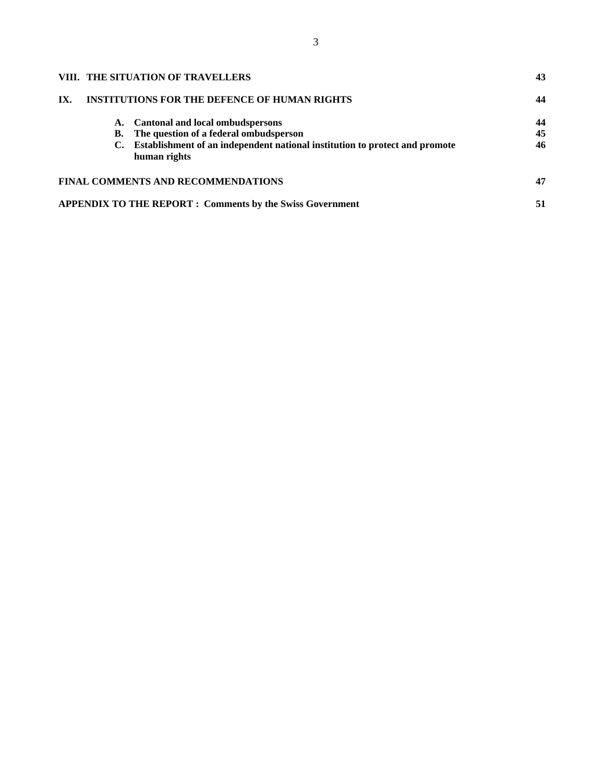|                                                                  |    | VIII. THE SITUATION OF TRAVELLERS                                                           | 43 |
|------------------------------------------------------------------|----|---------------------------------------------------------------------------------------------|----|
| IX.                                                              |    | <b>INSTITUTIONS FOR THE DEFENCE OF HUMAN RIGHTS</b>                                         | 44 |
|                                                                  |    | A. Cantonal and local ombudspersons                                                         | 44 |
|                                                                  | В. | The question of a federal ombudsperson                                                      | 45 |
|                                                                  | C. | Establishment of an independent national institution to protect and promote<br>human rights | 46 |
| <b>FINAL COMMENTS AND RECOMMENDATIONS</b>                        |    |                                                                                             | 47 |
| <b>APPENDIX TO THE REPORT : Comments by the Swiss Government</b> |    |                                                                                             | 51 |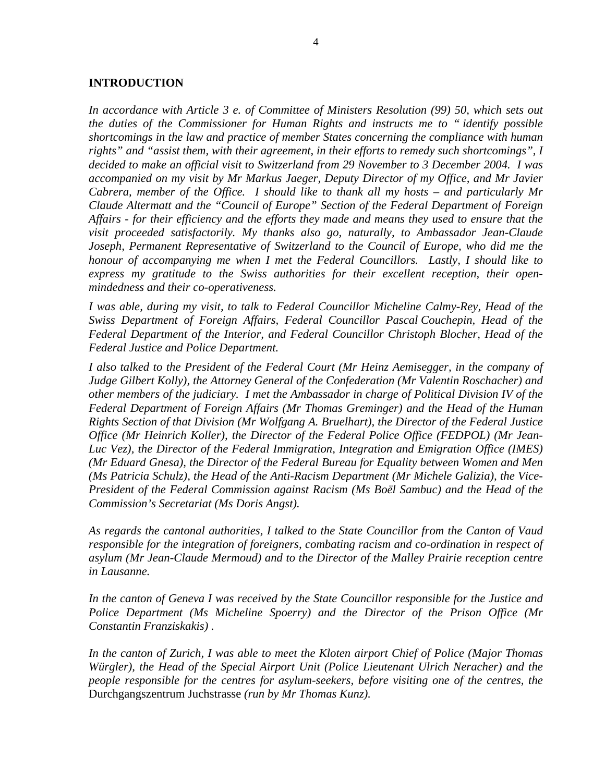#### **INTRODUCTION**

*In accordance with Article 3 e. of Committee of Ministers Resolution (99) 50, which sets out the duties of the Commissioner for Human Rights and instructs me to " identify possible shortcomings in the law and practice of member States concerning the compliance with human rights" and "assist them, with their agreement, in their efforts to remedy such shortcomings", I decided to make an official visit to Switzerland from 29 November to 3 December 2004. I was accompanied on my visit by Mr Markus Jaeger, Deputy Director of my Office, and Mr Javier Cabrera, member of the Office. I should like to thank all my hosts – and particularly Mr Claude Altermatt and the "Council of Europe" Section of the Federal Department of Foreign Affairs - for their efficiency and the efforts they made and means they used to ensure that the visit proceeded satisfactorily. My thanks also go, naturally, to Ambassador Jean-Claude Joseph, Permanent Representative of Switzerland to the Council of Europe, who did me the honour of accompanying me when I met the Federal Councillors. Lastly, I should like to express my gratitude to the Swiss authorities for their excellent reception, their openmindedness and their co-operativeness.*

*I was able, during my visit, to talk to Federal Councillor Micheline Calmy-Rey, Head of the Swiss Department of Foreign Affairs, Federal Councillor Pascal Couchepin, Head of the Federal Department of the Interior, and Federal Councillor Christoph Blocher, Head of the Federal Justice and Police Department.*

*I also talked to the President of the Federal Court (Mr Heinz Aemisegger, in the company of Judge Gilbert Kolly), the Attorney General of the Confederation (Mr Valentin Roschacher) and other members of the judiciary. I met the Ambassador in charge of Political Division IV of the Federal Department of Foreign Affairs (Mr Thomas Greminger) and the Head of the Human Rights Section of that Division (Mr Wolfgang A. Bruelhart), the Director of the Federal Justice Office (Mr Heinrich Koller), the Director of the Federal Police Office (FEDPOL) (Mr Jean-Luc Vez), the Director of the Federal Immigration, Integration and Emigration Office (IMES) (Mr Eduard Gnesa), the Director of the Federal Bureau for Equality between Women and Men (Ms Patricia Schulz), the Head of the Anti-Racism Department (Mr Michele Galizia), the Vice-President of the Federal Commission against Racism (Ms Boël Sambuc) and the Head of the Commission's Secretariat (Ms Doris Angst).*

*As regards the cantonal authorities, I talked to the State Councillor from the Canton of Vaud responsible for the integration of foreigners, combating racism and co-ordination in respect of asylum (Mr Jean-Claude Mermoud) and to the Director of the Malley Prairie reception centre in Lausanne.*

*In the canton of Geneva I was received by the State Councillor responsible for the Justice and Police Department (Ms Micheline Spoerry) and the Director of the Prison Office (Mr Constantin Franziskakis) .*

*In the canton of Zurich, I was able to meet the Kloten airport Chief of Police (Major Thomas Würgler), the Head of the Special Airport Unit (Police Lieutenant Ulrich Neracher) and the people responsible for the centres for asylum-seekers, before visiting one of the centres, the* Durchgangszentrum Juchstrasse *(run by Mr Thomas Kunz).*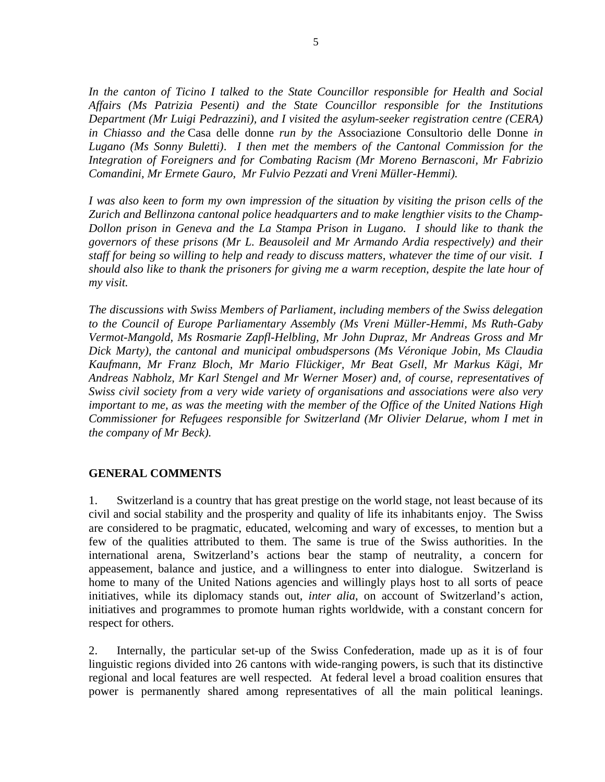*In the canton of Ticino I talked to the State Councillor responsible for Health and Social Affairs (Ms Patrizia Pesenti) and the State Councillor responsible for the Institutions Department (Mr Luigi Pedrazzini), and I visited the asylum-seeker registration centre (CERA) in Chiasso and the* Casa delle donne *run by the* Associazione Consultorio delle Donne *in Lugano (Ms Sonny Buletti)*. *I then met the members of the Cantonal Commission for the Integration of Foreigners and for Combating Racism (Mr Moreno Bernasconi, Mr Fabrizio Comandini, Mr Ermete Gauro, Mr Fulvio Pezzati and Vreni Müller-Hemmi).*

*I was also keen to form my own impression of the situation by visiting the prison cells of the Zurich and Bellinzona cantonal police headquarters and to make lengthier visits to the Champ-Dollon prison in Geneva and the La Stampa Prison in Lugano. I should like to thank the governors of these prisons (Mr L. Beausoleil and Mr Armando Ardia respectively) and their staff for being so willing to help and ready to discuss matters, whatever the time of our visit. I should also like to thank the prisoners for giving me a warm reception, despite the late hour of my visit.*

*The discussions with Swiss Members of Parliament, including members of the Swiss delegation to the Council of Europe Parliamentary Assembly (Ms Vreni Müller-Hemmi, Ms Ruth-Gaby Vermot-Mangold, Ms Rosmarie Zapfl-Helbling, Mr John Dupraz, Mr Andreas Gross and Mr Dick Marty), the cantonal and municipal ombudspersons (Ms Véronique Jobin, Ms Claudia Kaufmann, Mr Franz Bloch, Mr Mario Flückiger, Mr Beat Gsell, Mr Markus Kägi, Mr Andreas Nabholz, Mr Karl Stengel and Mr Werner Moser) and, of course, representatives of Swiss civil society from a very wide variety of organisations and associations were also very important to me, as was the meeting with the member of the Office of the United Nations High Commissioner for Refugees responsible for Switzerland (Mr Olivier Delarue, whom I met in the company of Mr Beck).*

#### **GENERAL COMMENTS**

1. Switzerland is a country that has great prestige on the world stage, not least because of its civil and social stability and the prosperity and quality of life its inhabitants enjoy. The Swiss are considered to be pragmatic, educated, welcoming and wary of excesses, to mention but a few of the qualities attributed to them. The same is true of the Swiss authorities. In the international arena, Switzerland's actions bear the stamp of neutrality, a concern for appeasement, balance and justice, and a willingness to enter into dialogue. Switzerland is home to many of the United Nations agencies and willingly plays host to all sorts of peace initiatives, while its diplomacy stands out, *inter alia*, on account of Switzerland's action, initiatives and programmes to promote human rights worldwide, with a constant concern for respect for others.

2. Internally, the particular set-up of the Swiss Confederation, made up as it is of four linguistic regions divided into 26 cantons with wide-ranging powers, is such that its distinctive regional and local features are well respected. At federal level a broad coalition ensures that power is permanently shared among representatives of all the main political leanings.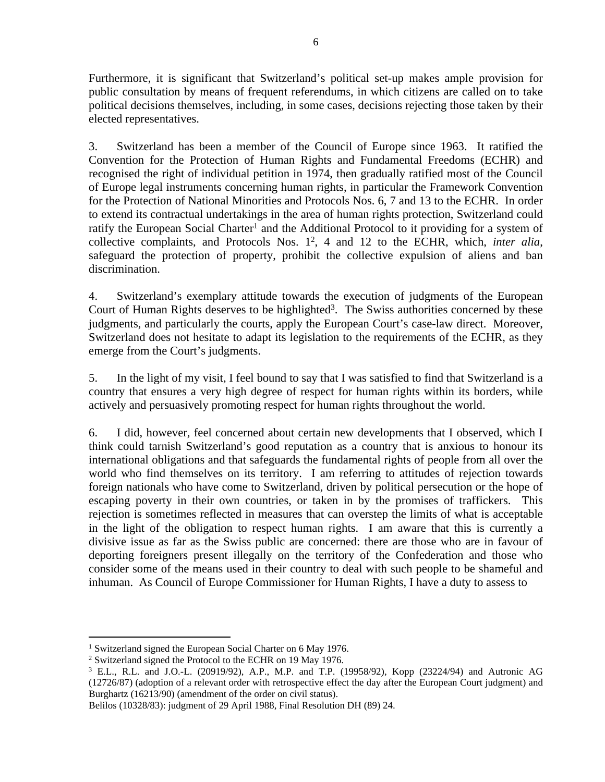Furthermore, it is significant that Switzerland's political set-up makes ample provision for public consultation by means of frequent referendums, in which citizens are called on to take political decisions themselves, including, in some cases, decisions rejecting those taken by their elected representatives.

3. Switzerland has been a member of the Council of Europe since 1963. It ratified the Convention for the Protection of Human Rights and Fundamental Freedoms (ECHR) and recognised the right of individual petition in 1974, then gradually ratified most of the Council of Europe legal instruments concerning human rights, in particular the Framework Convention for the Protection of National Minorities and Protocols Nos. 6, 7 and 13 to the ECHR. In order to extend its contractual undertakings in the area of human rights protection, Switzerland could ratify the European Social Charter<sup>1</sup> and the Additional Protocol to it providing for a system of collective complaints, and Protocols Nos. 1<sup>2</sup> , 4 and 12 to the ECHR, which, *inter alia*, safeguard the protection of property, prohibit the collective expulsion of aliens and ban discrimination.

4. Switzerland's exemplary attitude towards the execution of judgments of the European Court of Human Rights deserves to be highlighted<sup>3</sup>. The Swiss authorities concerned by these judgments, and particularly the courts, apply the European Court's case-law direct. Moreover, Switzerland does not hesitate to adapt its legislation to the requirements of the ECHR, as they emerge from the Court's judgments.

5. In the light of my visit, I feel bound to say that I was satisfied to find that Switzerland is a country that ensures a very high degree of respect for human rights within its borders, while actively and persuasively promoting respect for human rights throughout the world.

6. I did, however, feel concerned about certain new developments that I observed, which I think could tarnish Switzerland's good reputation as a country that is anxious to honour its international obligations and that safeguards the fundamental rights of people from all over the world who find themselves on its territory. I am referring to attitudes of rejection towards foreign nationals who have come to Switzerland, driven by political persecution or the hope of escaping poverty in their own countries, or taken in by the promises of traffickers. This rejection is sometimes reflected in measures that can overstep the limits of what is acceptable in the light of the obligation to respect human rights. I am aware that this is currently a divisive issue as far as the Swiss public are concerned: there are those who are in favour of deporting foreigners present illegally on the territory of the Confederation and those who consider some of the means used in their country to deal with such people to be shameful and inhuman. As Council of Europe Commissioner for Human Rights, I have a duty to assess to

<sup>&</sup>lt;sup>1</sup> Switzerland signed the European Social Charter on 6 May 1976.

<sup>&</sup>lt;sup>2</sup> Switzerland signed the Protocol to the ECHR on 19 May 1976.

<sup>3</sup> E.L., R.L. and J.O.-L. (20919/92), A.P., M.P. and T.P. (19958/92), Kopp (23224/94) and Autronic AG (12726/87) (adoption of a relevant order with retrospective effect the day after the European Court judgment) and Burghartz (16213/90) (amendment of the order on civil status).

Belilos (10328/83): judgment of 29 April 1988, Final Resolution DH (89) 24.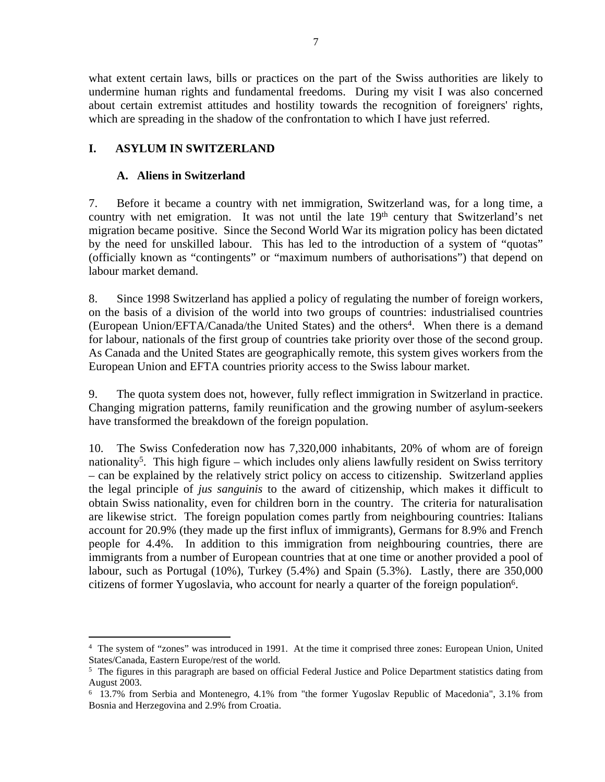what extent certain laws, bills or practices on the part of the Swiss authorities are likely to undermine human rights and fundamental freedoms. During my visit I was also concerned about certain extremist attitudes and hostility towards the recognition of foreigners' rights, which are spreading in the shadow of the confrontation to which I have just referred.

## **I. ASYLUM IN SWITZERLAND**

#### **A. Aliens in Switzerland**

7. Before it became a country with net immigration, Switzerland was, for a long time, a country with net emigration. It was not until the late 19<sup>th</sup> century that Switzerland's net migration became positive. Since the Second World War its migration policy has been dictated by the need for unskilled labour. This has led to the introduction of a system of "quotas" (officially known as "contingents" or "maximum numbers of authorisations") that depend on labour market demand.

8. Since 1998 Switzerland has applied a policy of regulating the number of foreign workers, on the basis of a division of the world into two groups of countries: industrialised countries (European Union/EFTA/Canada/the United States) and the others<sup>4</sup>. When there is a demand for labour, nationals of the first group of countries take priority over those of the second group. As Canada and the United States are geographically remote, this system gives workers from the European Union and EFTA countries priority access to the Swiss labour market.

9. The quota system does not, however, fully reflect immigration in Switzerland in practice. Changing migration patterns, family reunification and the growing number of asylum-seekers have transformed the breakdown of the foreign population.

10. The Swiss Confederation now has 7,320,000 inhabitants, 20% of whom are of foreign nationality<sup>5</sup>. This high figure – which includes only aliens lawfully resident on Swiss territory – can be explained by the relatively strict policy on access to citizenship. Switzerland applies the legal principle of *jus sanguinis* to the award of citizenship, which makes it difficult to obtain Swiss nationality, even for children born in the country. The criteria for naturalisation are likewise strict. The foreign population comes partly from neighbouring countries: Italians account for 20.9% (they made up the first influx of immigrants), Germans for 8.9% and French people for 4.4%. In addition to this immigration from neighbouring countries, there are immigrants from a number of European countries that at one time or another provided a pool of labour, such as Portugal (10%), Turkey (5.4%) and Spain (5.3%). Lastly, there are 350,000 citizens of former Yugoslavia, who account for nearly a quarter of the foreign population<sup>6</sup>.

<sup>4</sup> The system of "zones" was introduced in 1991. At the time it comprised three zones: European Union, United States/Canada, Eastern Europe/rest of the world.

<sup>&</sup>lt;sup>5</sup> The figures in this paragraph are based on official Federal Justice and Police Department statistics dating from August 2003.

<sup>6</sup> 13.7% from Serbia and Montenegro, 4.1% from "the former Yugoslav Republic of Macedonia", 3.1% from Bosnia and Herzegovina and 2.9% from Croatia.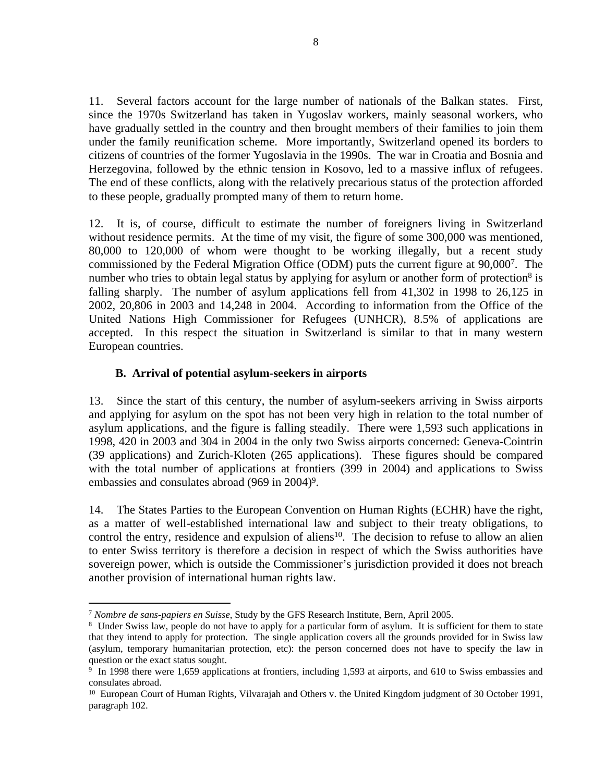11. Several factors account for the large number of nationals of the Balkan states. First, since the 1970s Switzerland has taken in Yugoslav workers, mainly seasonal workers, who have gradually settled in the country and then brought members of their families to join them under the family reunification scheme. More importantly, Switzerland opened its borders to citizens of countries of the former Yugoslavia in the 1990s. The war in Croatia and Bosnia and Herzegovina, followed by the ethnic tension in Kosovo, led to a massive influx of refugees. The end of these conflicts, along with the relatively precarious status of the protection afforded to these people, gradually prompted many of them to return home.

12. It is, of course, difficult to estimate the number of foreigners living in Switzerland without residence permits. At the time of my visit, the figure of some 300,000 was mentioned, 80,000 to 120,000 of whom were thought to be working illegally, but a recent study commissioned by the Federal Migration Office (ODM) puts the current figure at 90,000<sup>7</sup> . The number who tries to obtain legal status by applying for asylum or another form of protection<sup>8</sup> is falling sharply. The number of asylum applications fell from 41,302 in 1998 to 26,125 in 2002, 20,806 in 2003 and 14,248 in 2004. According to information from the Office of the United Nations High Commissioner for Refugees (UNHCR), 8.5% of applications are accepted. In this respect the situation in Switzerland is similar to that in many western European countries.

#### **B. Arrival of potential asylum-seekers in airports**

13. Since the start of this century, the number of asylum-seekers arriving in Swiss airports and applying for asylum on the spot has not been very high in relation to the total number of asylum applications, and the figure is falling steadily. There were 1,593 such applications in 1998, 420 in 2003 and 304 in 2004 in the only two Swiss airports concerned: Geneva-Cointrin (39 applications) and Zurich-Kloten (265 applications). These figures should be compared with the total number of applications at frontiers (399 in 2004) and applications to Swiss embassies and consulates abroad (969 in 2004)<sup>9</sup>.

14. The States Parties to the European Convention on Human Rights (ECHR) have the right, as a matter of well-established international law and subject to their treaty obligations, to control the entry, residence and expulsion of aliens<sup>10</sup>. The decision to refuse to allow an alien to enter Swiss territory is therefore a decision in respect of which the Swiss authorities have sovereign power, which is outside the Commissioner's jurisdiction provided it does not breach another provision of international human rights law.

<sup>7</sup> *Nombre de sans-papiers en Suisse*, Study by the GFS Research Institute, Bern, April 2005.

<sup>&</sup>lt;sup>8</sup> Under Swiss law, people do not have to apply for a particular form of asylum. It is sufficient for them to state that they intend to apply for protection. The single application covers all the grounds provided for in Swiss law (asylum, temporary humanitarian protection, etc): the person concerned does not have to specify the law in question or the exact status sought.

<sup>9</sup> In 1998 there were 1,659 applications at frontiers, including 1,593 at airports, and 610 to Swiss embassies and consulates abroad.

<sup>&</sup>lt;sup>10</sup> European Court of Human Rights, Vilvarajah and Others v. the United Kingdom judgment of 30 October 1991, paragraph 102.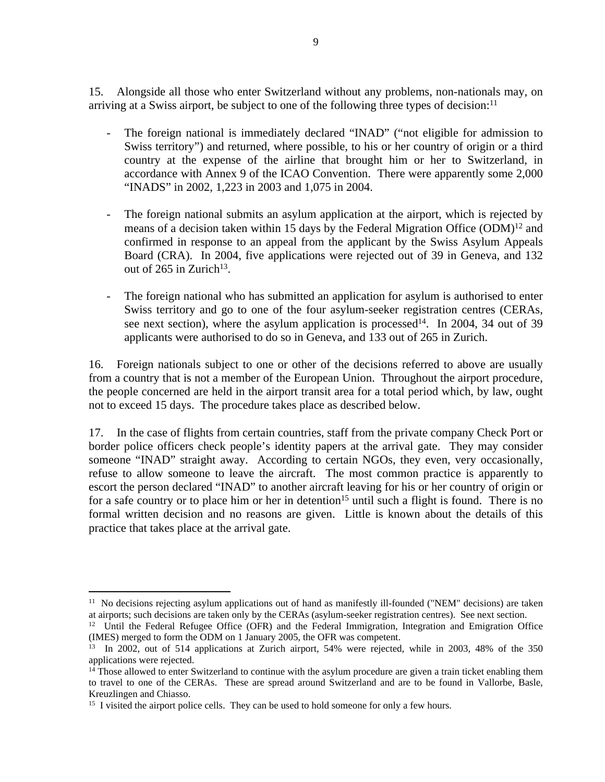15. Alongside all those who enter Switzerland without any problems, non-nationals may, on arriving at a Swiss airport, be subject to one of the following three types of decision:<sup>11</sup>

- The foreign national is immediately declared "INAD" ("not eligible for admission to Swiss territory") and returned, where possible, to his or her country of origin or a third country at the expense of the airline that brought him or her to Switzerland, in accordance with Annex 9 of the ICAO Convention. There were apparently some 2,000 "INADS" in 2002, 1,223 in 2003 and 1,075 in 2004.
- The foreign national submits an asylum application at the airport, which is rejected by means of a decision taken within 15 days by the Federal Migration Office  $(ODM)^{12}$  and confirmed in response to an appeal from the applicant by the Swiss Asylum Appeals Board (CRA). In 2004, five applications were rejected out of 39 in Geneva, and 132 out of  $265$  in Zurich<sup>13</sup>.
- The foreign national who has submitted an application for asylum is authorised to enter Swiss territory and go to one of the four asylum-seeker registration centres (CERAs, see next section), where the asylum application is processed<sup>14</sup>. In 2004, 34 out of 39 applicants were authorised to do so in Geneva, and 133 out of 265 in Zurich.

16. Foreign nationals subject to one or other of the decisions referred to above are usually from a country that is not a member of the European Union. Throughout the airport procedure, the people concerned are held in the airport transit area for a total period which, by law, ought not to exceed 15 days. The procedure takes place as described below.

17. In the case of flights from certain countries, staff from the private company Check Port or border police officers check people's identity papers at the arrival gate. They may consider someone "INAD" straight away. According to certain NGOs, they even, very occasionally, refuse to allow someone to leave the aircraft. The most common practice is apparently to escort the person declared "INAD" to another aircraft leaving for his or her country of origin or for a safe country or to place him or her in detention<sup>15</sup> until such a flight is found. There is no formal written decision and no reasons are given. Little is known about the details of this practice that takes place at the arrival gate.

<sup>&</sup>lt;sup>11</sup> No decisions rejecting asylum applications out of hand as manifestly ill-founded ("NEM" decisions) are taken at airports; such decisions are taken only by the CERAs (asylum-seeker registration centres). See next section.

<sup>&</sup>lt;sup>12</sup> Until the Federal Refugee Office (OFR) and the Federal Immigration, Integration and Emigration Office (IMES) merged to form the ODM on 1 January 2005, the OFR was competent.

<sup>&</sup>lt;sup>13</sup> In 2002, out of 514 applications at Zurich airport, 54% were rejected, while in 2003, 48% of the 350 applications were rejected.

<sup>&</sup>lt;sup>14</sup> Those allowed to enter Switzerland to continue with the asylum procedure are given a train ticket enabling them to travel to one of the CERAs. These are spread around Switzerland and are to be found in Vallorbe, Basle, Kreuzlingen and Chiasso.

<sup>&</sup>lt;sup>15</sup> I visited the airport police cells. They can be used to hold someone for only a few hours.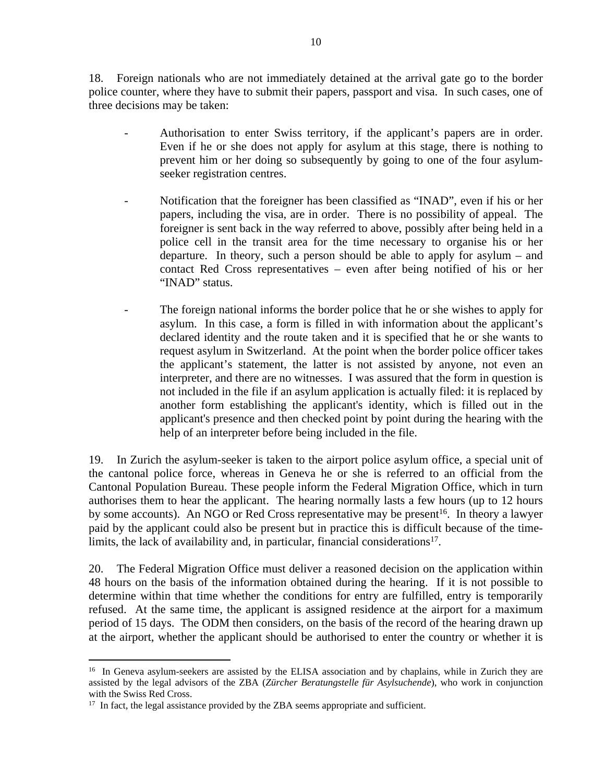18. Foreign nationals who are not immediately detained at the arrival gate go to the border police counter, where they have to submit their papers, passport and visa. In such cases, one of three decisions may be taken:

- Authorisation to enter Swiss territory, if the applicant's papers are in order. Even if he or she does not apply for asylum at this stage, there is nothing to prevent him or her doing so subsequently by going to one of the four asylumseeker registration centres.
- Notification that the foreigner has been classified as "INAD", even if his or her papers, including the visa, are in order. There is no possibility of appeal. The foreigner is sent back in the way referred to above, possibly after being held in a police cell in the transit area for the time necessary to organise his or her departure. In theory, such a person should be able to apply for asylum – and contact Red Cross representatives – even after being notified of his or her "INAD" status.
- The foreign national informs the border police that he or she wishes to apply for asylum. In this case, a form is filled in with information about the applicant's declared identity and the route taken and it is specified that he or she wants to request asylum in Switzerland. At the point when the border police officer takes the applicant's statement, the latter is not assisted by anyone, not even an interpreter, and there are no witnesses. I was assured that the form in question is not included in the file if an asylum application is actually filed: it is replaced by another form establishing the applicant's identity, which is filled out in the applicant's presence and then checked point by point during the hearing with the help of an interpreter before being included in the file.

19. In Zurich the asylum-seeker is taken to the airport police asylum office, a special unit of the cantonal police force, whereas in Geneva he or she is referred to an official from the Cantonal Population Bureau. These people inform the Federal Migration Office, which in turn authorises them to hear the applicant. The hearing normally lasts a few hours (up to 12 hours by some accounts). An NGO or Red Cross representative may be present<sup>16</sup>. In theory a lawyer paid by the applicant could also be present but in practice this is difficult because of the timelimits, the lack of availability and, in particular, financial considerations<sup>17</sup>.

20. The Federal Migration Office must deliver a reasoned decision on the application within 48 hours on the basis of the information obtained during the hearing. If it is not possible to determine within that time whether the conditions for entry are fulfilled, entry is temporarily refused. At the same time, the applicant is assigned residence at the airport for a maximum period of 15 days. The ODM then considers, on the basis of the record of the hearing drawn up at the airport, whether the applicant should be authorised to enter the country or whether it is

<sup>&</sup>lt;sup>16</sup> In Geneva asylum-seekers are assisted by the ELISA association and by chaplains, while in Zurich they are assisted by the legal advisors of the ZBA (*Zürcher Beratungstelle für Asylsuchende*), who work in conjunction with the Swiss Red Cross.

<sup>&</sup>lt;sup>17</sup> In fact, the legal assistance provided by the ZBA seems appropriate and sufficient.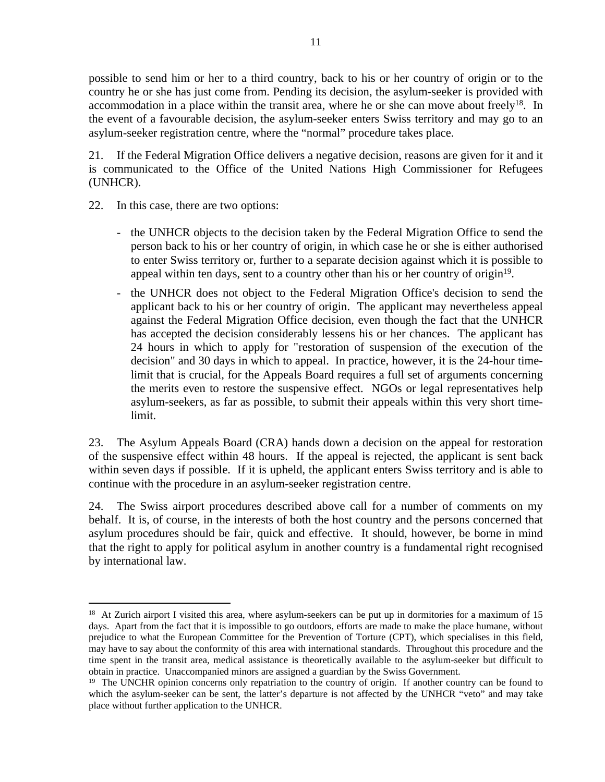possible to send him or her to a third country, back to his or her country of origin or to the country he or she has just come from. Pending its decision, the asylum-seeker is provided with accommodation in a place within the transit area, where he or she can move about freely<sup>18</sup>. In the event of a favourable decision, the asylum-seeker enters Swiss territory and may go to an asylum-seeker registration centre, where the "normal" procedure takes place.

21. If the Federal Migration Office delivers a negative decision, reasons are given for it and it is communicated to the Office of the United Nations High Commissioner for Refugees (UNHCR).

- 22. In this case, there are two options:
	- the UNHCR objects to the decision taken by the Federal Migration Office to send the person back to his or her country of origin, in which case he or she is either authorised to enter Swiss territory or, further to a separate decision against which it is possible to appeal within ten days, sent to a country other than his or her country of origin<sup>19</sup>.
	- the UNHCR does not object to the Federal Migration Office's decision to send the applicant back to his or her country of origin. The applicant may nevertheless appeal against the Federal Migration Office decision, even though the fact that the UNHCR has accepted the decision considerably lessens his or her chances. The applicant has 24 hours in which to apply for "restoration of suspension of the execution of the decision" and 30 days in which to appeal. In practice, however, it is the 24-hour timelimit that is crucial, for the Appeals Board requires a full set of arguments concerning the merits even to restore the suspensive effect. NGOs or legal representatives help asylum-seekers, as far as possible, to submit their appeals within this very short timelimit.

23. The Asylum Appeals Board (CRA) hands down a decision on the appeal for restoration of the suspensive effect within 48 hours. If the appeal is rejected, the applicant is sent back within seven days if possible. If it is upheld, the applicant enters Swiss territory and is able to continue with the procedure in an asylum-seeker registration centre.

24. The Swiss airport procedures described above call for a number of comments on my behalf. It is, of course, in the interests of both the host country and the persons concerned that asylum procedures should be fair, quick and effective. It should, however, be borne in mind that the right to apply for political asylum in another country is a fundamental right recognised by international law.

<sup>&</sup>lt;sup>18</sup> At Zurich airport I visited this area, where asylum-seekers can be put up in dormitories for a maximum of 15 days. Apart from the fact that it is impossible to go outdoors, efforts are made to make the place humane, without prejudice to what the European Committee for the Prevention of Torture (CPT), which specialises in this field, may have to say about the conformity of this area with international standards. Throughout this procedure and the time spent in the transit area, medical assistance is theoretically available to the asylum-seeker but difficult to obtain in practice. Unaccompanied minors are assigned a guardian by the Swiss Government.

<sup>&</sup>lt;sup>19</sup> The UNCHR opinion concerns only repatriation to the country of origin. If another country can be found to which the asylum-seeker can be sent, the latter's departure is not affected by the UNHCR "veto" and may take place without further application to the UNHCR.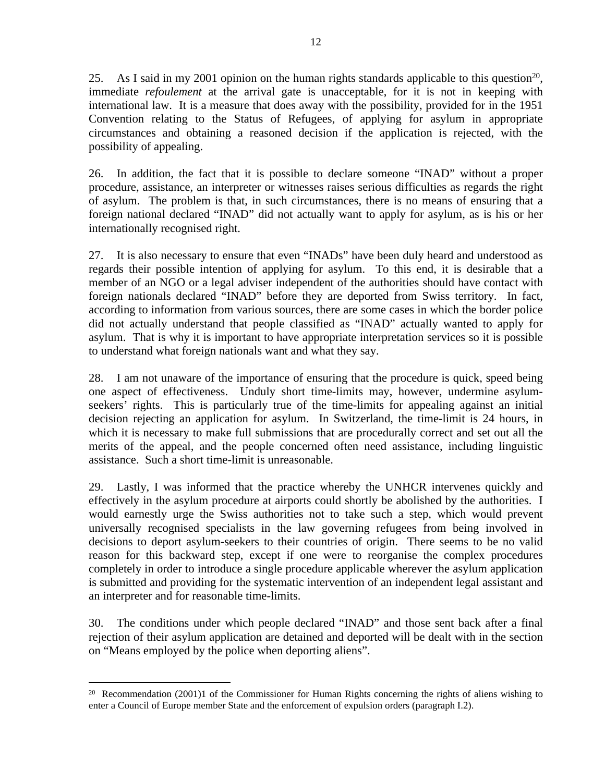25. As I said in my 2001 opinion on the human rights standards applicable to this question<sup>20</sup>, immediate *refoulement* at the arrival gate is unacceptable, for it is not in keeping with international law. It is a measure that does away with the possibility, provided for in the 1951 Convention relating to the Status of Refugees, of applying for asylum in appropriate circumstances and obtaining a reasoned decision if the application is rejected, with the possibility of appealing.

26. In addition, the fact that it is possible to declare someone "INAD" without a proper procedure, assistance, an interpreter or witnesses raises serious difficulties as regards the right of asylum. The problem is that, in such circumstances, there is no means of ensuring that a foreign national declared "INAD" did not actually want to apply for asylum, as is his or her internationally recognised right.

27. It is also necessary to ensure that even "INADs" have been duly heard and understood as regards their possible intention of applying for asylum. To this end, it is desirable that a member of an NGO or a legal adviser independent of the authorities should have contact with foreign nationals declared "INAD" before they are deported from Swiss territory. In fact, according to information from various sources, there are some cases in which the border police did not actually understand that people classified as "INAD" actually wanted to apply for asylum. That is why it is important to have appropriate interpretation services so it is possible to understand what foreign nationals want and what they say.

28. I am not unaware of the importance of ensuring that the procedure is quick, speed being one aspect of effectiveness. Unduly short time-limits may, however, undermine asylumseekers' rights. This is particularly true of the time-limits for appealing against an initial decision rejecting an application for asylum. In Switzerland, the time-limit is 24 hours, in which it is necessary to make full submissions that are procedurally correct and set out all the merits of the appeal, and the people concerned often need assistance, including linguistic assistance. Such a short time-limit is unreasonable.

29. Lastly, I was informed that the practice whereby the UNHCR intervenes quickly and effectively in the asylum procedure at airports could shortly be abolished by the authorities. I would earnestly urge the Swiss authorities not to take such a step, which would prevent universally recognised specialists in the law governing refugees from being involved in decisions to deport asylum-seekers to their countries of origin. There seems to be no valid reason for this backward step, except if one were to reorganise the complex procedures completely in order to introduce a single procedure applicable wherever the asylum application is submitted and providing for the systematic intervention of an independent legal assistant and an interpreter and for reasonable time-limits.

30. The conditions under which people declared "INAD" and those sent back after a final rejection of their asylum application are detained and deported will be dealt with in the section on "Means employed by the police when deporting aliens".

<sup>&</sup>lt;sup>20</sup> Recommendation (2001)1 of the Commissioner for Human Rights concerning the rights of aliens wishing to enter a Council of Europe member State and the enforcement of expulsion orders (paragraph I.2).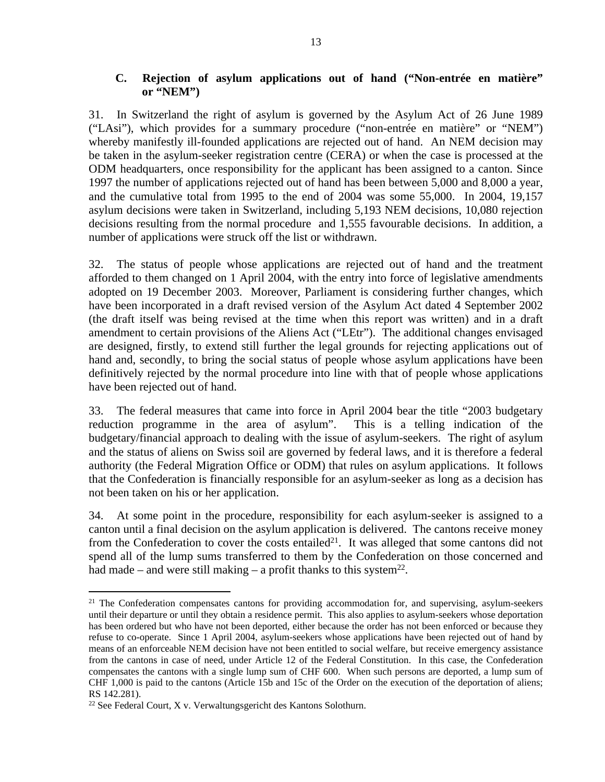#### **C. Rejection of asylum applications out of hand ("Non-entrée en matière" or "NEM")**

31. In Switzerland the right of asylum is governed by the Asylum Act of 26 June 1989 ("LAsi"), which provides for a summary procedure ("non-entrée en matière" or "NEM") whereby manifestly ill-founded applications are rejected out of hand. An NEM decision may be taken in the asylum-seeker registration centre (CERA) or when the case is processed at the ODM headquarters, once responsibility for the applicant has been assigned to a canton. Since 1997 the number of applications rejected out of hand has been between 5,000 and 8,000 a year, and the cumulative total from 1995 to the end of 2004 was some 55,000. In 2004, 19,157 asylum decisions were taken in Switzerland, including 5,193 NEM decisions, 10,080 rejection decisions resulting from the normal procedure and 1,555 favourable decisions. In addition, a number of applications were struck off the list or withdrawn.

32. The status of people whose applications are rejected out of hand and the treatment afforded to them changed on 1 April 2004, with the entry into force of legislative amendments adopted on 19 December 2003. Moreover, Parliament is considering further changes, which have been incorporated in a draft revised version of the Asylum Act dated 4 September 2002 (the draft itself was being revised at the time when this report was written) and in a draft amendment to certain provisions of the Aliens Act ("LEtr"). The additional changes envisaged are designed, firstly, to extend still further the legal grounds for rejecting applications out of hand and, secondly, to bring the social status of people whose asylum applications have been definitively rejected by the normal procedure into line with that of people whose applications have been rejected out of hand.

33. The federal measures that came into force in April 2004 bear the title "2003 budgetary reduction programme in the area of asylum". This is a telling indication of the budgetary/financial approach to dealing with the issue of asylum-seekers. The right of asylum and the status of aliens on Swiss soil are governed by federal laws, and it is therefore a federal authority (the Federal Migration Office or ODM) that rules on asylum applications. It follows that the Confederation is financially responsible for an asylum-seeker as long as a decision has not been taken on his or her application.

34. At some point in the procedure, responsibility for each asylum-seeker is assigned to a canton until a final decision on the asylum application is delivered. The cantons receive money from the Confederation to cover the costs entailed<sup>21</sup>. It was alleged that some cantons did not spend all of the lump sums transferred to them by the Confederation on those concerned and had made – and were still making – a profit thanks to this system<sup>22</sup>.

<sup>&</sup>lt;sup>21</sup> The Confederation compensates cantons for providing accommodation for, and supervising, asylum-seekers until their departure or until they obtain a residence permit. This also applies to asylum-seekers whose deportation has been ordered but who have not been deported, either because the order has not been enforced or because they refuse to co-operate. Since 1 April 2004, asylum-seekers whose applications have been rejected out of hand by means of an enforceable NEM decision have not been entitled to social welfare, but receive emergency assistance from the cantons in case of need, under Article 12 of the Federal Constitution. In this case, the Confederation compensates the cantons with a single lump sum of CHF 600. When such persons are deported, a lump sum of CHF 1,000 is paid to the cantons (Article 15b and 15c of the Order on the execution of the deportation of aliens; RS 142.281).

 $22$  See Federal Court, X v. Verwaltungsgericht des Kantons Solothurn.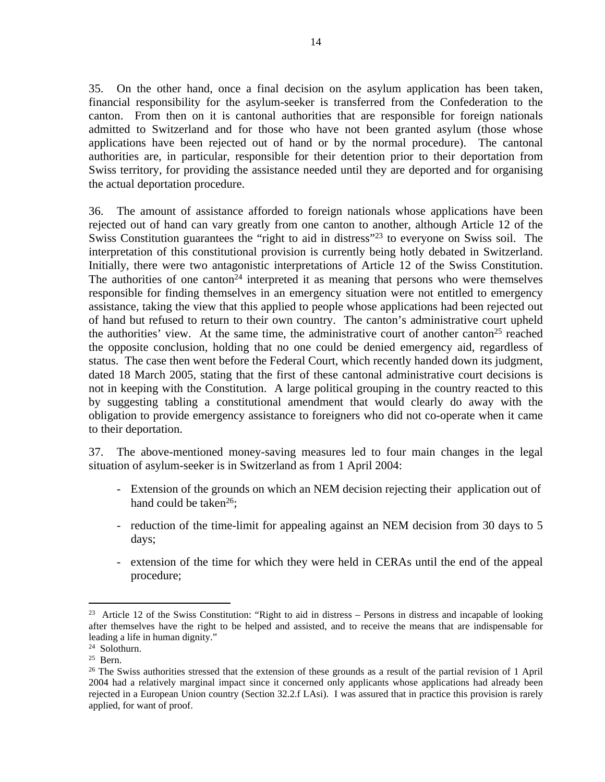35. On the other hand, once a final decision on the asylum application has been taken, financial responsibility for the asylum-seeker is transferred from the Confederation to the canton. From then on it is cantonal authorities that are responsible for foreign nationals admitted to Switzerland and for those who have not been granted asylum (those whose applications have been rejected out of hand or by the normal procedure). The cantonal authorities are, in particular, responsible for their detention prior to their deportation from Swiss territory, for providing the assistance needed until they are deported and for organising the actual deportation procedure.

36. The amount of assistance afforded to foreign nationals whose applications have been rejected out of hand can vary greatly from one canton to another, although Article 12 of the Swiss Constitution guarantees the "right to aid in distress"<sup>23</sup> to everyone on Swiss soil. The interpretation of this constitutional provision is currently being hotly debated in Switzerland. Initially, there were two antagonistic interpretations of Article 12 of the Swiss Constitution. The authorities of one canton<sup>24</sup> interpreted it as meaning that persons who were themselves responsible for finding themselves in an emergency situation were not entitled to emergency assistance, taking the view that this applied to people whose applications had been rejected out of hand but refused to return to their own country. The canton's administrative court upheld the authorities' view. At the same time, the administrative court of another canton<sup>25</sup> reached the opposite conclusion, holding that no one could be denied emergency aid, regardless of status. The case then went before the Federal Court, which recently handed down its judgment, dated 18 March 2005, stating that the first of these cantonal administrative court decisions is not in keeping with the Constitution. A large political grouping in the country reacted to this by suggesting tabling a constitutional amendment that would clearly do away with the obligation to provide emergency assistance to foreigners who did not co-operate when it came to their deportation.

37. The above-mentioned money-saving measures led to four main changes in the legal situation of asylum-seeker is in Switzerland as from 1 April 2004:

- Extension of the grounds on which an NEM decision rejecting their application out of hand could be taken<sup>26</sup>:
- reduction of the time-limit for appealing against an NEM decision from 30 days to 5 days;
- extension of the time for which they were held in CERAs until the end of the appeal procedure;

<sup>&</sup>lt;sup>23</sup> Article 12 of the Swiss Constitution: "Right to aid in distress – Persons in distress and incapable of looking after themselves have the right to be helped and assisted, and to receive the means that are indispensable for leading a life in human dignity."

<sup>24</sup> Solothurn.

 $25$  Bern.

 $26$  The Swiss authorities stressed that the extension of these grounds as a result of the partial revision of 1 April 2004 had a relatively marginal impact since it concerned only applicants whose applications had already been rejected in a European Union country (Section 32.2.f LAsi). I was assured that in practice this provision is rarely applied, for want of proof.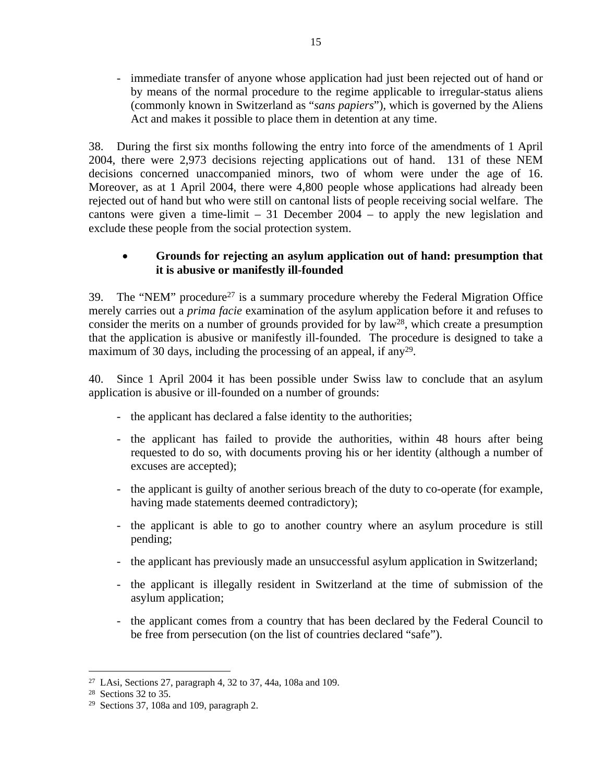- immediate transfer of anyone whose application had just been rejected out of hand or by means of the normal procedure to the regime applicable to irregular-status aliens (commonly known in Switzerland as "*sans papiers*"), which is governed by the Aliens Act and makes it possible to place them in detention at any time.

38. During the first six months following the entry into force of the amendments of 1 April 2004, there were 2,973 decisions rejecting applications out of hand. 131 of these NEM decisions concerned unaccompanied minors, two of whom were under the age of 16. Moreover, as at 1 April 2004, there were 4,800 people whose applications had already been rejected out of hand but who were still on cantonal lists of people receiving social welfare. The cantons were given a time-limit – 31 December 2004 – to apply the new legislation and exclude these people from the social protection system.

## **Grounds for rejecting an asylum application out of hand: presumption that it is abusive or manifestly ill-founded**

39. The "NEM" procedure<sup>27</sup> is a summary procedure whereby the Federal Migration Office merely carries out a *prima facie* examination of the asylum application before it and refuses to consider the merits on a number of grounds provided for by law<sup>28</sup>, which create a presumption that the application is abusive or manifestly ill-founded. The procedure is designed to take a maximum of 30 days, including the processing of an appeal, if any<sup>29</sup>.

40. Since 1 April 2004 it has been possible under Swiss law to conclude that an asylum application is abusive or ill-founded on a number of grounds:

- the applicant has declared a false identity to the authorities;
- the applicant has failed to provide the authorities, within 48 hours after being requested to do so, with documents proving his or her identity (although a number of excuses are accepted);
- the applicant is guilty of another serious breach of the duty to co-operate (for example, having made statements deemed contradictory);
- the applicant is able to go to another country where an asylum procedure is still pending;
- the applicant has previously made an unsuccessful asylum application in Switzerland;
- the applicant is illegally resident in Switzerland at the time of submission of the asylum application;
- the applicant comes from a country that has been declared by the Federal Council to be free from persecution (on the list of countries declared "safe").

<sup>&</sup>lt;sup>27</sup> LAsi, Sections 27, paragraph 4, 32 to 37, 44a, 108a and 109.

 $28$  Sections 32 to 35.

 $29$  Sections 37, 108a and 109, paragraph 2.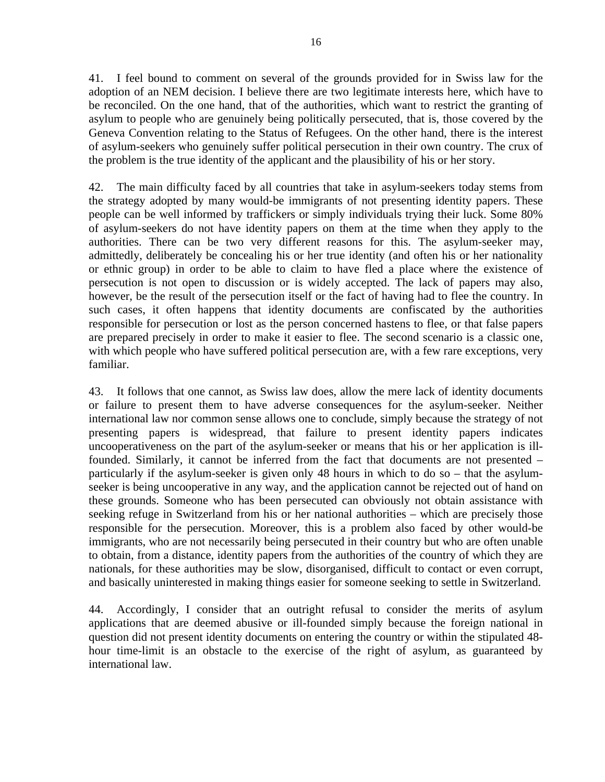41. I feel bound to comment on several of the grounds provided for in Swiss law for the adoption of an NEM decision. I believe there are two legitimate interests here, which have to be reconciled. On the one hand, that of the authorities, which want to restrict the granting of asylum to people who are genuinely being politically persecuted, that is, those covered by the Geneva Convention relating to the Status of Refugees. On the other hand, there is the interest of asylum-seekers who genuinely suffer political persecution in their own country. The crux of the problem is the true identity of the applicant and the plausibility of his or her story.

42. The main difficulty faced by all countries that take in asylum-seekers today stems from the strategy adopted by many would-be immigrants of not presenting identity papers. These people can be well informed by traffickers or simply individuals trying their luck. Some 80% of asylum-seekers do not have identity papers on them at the time when they apply to the authorities. There can be two very different reasons for this. The asylum-seeker may, admittedly, deliberately be concealing his or her true identity (and often his or her nationality or ethnic group) in order to be able to claim to have fled a place where the existence of persecution is not open to discussion or is widely accepted. The lack of papers may also, however, be the result of the persecution itself or the fact of having had to flee the country. In such cases, it often happens that identity documents are confiscated by the authorities responsible for persecution or lost as the person concerned hastens to flee, or that false papers are prepared precisely in order to make it easier to flee. The second scenario is a classic one, with which people who have suffered political persecution are, with a few rare exceptions, very familiar.

43. It follows that one cannot, as Swiss law does, allow the mere lack of identity documents or failure to present them to have adverse consequences for the asylum-seeker. Neither international law nor common sense allows one to conclude, simply because the strategy of not presenting papers is widespread, that failure to present identity papers indicates uncooperativeness on the part of the asylum-seeker or means that his or her application is illfounded. Similarly, it cannot be inferred from the fact that documents are not presented – particularly if the asylum-seeker is given only 48 hours in which to do so – that the asylumseeker is being uncooperative in any way, and the application cannot be rejected out of hand on these grounds. Someone who has been persecuted can obviously not obtain assistance with seeking refuge in Switzerland from his or her national authorities – which are precisely those responsible for the persecution. Moreover, this is a problem also faced by other would-be immigrants, who are not necessarily being persecuted in their country but who are often unable to obtain, from a distance, identity papers from the authorities of the country of which they are nationals, for these authorities may be slow, disorganised, difficult to contact or even corrupt, and basically uninterested in making things easier for someone seeking to settle in Switzerland.

44. Accordingly, I consider that an outright refusal to consider the merits of asylum applications that are deemed abusive or ill-founded simply because the foreign national in question did not present identity documents on entering the country or within the stipulated 48 hour time-limit is an obstacle to the exercise of the right of asylum, as guaranteed by international law.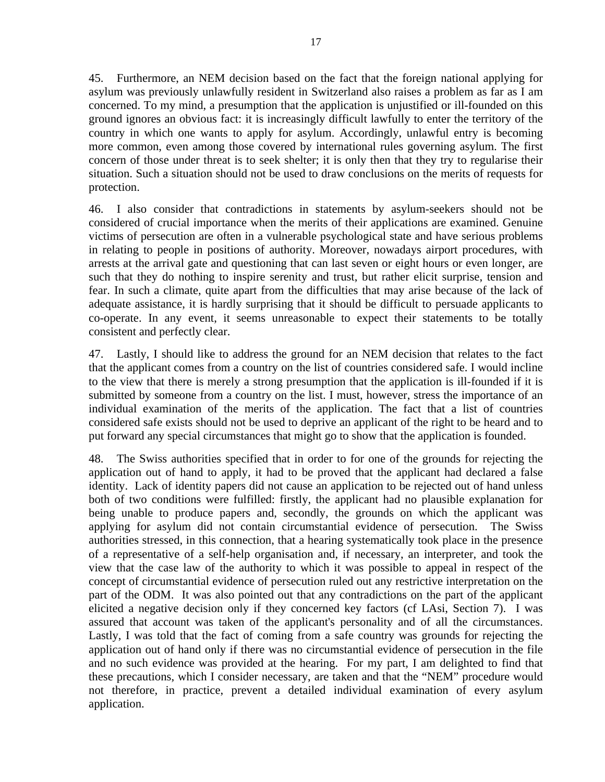45. Furthermore, an NEM decision based on the fact that the foreign national applying for asylum was previously unlawfully resident in Switzerland also raises a problem as far as I am concerned. To my mind, a presumption that the application is unjustified or ill-founded on this ground ignores an obvious fact: it is increasingly difficult lawfully to enter the territory of the country in which one wants to apply for asylum. Accordingly, unlawful entry is becoming more common, even among those covered by international rules governing asylum. The first concern of those under threat is to seek shelter; it is only then that they try to regularise their situation. Such a situation should not be used to draw conclusions on the merits of requests for protection.

46. I also consider that contradictions in statements by asylum-seekers should not be considered of crucial importance when the merits of their applications are examined. Genuine victims of persecution are often in a vulnerable psychological state and have serious problems in relating to people in positions of authority. Moreover, nowadays airport procedures, with arrests at the arrival gate and questioning that can last seven or eight hours or even longer, are such that they do nothing to inspire serenity and trust, but rather elicit surprise, tension and fear. In such a climate, quite apart from the difficulties that may arise because of the lack of adequate assistance, it is hardly surprising that it should be difficult to persuade applicants to co-operate. In any event, it seems unreasonable to expect their statements to be totally consistent and perfectly clear.

47. Lastly, I should like to address the ground for an NEM decision that relates to the fact that the applicant comes from a country on the list of countries considered safe. I would incline to the view that there is merely a strong presumption that the application is ill-founded if it is submitted by someone from a country on the list. I must, however, stress the importance of an individual examination of the merits of the application. The fact that a list of countries considered safe exists should not be used to deprive an applicant of the right to be heard and to put forward any special circumstances that might go to show that the application is founded.

48. The Swiss authorities specified that in order to for one of the grounds for rejecting the application out of hand to apply, it had to be proved that the applicant had declared a false identity. Lack of identity papers did not cause an application to be rejected out of hand unless both of two conditions were fulfilled: firstly, the applicant had no plausible explanation for being unable to produce papers and, secondly, the grounds on which the applicant was applying for asylum did not contain circumstantial evidence of persecution. The Swiss authorities stressed, in this connection, that a hearing systematically took place in the presence of a representative of a self-help organisation and, if necessary, an interpreter, and took the view that the case law of the authority to which it was possible to appeal in respect of the concept of circumstantial evidence of persecution ruled out any restrictive interpretation on the part of the ODM. It was also pointed out that any contradictions on the part of the applicant elicited a negative decision only if they concerned key factors (cf LAsi, Section 7). I was assured that account was taken of the applicant's personality and of all the circumstances. Lastly, I was told that the fact of coming from a safe country was grounds for rejecting the application out of hand only if there was no circumstantial evidence of persecution in the file and no such evidence was provided at the hearing. For my part, I am delighted to find that these precautions, which I consider necessary, are taken and that the "NEM" procedure would not therefore, in practice, prevent a detailed individual examination of every asylum application.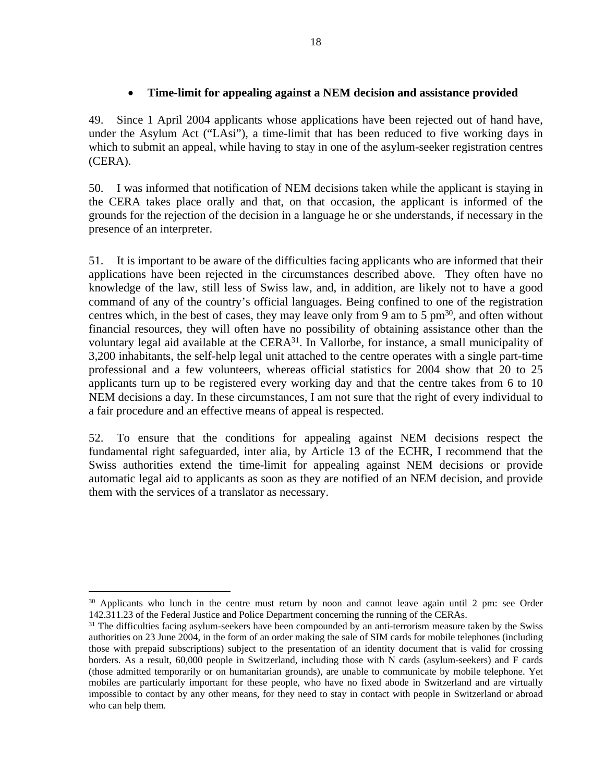#### **Time-limit for appealing against a NEM decision and assistance provided**

49. Since 1 April 2004 applicants whose applications have been rejected out of hand have, under the Asylum Act ("LAsi"), a time-limit that has been reduced to five working days in which to submit an appeal, while having to stay in one of the asylum-seeker registration centres (CERA).

50. I was informed that notification of NEM decisions taken while the applicant is staying in the CERA takes place orally and that, on that occasion, the applicant is informed of the grounds for the rejection of the decision in a language he or she understands, if necessary in the presence of an interpreter.

51. It is important to be aware of the difficulties facing applicants who are informed that their applications have been rejected in the circumstances described above. They often have no knowledge of the law, still less of Swiss law, and, in addition, are likely not to have a good command of any of the country's official languages. Being confined to one of the registration centres which, in the best of cases, they may leave only from 9 am to 5  $\text{pm}^{30}$ , and often without financial resources, they will often have no possibility of obtaining assistance other than the voluntary legal aid available at the CERA<sup>31</sup>. In Vallorbe, for instance, a small municipality of 3,200 inhabitants, the self-help legal unit attached to the centre operates with a single part-time professional and a few volunteers, whereas official statistics for 2004 show that 20 to 25 applicants turn up to be registered every working day and that the centre takes from 6 to 10 NEM decisions a day. In these circumstances, I am not sure that the right of every individual to a fair procedure and an effective means of appeal is respected.

52. To ensure that the conditions for appealing against NEM decisions respect the fundamental right safeguarded, inter alia, by Article 13 of the ECHR, I recommend that the Swiss authorities extend the time-limit for appealing against NEM decisions or provide automatic legal aid to applicants as soon as they are notified of an NEM decision, and provide them with the services of a translator as necessary.

<sup>&</sup>lt;sup>30</sup> Applicants who lunch in the centre must return by noon and cannot leave again until 2 pm: see Order 142.311.23 of the Federal Justice and Police Department concerning the running of the CERAs.

<sup>&</sup>lt;sup>31</sup> The difficulties facing asylum-seekers have been compounded by an anti-terrorism measure taken by the Swiss authorities on 23 June 2004, in the form of an order making the sale of SIM cards for mobile telephones (including those with prepaid subscriptions) subject to the presentation of an identity document that is valid for crossing borders. As a result, 60,000 people in Switzerland, including those with N cards (asylum-seekers) and F cards (those admitted temporarily or on humanitarian grounds), are unable to communicate by mobile telephone. Yet mobiles are particularly important for these people, who have no fixed abode in Switzerland and are virtually impossible to contact by any other means, for they need to stay in contact with people in Switzerland or abroad who can help them.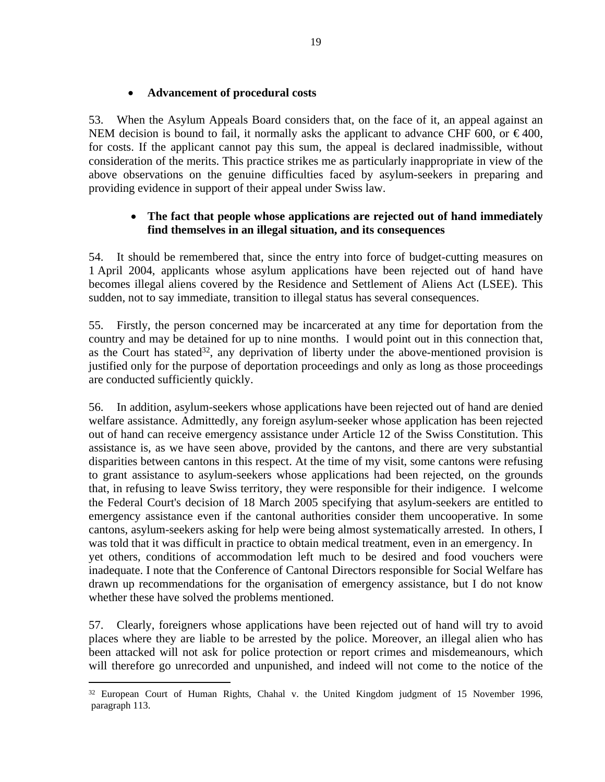#### **Advancement of procedural costs**

53. When the Asylum Appeals Board considers that, on the face of it, an appeal against an NEM decision is bound to fail, it normally asks the applicant to advance CHF 600, or  $\in \{400,$ for costs. If the applicant cannot pay this sum, the appeal is declared inadmissible, without consideration of the merits. This practice strikes me as particularly inappropriate in view of the above observations on the genuine difficulties faced by asylum-seekers in preparing and providing evidence in support of their appeal under Swiss law.

## **The fact that people whose applications are rejected out of hand immediately find themselves in an illegal situation, and its consequences**

54. It should be remembered that, since the entry into force of budget-cutting measures on 1 April 2004, applicants whose asylum applications have been rejected out of hand have becomes illegal aliens covered by the Residence and Settlement of Aliens Act (LSEE). This sudden, not to say immediate, transition to illegal status has several consequences.

55. Firstly, the person concerned may be incarcerated at any time for deportation from the country and may be detained for up to nine months. I would point out in this connection that, as the Court has stated<sup>32</sup>, any deprivation of liberty under the above-mentioned provision is justified only for the purpose of deportation proceedings and only as long as those proceedings are conducted sufficiently quickly.

56. In addition, asylum-seekers whose applications have been rejected out of hand are denied welfare assistance. Admittedly, any foreign asylum-seeker whose application has been rejected out of hand can receive emergency assistance under Article 12 of the Swiss Constitution. This assistance is, as we have seen above, provided by the cantons, and there are very substantial disparities between cantons in this respect. At the time of my visit, some cantons were refusing to grant assistance to asylum-seekers whose applications had been rejected, on the grounds that, in refusing to leave Swiss territory, they were responsible for their indigence. I welcome the Federal Court's decision of 18 March 2005 specifying that asylum-seekers are entitled to emergency assistance even if the cantonal authorities consider them uncooperative. In some cantons, asylum-seekers asking for help were being almost systematically arrested. In others, I was told that it was difficult in practice to obtain medical treatment, even in an emergency. In yet others, conditions of accommodation left much to be desired and food vouchers were inadequate. I note that the Conference of Cantonal Directors responsible for Social Welfare has drawn up recommendations for the organisation of emergency assistance, but I do not know whether these have solved the problems mentioned.

57. Clearly, foreigners whose applications have been rejected out of hand will try to avoid places where they are liable to be arrested by the police. Moreover, an illegal alien who has been attacked will not ask for police protection or report crimes and misdemeanours, which will therefore go unrecorded and unpunished, and indeed will not come to the notice of the

 $32$  European Court of Human Rights, Chahal v. the United Kingdom judgment of 15 November 1996, paragraph 113.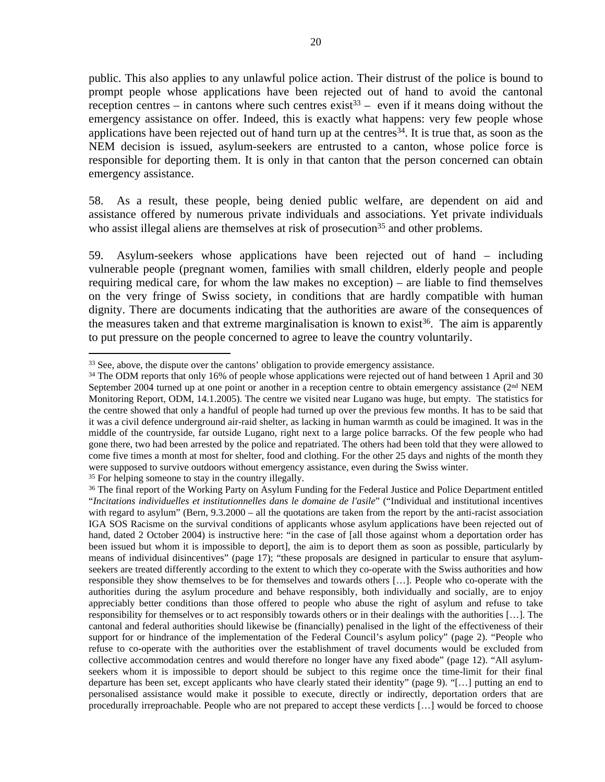public. This also applies to any unlawful police action. Their distrust of the police is bound to prompt people whose applications have been rejected out of hand to avoid the cantonal reception centres – in cantons where such centres exist<sup>33</sup> – even if it means doing without the emergency assistance on offer. Indeed, this is exactly what happens: very few people whose applications have been rejected out of hand turn up at the centres<sup>34</sup>. It is true that, as soon as the NEM decision is issued, asylum-seekers are entrusted to a canton, whose police force is responsible for deporting them. It is only in that canton that the person concerned can obtain emergency assistance.

58. As a result, these people, being denied public welfare, are dependent on aid and assistance offered by numerous private individuals and associations. Yet private individuals who assist illegal aliens are themselves at risk of prosecution<sup>35</sup> and other problems.

59. Asylum-seekers whose applications have been rejected out of hand – including vulnerable people (pregnant women, families with small children, elderly people and people requiring medical care, for whom the law makes no exception) – are liable to find themselves on the very fringe of Swiss society, in conditions that are hardly compatible with human dignity. There are documents indicating that the authorities are aware of the consequences of the measures taken and that extreme marginalisation is known to exist<sup>36</sup>. The aim is apparently to put pressure on the people concerned to agree to leave the country voluntarily.

<sup>35</sup> For helping someone to stay in the country illegally.

<sup>&</sup>lt;sup>33</sup> See, above, the dispute over the cantons' obligation to provide emergency assistance.

<sup>&</sup>lt;sup>34</sup> The ODM reports that only 16% of people whose applications were rejected out of hand between 1 April and 30 September 2004 turned up at one point or another in a reception centre to obtain emergency assistance ( $2<sup>nd</sup> NEM$ Monitoring Report, ODM, 14.1.2005). The centre we visited near Lugano was huge, but empty. The statistics for the centre showed that only a handful of people had turned up over the previous few months. It has to be said that it was a civil defence underground air-raid shelter, as lacking in human warmth as could be imagined. It was in the middle of the countryside, far outside Lugano, right next to a large police barracks. Of the few people who had gone there, two had been arrested by the police and repatriated. The others had been told that they were allowed to come five times a month at most for shelter, food and clothing. For the other 25 days and nights of the month they were supposed to survive outdoors without emergency assistance, even during the Swiss winter.

<sup>&</sup>lt;sup>36</sup> The final report of the Working Party on Asylum Funding for the Federal Justice and Police Department entitled "*Incitations individuelles et institutionnelles dans le domaine de l'asile*" ("Individual and institutional incentives with regard to asylum" (Bern, 9.3.2000 – all the quotations are taken from the report by the anti-racist association IGA SOS Racisme on the survival conditions of applicants whose asylum applications have been rejected out of hand, dated 2 October 2004) is instructive here: "in the case of [all those against whom a deportation order has been issued but whom it is impossible to deport], the aim is to deport them as soon as possible, particularly by means of individual disincentives" (page 17); "these proposals are designed in particular to ensure that asylumseekers are treated differently according to the extent to which they co-operate with the Swiss authorities and how responsible they show themselves to be for themselves and towards others […]. People who co-operate with the authorities during the asylum procedure and behave responsibly, both individually and socially, are to enjoy appreciably better conditions than those offered to people who abuse the right of asylum and refuse to take responsibility for themselves or to act responsibly towards others or in their dealings with the authorities […]. The cantonal and federal authorities should likewise be (financially) penalised in the light of the effectiveness of their support for or hindrance of the implementation of the Federal Council's asylum policy" (page 2). "People who refuse to co-operate with the authorities over the establishment of travel documents would be excluded from collective accommodation centres and would therefore no longer have any fixed abode" (page 12). "All asylumseekers whom it is impossible to deport should be subject to this regime once the time-limit for their final departure has been set, except applicants who have clearly stated their identity" (page 9). "[…] putting an end to personalised assistance would make it possible to execute, directly or indirectly, deportation orders that are procedurally irreproachable. People who are not prepared to accept these verdicts […] would be forced to choose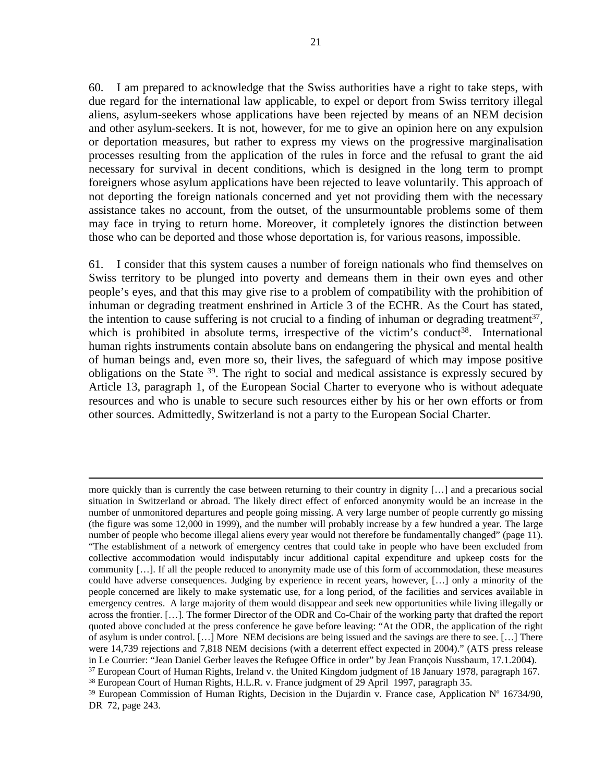60. I am prepared to acknowledge that the Swiss authorities have a right to take steps, with due regard for the international law applicable, to expel or deport from Swiss territory illegal aliens, asylum-seekers whose applications have been rejected by means of an NEM decision and other asylum-seekers. It is not, however, for me to give an opinion here on any expulsion or deportation measures, but rather to express my views on the progressive marginalisation processes resulting from the application of the rules in force and the refusal to grant the aid necessary for survival in decent conditions, which is designed in the long term to prompt foreigners whose asylum applications have been rejected to leave voluntarily. This approach of not deporting the foreign nationals concerned and yet not providing them with the necessary assistance takes no account, from the outset, of the unsurmountable problems some of them may face in trying to return home. Moreover, it completely ignores the distinction between those who can be deported and those whose deportation is, for various reasons, impossible.

61. I consider that this system causes a number of foreign nationals who find themselves on Swiss territory to be plunged into poverty and demeans them in their own eyes and other people's eyes, and that this may give rise to a problem of compatibility with the prohibition of inhuman or degrading treatment enshrined in Article 3 of the ECHR. As the Court has stated, the intention to cause suffering is not crucial to a finding of inhuman or degrading treatment<sup>37</sup>, which is prohibited in absolute terms, irrespective of the victim's conduct<sup>38</sup>. International human rights instruments contain absolute bans on endangering the physical and mental health of human beings and, even more so, their lives, the safeguard of which may impose positive obligations on the State  $39$ . The right to social and medical assistance is expressly secured by Article 13, paragraph 1, of the European Social Charter to everyone who is without adequate resources and who is unable to secure such resources either by his or her own efforts or from other sources. Admittedly, Switzerland is not a party to the European Social Charter.

more quickly than is currently the case between returning to their country in dignity […] and a precarious social situation in Switzerland or abroad. The likely direct effect of enforced anonymity would be an increase in the number of unmonitored departures and people going missing. A very large number of people currently go missing (the figure was some 12,000 in 1999), and the number will probably increase by a few hundred a year. The large number of people who become illegal aliens every year would not therefore be fundamentally changed" (page 11). "The establishment of a network of emergency centres that could take in people who have been excluded from collective accommodation would indisputably incur additional capital expenditure and upkeep costs for the community […]. If all the people reduced to anonymity made use of this form of accommodation, these measures could have adverse consequences. Judging by experience in recent years, however, […] only a minority of the people concerned are likely to make systematic use, for a long period, of the facilities and services available in emergency centres. A large majority of them would disappear and seek new opportunities while living illegally or across the frontier. […]. The former Director of the ODR and Co-Chair of the working party that drafted the report quoted above concluded at the press conference he gave before leaving: "At the ODR, the application of the right of asylum is under control. […] More NEM decisions are being issued and the savings are there to see. […] There were 14,739 rejections and 7,818 NEM decisions (with a deterrent effect expected in 2004)." (ATS press release in Le Courrier: "Jean Daniel Gerber leaves the Refugee Office in order" by Jean François Nussbaum, 17.1.2004). <sup>37</sup> European Court of Human Rights, Ireland v. the United Kingdom judgment of 18 January 1978, paragraph 167.

<sup>38</sup> European Court of Human Rights, H.L.R. v. France judgment of 29 April 1997, paragraph 35.

<sup>&</sup>lt;sup>39</sup> European Commission of Human Rights, Decision in the Dujardin v. France case, Application N° 16734/90, DR 72, page 243.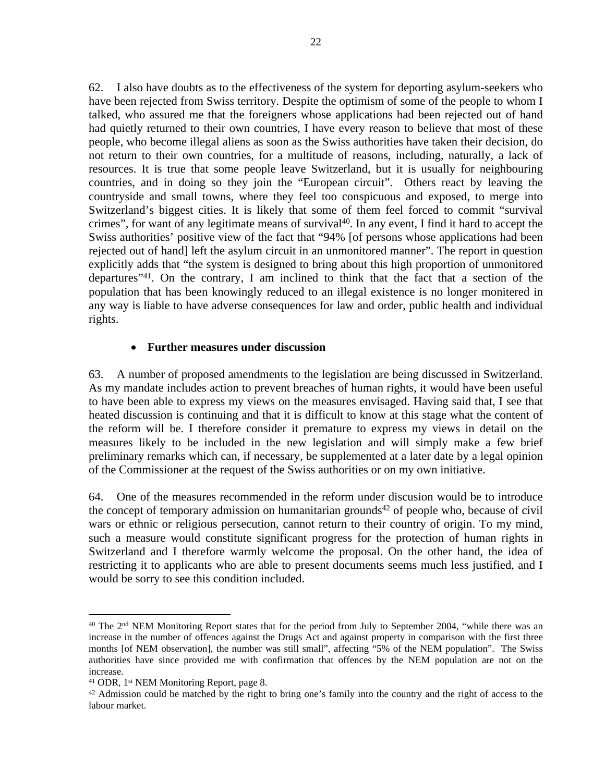62. I also have doubts as to the effectiveness of the system for deporting asylum-seekers who have been rejected from Swiss territory. Despite the optimism of some of the people to whom I talked, who assured me that the foreigners whose applications had been rejected out of hand had quietly returned to their own countries, I have every reason to believe that most of these people, who become illegal aliens as soon as the Swiss authorities have taken their decision, do not return to their own countries, for a multitude of reasons, including, naturally, a lack of resources. It is true that some people leave Switzerland, but it is usually for neighbouring countries, and in doing so they join the "European circuit". Others react by leaving the countryside and small towns, where they feel too conspicuous and exposed, to merge into Switzerland's biggest cities. It is likely that some of them feel forced to commit "survival crimes", for want of any legitimate means of survival $40$ . In any event, I find it hard to accept the Swiss authorities' positive view of the fact that "94% [of persons whose applications had been rejected out of hand] left the asylum circuit in an unmonitored manner". The report in question explicitly adds that "the system is designed to bring about this high proportion of unmonitored departures"<sup>41</sup>. On the contrary, I am inclined to think that the fact that a section of the population that has been knowingly reduced to an illegal existence is no longer monitered in any way is liable to have adverse consequences for law and order, public health and individual rights.

#### **Further measures under discussion**

63. A number of proposed amendments to the legislation are being discussed in Switzerland. As my mandate includes action to prevent breaches of human rights, it would have been useful to have been able to express my views on the measures envisaged. Having said that, I see that heated discussion is continuing and that it is difficult to know at this stage what the content of the reform will be. I therefore consider it premature to express my views in detail on the measures likely to be included in the new legislation and will simply make a few brief preliminary remarks which can, if necessary, be supplemented at a later date by a legal opinion of the Commissioner at the request of the Swiss authorities or on my own initiative.

64. One of the measures recommended in the reform under discusion would be to introduce the concept of temporary admission on humanitarian grounds<sup> $42$ </sup> of people who, because of civil wars or ethnic or religious persecution, cannot return to their country of origin. To my mind, such a measure would constitute significant progress for the protection of human rights in Switzerland and I therefore warmly welcome the proposal. On the other hand, the idea of restricting it to applicants who are able to present documents seems much less justified, and I would be sorry to see this condition included.

 $40$  The 2<sup>nd</sup> NEM Monitoring Report states that for the period from July to September 2004, "while there was an increase in the number of offences against the Drugs Act and against property in comparison with the first three months [of NEM observation], the number was still small", affecting "5% of the NEM population". The Swiss authorities have since provided me with confirmation that offences by the NEM population are not on the increase.

<sup>&</sup>lt;sup>41</sup> ODR, 1<sup>st</sup> NEM Monitoring Report, page 8.

<sup>&</sup>lt;sup>42</sup> Admission could be matched by the right to bring one's family into the country and the right of access to the labour market.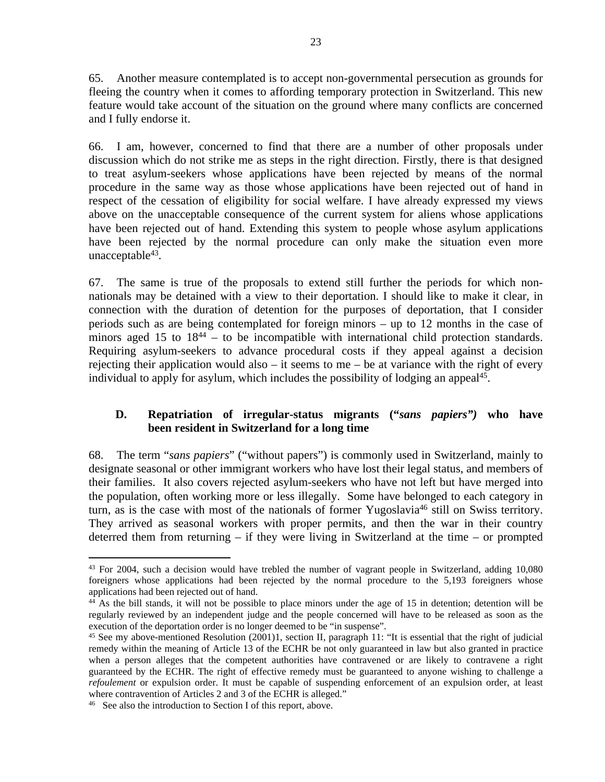65. Another measure contemplated is to accept non-governmental persecution as grounds for fleeing the country when it comes to affording temporary protection in Switzerland. This new feature would take account of the situation on the ground where many conflicts are concerned and I fully endorse it.

66. I am, however, concerned to find that there are a number of other proposals under discussion which do not strike me as steps in the right direction. Firstly, there is that designed to treat asylum-seekers whose applications have been rejected by means of the normal procedure in the same way as those whose applications have been rejected out of hand in respect of the cessation of eligibility for social welfare. I have already expressed my views above on the unacceptable consequence of the current system for aliens whose applications have been rejected out of hand. Extending this system to people whose asylum applications have been rejected by the normal procedure can only make the situation even more unacceptable<sup>43</sup>.

67. The same is true of the proposals to extend still further the periods for which nonnationals may be detained with a view to their deportation. I should like to make it clear, in connection with the duration of detention for the purposes of deportation, that I consider periods such as are being contemplated for foreign minors – up to 12 months in the case of minors aged 15 to  $18^{44}$  – to be incompatible with international child protection standards. Requiring asylum-seekers to advance procedural costs if they appeal against a decision rejecting their application would also – it seems to me – be at variance with the right of every individual to apply for asylum, which includes the possibility of lodging an appeal<sup>45</sup>.

#### **D. Repatriation of irregular-status migrants ("***sans papiers")* **who have been resident in Switzerland for a long time**

68. The term "*sans papiers*" ("without papers") is commonly used in Switzerland, mainly to designate seasonal or other immigrant workers who have lost their legal status, and members of their families. It also covers rejected asylum-seekers who have not left but have merged into the population, often working more or less illegally. Some have belonged to each category in turn, as is the case with most of the nationals of former Yugoslavia<sup>46</sup> still on Swiss territory. They arrived as seasonal workers with proper permits, and then the war in their country deterred them from returning – if they were living in Switzerland at the time – or prompted

<sup>&</sup>lt;sup>43</sup> For 2004, such a decision would have trebled the number of vagrant people in Switzerland, adding 10,080 foreigners whose applications had been rejected by the normal procedure to the 5,193 foreigners whose applications had been rejected out of hand.

 $44$  As the bill stands, it will not be possible to place minors under the age of 15 in detention; detention will be regularly reviewed by an independent judge and the people concerned will have to be released as soon as the execution of the deportation order is no longer deemed to be "in suspense".

 $45$  See my above-mentioned Resolution (2001)1, section II, paragraph 11: "It is essential that the right of judicial remedy within the meaning of Article 13 of the ECHR be not only guaranteed in law but also granted in practice when a person alleges that the competent authorities have contravened or are likely to contravene a right guaranteed by the ECHR. The right of effective remedy must be guaranteed to anyone wishing to challenge a *refoulement* or expulsion order. It must be capable of suspending enforcement of an expulsion order, at least where contravention of Articles 2 and 3 of the ECHR is alleged."

<sup>46</sup> See also the introduction to Section I of this report, above.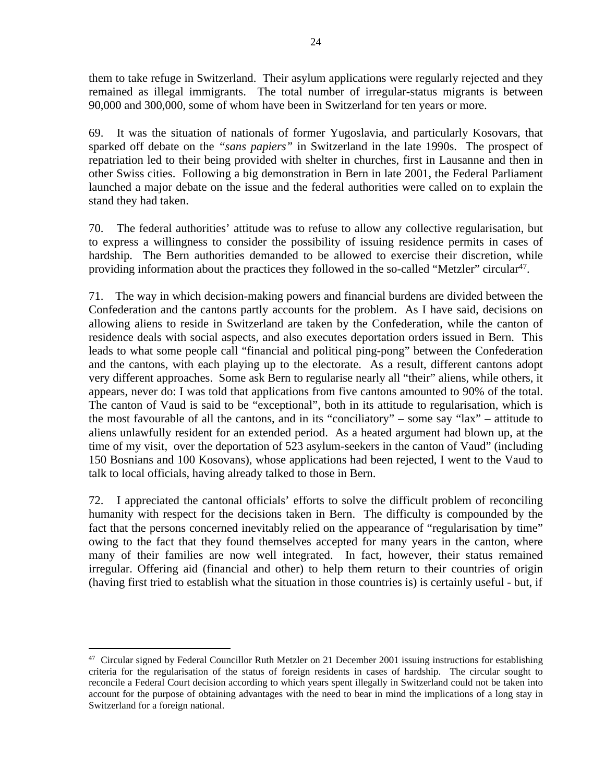them to take refuge in Switzerland. Their asylum applications were regularly rejected and they remained as illegal immigrants. The total number of irregular-status migrants is between 90,000 and 300,000, some of whom have been in Switzerland for ten years or more.

69. It was the situation of nationals of former Yugoslavia, and particularly Kosovars, that sparked off debate on the *"sans papiers"* in Switzerland in the late 1990s. The prospect of repatriation led to their being provided with shelter in churches, first in Lausanne and then in other Swiss cities. Following a big demonstration in Bern in late 2001, the Federal Parliament launched a major debate on the issue and the federal authorities were called on to explain the stand they had taken.

70. The federal authorities' attitude was to refuse to allow any collective regularisation, but to express a willingness to consider the possibility of issuing residence permits in cases of hardship. The Bern authorities demanded to be allowed to exercise their discretion, while providing information about the practices they followed in the so-called "Metzler" circular<sup>47</sup>.

71. The way in which decision-making powers and financial burdens are divided between the Confederation and the cantons partly accounts for the problem. As I have said, decisions on allowing aliens to reside in Switzerland are taken by the Confederation, while the canton of residence deals with social aspects, and also executes deportation orders issued in Bern. This leads to what some people call "financial and political ping-pong" between the Confederation and the cantons, with each playing up to the electorate. As a result, different cantons adopt very different approaches. Some ask Bern to regularise nearly all "their" aliens, while others, it appears, never do: I was told that applications from five cantons amounted to 90% of the total. The canton of Vaud is said to be "exceptional", both in its attitude to regularisation, which is the most favourable of all the cantons, and in its "conciliatory" – some say "lax" – attitude to aliens unlawfully resident for an extended period. As a heated argument had blown up, at the time of my visit, over the deportation of 523 asylum-seekers in the canton of Vaud" (including 150 Bosnians and 100 Kosovans), whose applications had been rejected, I went to the Vaud to talk to local officials, having already talked to those in Bern.

72. I appreciated the cantonal officials' efforts to solve the difficult problem of reconciling humanity with respect for the decisions taken in Bern. The difficulty is compounded by the fact that the persons concerned inevitably relied on the appearance of "regularisation by time" owing to the fact that they found themselves accepted for many years in the canton, where many of their families are now well integrated. In fact, however, their status remained irregular. Offering aid (financial and other) to help them return to their countries of origin (having first tried to establish what the situation in those countries is) is certainly useful - but, if

<sup>&</sup>lt;sup>47</sup> Circular signed by Federal Councillor Ruth Metzler on 21 December 2001 issuing instructions for establishing criteria for the regularisation of the status of foreign residents in cases of hardship. The circular sought to reconcile a Federal Court decision according to which years spent illegally in Switzerland could not be taken into account for the purpose of obtaining advantages with the need to bear in mind the implications of a long stay in Switzerland for a foreign national.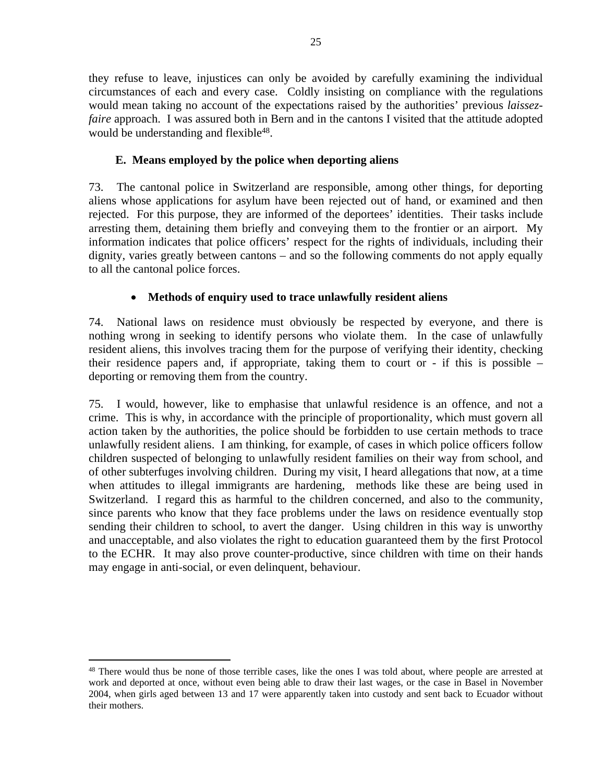they refuse to leave, injustices can only be avoided by carefully examining the individual circumstances of each and every case. Coldly insisting on compliance with the regulations would mean taking no account of the expectations raised by the authorities' previous *laissezfaire* approach. I was assured both in Bern and in the cantons I visited that the attitude adopted would be understanding and flexible<sup>48</sup>.

#### **E. Means employed by the police when deporting aliens**

73. The cantonal police in Switzerland are responsible, among other things, for deporting aliens whose applications for asylum have been rejected out of hand, or examined and then rejected. For this purpose, they are informed of the deportees' identities. Their tasks include arresting them, detaining them briefly and conveying them to the frontier or an airport. My information indicates that police officers' respect for the rights of individuals, including their dignity, varies greatly between cantons – and so the following comments do not apply equally to all the cantonal police forces.

## **Methods of enquiry used to trace unlawfully resident aliens**

74. National laws on residence must obviously be respected by everyone, and there is nothing wrong in seeking to identify persons who violate them. In the case of unlawfully resident aliens, this involves tracing them for the purpose of verifying their identity, checking their residence papers and, if appropriate, taking them to court or - if this is possible – deporting or removing them from the country.

75. I would, however, like to emphasise that unlawful residence is an offence, and not a crime. This is why, in accordance with the principle of proportionality, which must govern all action taken by the authorities, the police should be forbidden to use certain methods to trace unlawfully resident aliens. I am thinking, for example, of cases in which police officers follow children suspected of belonging to unlawfully resident families on their way from school, and of other subterfuges involving children. During my visit, I heard allegations that now, at a time when attitudes to illegal immigrants are hardening, methods like these are being used in Switzerland. I regard this as harmful to the children concerned, and also to the community, since parents who know that they face problems under the laws on residence eventually stop sending their children to school, to avert the danger. Using children in this way is unworthy and unacceptable, and also violates the right to education guaranteed them by the first Protocol to the ECHR. It may also prove counter-productive, since children with time on their hands may engage in anti-social, or even delinquent, behaviour.

<sup>&</sup>lt;sup>48</sup> There would thus be none of those terrible cases, like the ones I was told about, where people are arrested at work and deported at once, without even being able to draw their last wages, or the case in Basel in November 2004, when girls aged between 13 and 17 were apparently taken into custody and sent back to Ecuador without their mothers.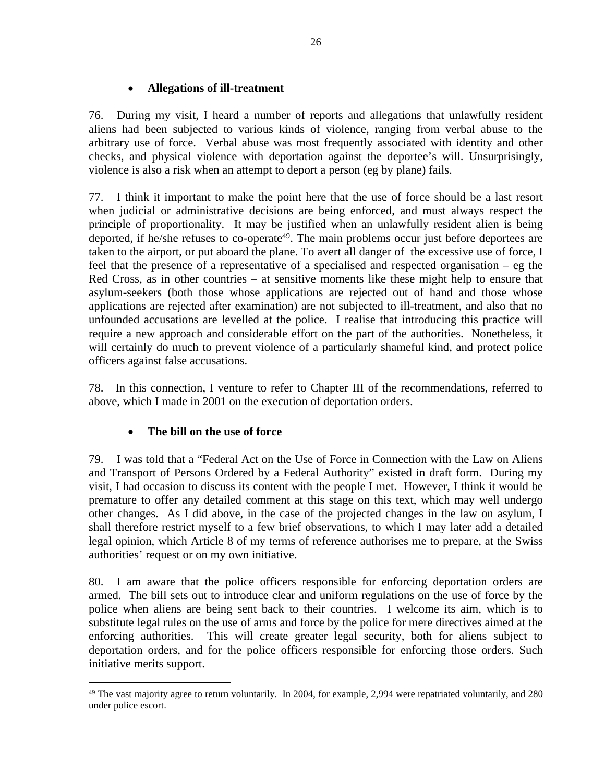#### **Allegations of ill-treatment**

76. During my visit, I heard a number of reports and allegations that unlawfully resident aliens had been subjected to various kinds of violence, ranging from verbal abuse to the arbitrary use of force. Verbal abuse was most frequently associated with identity and other checks, and physical violence with deportation against the deportee's will. Unsurprisingly, violence is also a risk when an attempt to deport a person (eg by plane) fails.

77. I think it important to make the point here that the use of force should be a last resort when judicial or administrative decisions are being enforced, and must always respect the principle of proportionality. It may be justified when an unlawfully resident alien is being deported, if he/she refuses to co-operate<sup>49</sup>. The main problems occur just before deportees are taken to the airport, or put aboard the plane. To avert all danger of the excessive use of force, I feel that the presence of a representative of a specialised and respected organisation – eg the Red Cross, as in other countries – at sensitive moments like these might help to ensure that asylum-seekers (both those whose applications are rejected out of hand and those whose applications are rejected after examination) are not subjected to ill-treatment, and also that no unfounded accusations are levelled at the police. I realise that introducing this practice will require a new approach and considerable effort on the part of the authorities. Nonetheless, it will certainly do much to prevent violence of a particularly shameful kind, and protect police officers against false accusations.

78. In this connection, I venture to refer to Chapter III of the recommendations, referred to above, which I made in 2001 on the execution of deportation orders.

## **The bill on the use of force**

79. I was told that a "Federal Act on the Use of Force in Connection with the Law on Aliens and Transport of Persons Ordered by a Federal Authority" existed in draft form. During my visit, I had occasion to discuss its content with the people I met. However, I think it would be premature to offer any detailed comment at this stage on this text, which may well undergo other changes. As I did above, in the case of the projected changes in the law on asylum, I shall therefore restrict myself to a few brief observations, to which I may later add a detailed legal opinion, which Article 8 of my terms of reference authorises me to prepare, at the Swiss authorities' request or on my own initiative.

80. I am aware that the police officers responsible for enforcing deportation orders are armed. The bill sets out to introduce clear and uniform regulations on the use of force by the police when aliens are being sent back to their countries. I welcome its aim, which is to substitute legal rules on the use of arms and force by the police for mere directives aimed at the enforcing authorities. This will create greater legal security, both for aliens subject to deportation orders, and for the police officers responsible for enforcing those orders. Such initiative merits support.

<sup>&</sup>lt;sup>49</sup> The vast majority agree to return voluntarily. In 2004, for example, 2,994 were repatriated voluntarily, and 280 under police escort.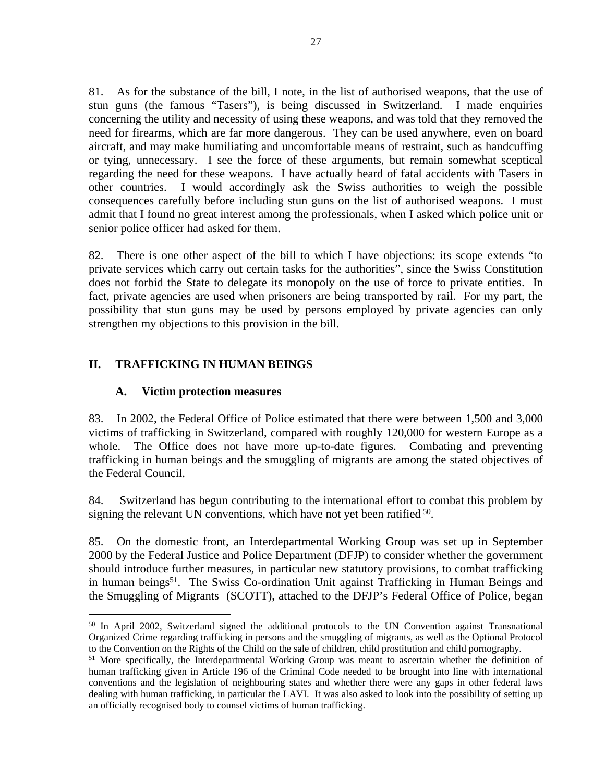81. As for the substance of the bill, I note, in the list of authorised weapons, that the use of stun guns (the famous "Tasers"), is being discussed in Switzerland. I made enquiries concerning the utility and necessity of using these weapons, and was told that they removed the need for firearms, which are far more dangerous. They can be used anywhere, even on board aircraft, and may make humiliating and uncomfortable means of restraint, such as handcuffing or tying, unnecessary. I see the force of these arguments, but remain somewhat sceptical regarding the need for these weapons. I have actually heard of fatal accidents with Tasers in other countries. I would accordingly ask the Swiss authorities to weigh the possible consequences carefully before including stun guns on the list of authorised weapons. I must admit that I found no great interest among the professionals, when I asked which police unit or senior police officer had asked for them.

82. There is one other aspect of the bill to which I have objections: its scope extends "to private services which carry out certain tasks for the authorities", since the Swiss Constitution does not forbid the State to delegate its monopoly on the use of force to private entities. In fact, private agencies are used when prisoners are being transported by rail. For my part, the possibility that stun guns may be used by persons employed by private agencies can only strengthen my objections to this provision in the bill.

## **II. TRAFFICKING IN HUMAN BEINGS**

## **A. Victim protection measures**

83. In 2002, the Federal Office of Police estimated that there were between 1,500 and 3,000 victims of trafficking in Switzerland, compared with roughly 120,000 for western Europe as a whole. The Office does not have more up-to-date figures. Combating and preventing trafficking in human beings and the smuggling of migrants are among the stated objectives of the Federal Council.

84. Switzerland has begun contributing to the international effort to combat this problem by signing the relevant UN conventions, which have not yet been ratified <sup>50</sup>.

85. On the domestic front, an Interdepartmental Working Group was set up in September 2000 by the Federal Justice and Police Department (DFJP) to consider whether the government should introduce further measures, in particular new statutory provisions, to combat trafficking in human beings<sup>51</sup>. The Swiss Co-ordination Unit against Trafficking in Human Beings and the Smuggling of Migrants (SCOTT), attached to the DFJP's Federal Office of Police, began

<sup>50</sup> In April 2002, Switzerland signed the additional protocols to the UN Convention against Transnational Organized Crime regarding trafficking in persons and the smuggling of migrants, as well as the Optional Protocol to the Convention on the Rights of the Child on the sale of children, child prostitution and child pornography.

<sup>&</sup>lt;sup>51</sup> More specifically, the Interdepartmental Working Group was meant to ascertain whether the definition of human trafficking given in Article 196 of the Criminal Code needed to be brought into line with international conventions and the legislation of neighbouring states and whether there were any gaps in other federal laws dealing with human trafficking, in particular the LAVI. It was also asked to look into the possibility of setting up an officially recognised body to counsel victims of human trafficking.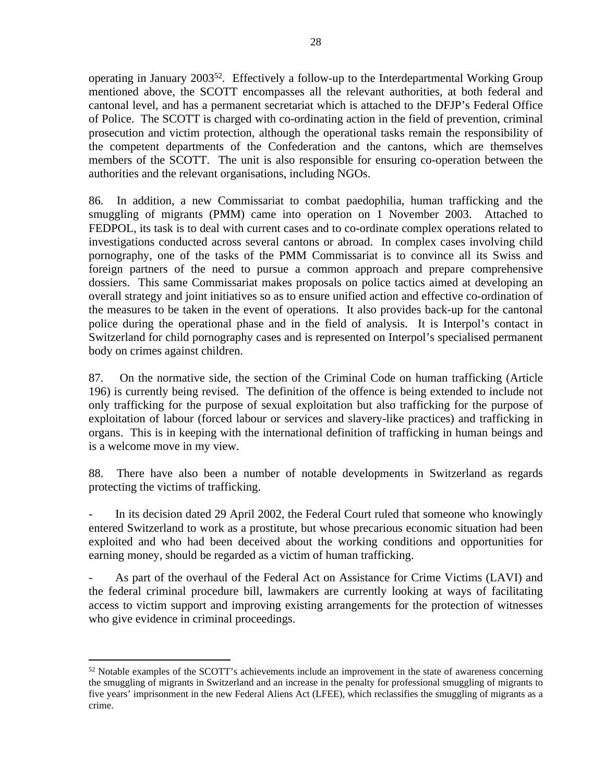operating in January 2003<sup>52</sup>. Effectively a follow-up to the Interdepartmental Working Group mentioned above, the SCOTT encompasses all the relevant authorities, at both federal and cantonal level, and has a permanent secretariat which is attached to the DFJP's Federal Office of Police. The SCOTT is charged with co-ordinating action in the field of prevention, criminal prosecution and victim protection, although the operational tasks remain the responsibility of the competent departments of the Confederation and the cantons, which are themselves members of the SCOTT. The unit is also responsible for ensuring co-operation between the authorities and the relevant organisations, including NGOs.

86. In addition, a new Commissariat to combat paedophilia, human trafficking and the smuggling of migrants (PMM) came into operation on 1 November 2003. Attached to FEDPOL, its task is to deal with current cases and to co-ordinate complex operations related to investigations conducted across several cantons or abroad. In complex cases involving child pornography, one of the tasks of the PMM Commissariat is to convince all its Swiss and foreign partners of the need to pursue a common approach and prepare comprehensive dossiers. This same Commissariat makes proposals on police tactics aimed at developing an overall strategy and joint initiatives so as to ensure unified action and effective co-ordination of the measures to be taken in the event of operations. It also provides back-up for the cantonal police during the operational phase and in the field of analysis. It is Interpol's contact in Switzerland for child pornography cases and is represented on Interpol's specialised permanent body on crimes against children.

87. On the normative side, the section of the Criminal Code on human trafficking (Article 196) is currently being revised. The definition of the offence is being extended to include not only trafficking for the purpose of sexual exploitation but also trafficking for the purpose of exploitation of labour (forced labour or services and slavery-like practices) and trafficking in organs. This is in keeping with the international definition of trafficking in human beings and is a welcome move in my view.

88. There have also been a number of notable developments in Switzerland as regards protecting the victims of trafficking.

In its decision dated 29 April 2002, the Federal Court ruled that someone who knowingly entered Switzerland to work as a prostitute, but whose precarious economic situation had been exploited and who had been deceived about the working conditions and opportunities for earning money, should be regarded as a victim of human trafficking.

As part of the overhaul of the Federal Act on Assistance for Crime Victims (LAVI) and the federal criminal procedure bill, lawmakers are currently looking at ways of facilitating access to victim support and improving existing arrangements for the protection of witnesses who give evidence in criminal proceedings.

<sup>52</sup> Notable examples of the SCOTT's achievements include an improvement in the state of awareness concerning the smuggling of migrants in Switzerland and an increase in the penalty for professional smuggling of migrants to five years' imprisonment in the new Federal Aliens Act (LFEE), which reclassifies the smuggling of migrants as a crime.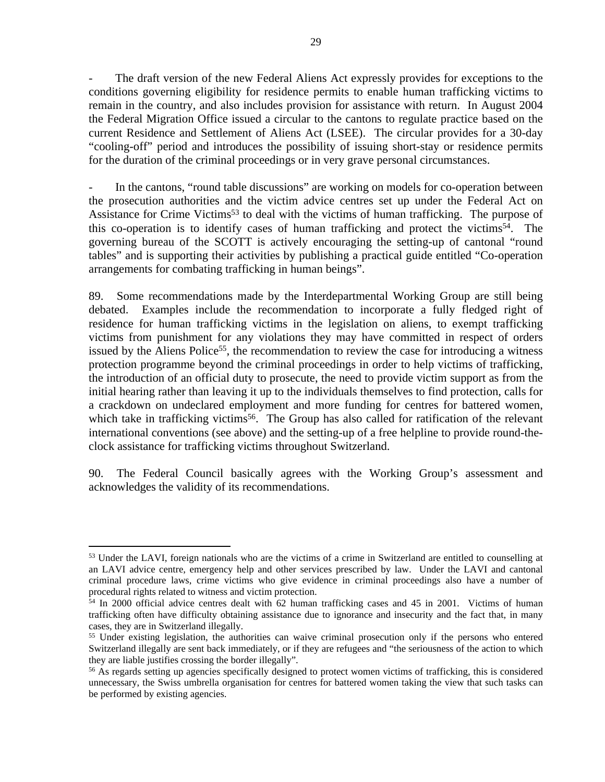The draft version of the new Federal Aliens Act expressly provides for exceptions to the conditions governing eligibility for residence permits to enable human trafficking victims to remain in the country, and also includes provision for assistance with return. In August 2004 the Federal Migration Office issued a circular to the cantons to regulate practice based on the current Residence and Settlement of Aliens Act (LSEE). The circular provides for a 30-day "cooling-off" period and introduces the possibility of issuing short-stay or residence permits for the duration of the criminal proceedings or in very grave personal circumstances.

In the cantons, "round table discussions" are working on models for co-operation between the prosecution authorities and the victim advice centres set up under the Federal Act on Assistance for Crime Victims<sup>53</sup> to deal with the victims of human trafficking. The purpose of this co-operation is to identify cases of human trafficking and protect the victims<sup>54</sup>. The governing bureau of the SCOTT is actively encouraging the setting-up of cantonal "round tables" and is supporting their activities by publishing a practical guide entitled "Co-operation arrangements for combating trafficking in human beings".

89. Some recommendations made by the Interdepartmental Working Group are still being debated. Examples include the recommendation to incorporate a fully fledged right of residence for human trafficking victims in the legislation on aliens, to exempt trafficking victims from punishment for any violations they may have committed in respect of orders issued by the Aliens Police<sup>55</sup>, the recommendation to review the case for introducing a witness protection programme beyond the criminal proceedings in order to help victims of trafficking, the introduction of an official duty to prosecute, the need to provide victim support as from the initial hearing rather than leaving it up to the individuals themselves to find protection, calls for a crackdown on undeclared employment and more funding for centres for battered women, which take in trafficking victims<sup>56</sup>. The Group has also called for ratification of the relevant international conventions (see above) and the setting-up of a free helpline to provide round-theclock assistance for trafficking victims throughout Switzerland.

90. The Federal Council basically agrees with the Working Group's assessment and acknowledges the validity of its recommendations.

<sup>53</sup> Under the LAVI, foreign nationals who are the victims of a crime in Switzerland are entitled to counselling at an LAVI advice centre, emergency help and other services prescribed by law. Under the LAVI and cantonal criminal procedure laws, crime victims who give evidence in criminal proceedings also have a number of procedural rights related to witness and victim protection.

<sup>54</sup> In 2000 official advice centres dealt with 62 human trafficking cases and 45 in 2001. Victims of human trafficking often have difficulty obtaining assistance due to ignorance and insecurity and the fact that, in many cases, they are in Switzerland illegally.

<sup>55</sup> Under existing legislation, the authorities can waive criminal prosecution only if the persons who entered Switzerland illegally are sent back immediately, or if they are refugees and "the seriousness of the action to which they are liable justifies crossing the border illegally".

<sup>&</sup>lt;sup>56</sup> As regards setting up agencies specifically designed to protect women victims of trafficking, this is considered unnecessary, the Swiss umbrella organisation for centres for battered women taking the view that such tasks can be performed by existing agencies.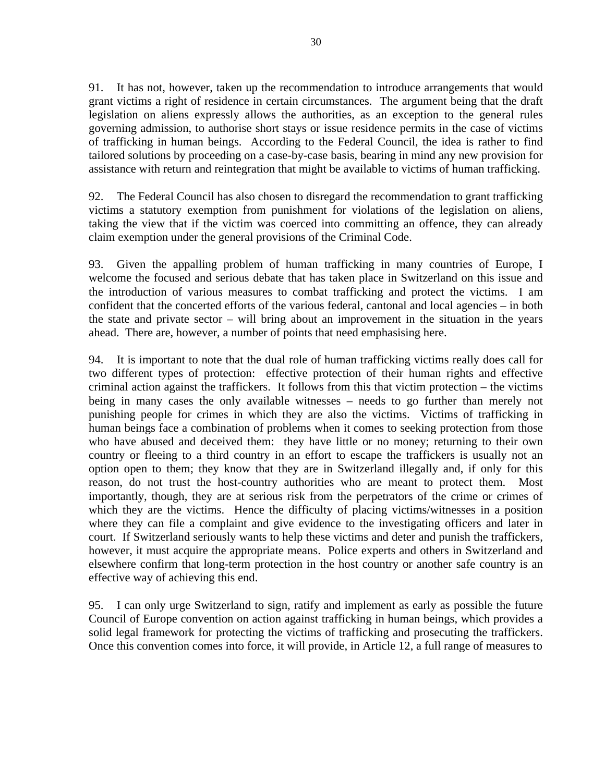91. It has not, however, taken up the recommendation to introduce arrangements that would grant victims a right of residence in certain circumstances. The argument being that the draft legislation on aliens expressly allows the authorities, as an exception to the general rules governing admission, to authorise short stays or issue residence permits in the case of victims of trafficking in human beings. According to the Federal Council, the idea is rather to find tailored solutions by proceeding on a case-by-case basis, bearing in mind any new provision for assistance with return and reintegration that might be available to victims of human trafficking.

92. The Federal Council has also chosen to disregard the recommendation to grant trafficking victims a statutory exemption from punishment for violations of the legislation on aliens, taking the view that if the victim was coerced into committing an offence, they can already claim exemption under the general provisions of the Criminal Code.

93. Given the appalling problem of human trafficking in many countries of Europe, I welcome the focused and serious debate that has taken place in Switzerland on this issue and the introduction of various measures to combat trafficking and protect the victims. I am confident that the concerted efforts of the various federal, cantonal and local agencies – in both the state and private sector – will bring about an improvement in the situation in the years ahead. There are, however, a number of points that need emphasising here.

94. It is important to note that the dual role of human trafficking victims really does call for two different types of protection: effective protection of their human rights and effective criminal action against the traffickers. It follows from this that victim protection – the victims being in many cases the only available witnesses – needs to go further than merely not punishing people for crimes in which they are also the victims. Victims of trafficking in human beings face a combination of problems when it comes to seeking protection from those who have abused and deceived them: they have little or no money; returning to their own country or fleeing to a third country in an effort to escape the traffickers is usually not an option open to them; they know that they are in Switzerland illegally and, if only for this reason, do not trust the host-country authorities who are meant to protect them. Most importantly, though, they are at serious risk from the perpetrators of the crime or crimes of which they are the victims. Hence the difficulty of placing victims/witnesses in a position where they can file a complaint and give evidence to the investigating officers and later in court. If Switzerland seriously wants to help these victims and deter and punish the traffickers, however, it must acquire the appropriate means. Police experts and others in Switzerland and elsewhere confirm that long-term protection in the host country or another safe country is an effective way of achieving this end.

95. I can only urge Switzerland to sign, ratify and implement as early as possible the future Council of Europe convention on action against trafficking in human beings, which provides a solid legal framework for protecting the victims of trafficking and prosecuting the traffickers. Once this convention comes into force, it will provide, in Article 12, a full range of measures to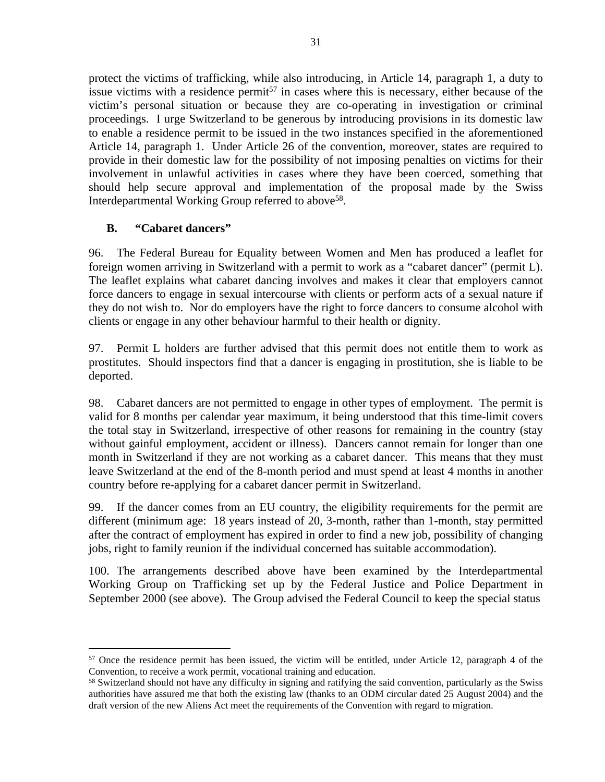protect the victims of trafficking, while also introducing, in Article 14, paragraph 1, a duty to issue victims with a residence permit<sup>57</sup> in cases where this is necessary, either because of the victim's personal situation or because they are co-operating in investigation or criminal proceedings. I urge Switzerland to be generous by introducing provisions in its domestic law to enable a residence permit to be issued in the two instances specified in the aforementioned Article 14, paragraph 1. Under Article 26 of the convention, moreover, states are required to provide in their domestic law for the possibility of not imposing penalties on victims for their involvement in unlawful activities in cases where they have been coerced, something that should help secure approval and implementation of the proposal made by the Swiss Interdepartmental Working Group referred to above<sup>58</sup>.

#### **B. "Cabaret dancers"**

96. The Federal Bureau for Equality between Women and Men has produced a leaflet for foreign women arriving in Switzerland with a permit to work as a "cabaret dancer" (permit L). The leaflet explains what cabaret dancing involves and makes it clear that employers cannot force dancers to engage in sexual intercourse with clients or perform acts of a sexual nature if they do not wish to. Nor do employers have the right to force dancers to consume alcohol with clients or engage in any other behaviour harmful to their health or dignity.

97. Permit L holders are further advised that this permit does not entitle them to work as prostitutes. Should inspectors find that a dancer is engaging in prostitution, she is liable to be deported.

98. Cabaret dancers are not permitted to engage in other types of employment. The permit is valid for 8 months per calendar year maximum, it being understood that this time-limit covers the total stay in Switzerland, irrespective of other reasons for remaining in the country (stay without gainful employment, accident or illness). Dancers cannot remain for longer than one month in Switzerland if they are not working as a cabaret dancer. This means that they must leave Switzerland at the end of the 8-month period and must spend at least 4 months in another country before re-applying for a cabaret dancer permit in Switzerland.

99. If the dancer comes from an EU country, the eligibility requirements for the permit are different (minimum age: 18 years instead of 20, 3-month, rather than 1-month, stay permitted after the contract of employment has expired in order to find a new job, possibility of changing jobs, right to family reunion if the individual concerned has suitable accommodation).

100. The arrangements described above have been examined by the Interdepartmental Working Group on Trafficking set up by the Federal Justice and Police Department in September 2000 (see above). The Group advised the Federal Council to keep the special status

 $57$  Once the residence permit has been issued, the victim will be entitled, under Article 12, paragraph 4 of the Convention, to receive a work permit, vocational training and education.

 $58$  Switzerland should not have any difficulty in signing and ratifying the said convention, particularly as the Swiss authorities have assured me that both the existing law (thanks to an ODM circular dated 25 August 2004) and the draft version of the new Aliens Act meet the requirements of the Convention with regard to migration.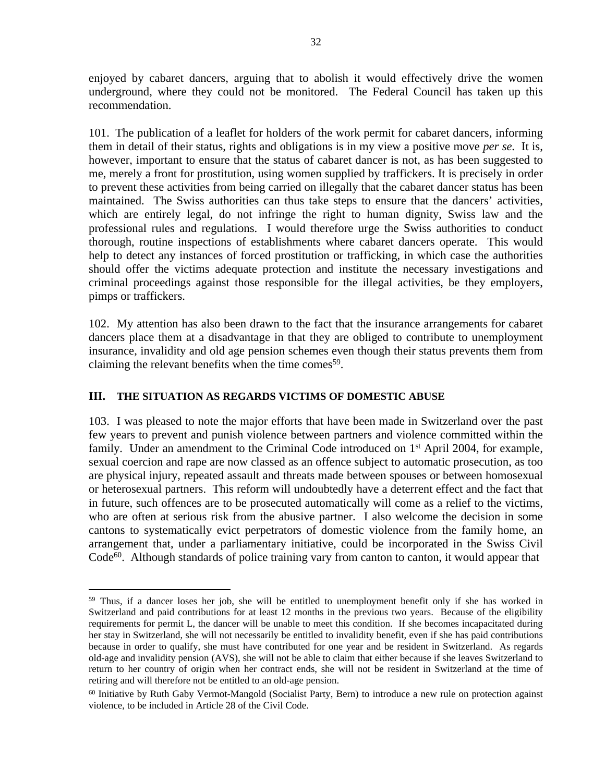enjoyed by cabaret dancers, arguing that to abolish it would effectively drive the women underground, where they could not be monitored. The Federal Council has taken up this recommendation.

101. The publication of a leaflet for holders of the work permit for cabaret dancers, informing them in detail of their status, rights and obligations is in my view a positive move *per se.* It is, however, important to ensure that the status of cabaret dancer is not, as has been suggested to me, merely a front for prostitution, using women supplied by traffickers. It is precisely in order to prevent these activities from being carried on illegally that the cabaret dancer status has been maintained. The Swiss authorities can thus take steps to ensure that the dancers' activities, which are entirely legal, do not infringe the right to human dignity, Swiss law and the professional rules and regulations. I would therefore urge the Swiss authorities to conduct thorough, routine inspections of establishments where cabaret dancers operate. This would help to detect any instances of forced prostitution or trafficking, in which case the authorities should offer the victims adequate protection and institute the necessary investigations and criminal proceedings against those responsible for the illegal activities, be they employers, pimps or traffickers.

102. My attention has also been drawn to the fact that the insurance arrangements for cabaret dancers place them at a disadvantage in that they are obliged to contribute to unemployment insurance, invalidity and old age pension schemes even though their status prevents them from claiming the relevant benefits when the time comes<sup>59</sup>.

#### **III. THE SITUATION AS REGARDS VICTIMS OF DOMESTIC ABUSE**

103. I was pleased to note the major efforts that have been made in Switzerland over the past few years to prevent and punish violence between partners and violence committed within the family. Under an amendment to the Criminal Code introduced on  $1<sup>st</sup>$  April 2004, for example, sexual coercion and rape are now classed as an offence subject to automatic prosecution, as too are physical injury, repeated assault and threats made between spouses or between homosexual or heterosexual partners. This reform will undoubtedly have a deterrent effect and the fact that in future, such offences are to be prosecuted automatically will come as a relief to the victims, who are often at serious risk from the abusive partner. I also welcome the decision in some cantons to systematically evict perpetrators of domestic violence from the family home, an arrangement that, under a parliamentary initiative, could be incorporated in the Swiss Civil Code<sup>60</sup>. Although standards of police training vary from canton to canton, it would appear that

<sup>&</sup>lt;sup>59</sup> Thus, if a dancer loses her job, she will be entitled to unemployment benefit only if she has worked in Switzerland and paid contributions for at least 12 months in the previous two years. Because of the eligibility requirements for permit L, the dancer will be unable to meet this condition. If she becomes incapacitated during her stay in Switzerland, she will not necessarily be entitled to invalidity benefit, even if she has paid contributions because in order to qualify, she must have contributed for one year and be resident in Switzerland. As regards old-age and invalidity pension (AVS), she will not be able to claim that either because if she leaves Switzerland to return to her country of origin when her contract ends, she will not be resident in Switzerland at the time of retiring and will therefore not be entitled to an old-age pension.

 $60$  Initiative by Ruth Gaby Vermot-Mangold (Socialist Party, Bern) to introduce a new rule on protection against violence, to be included in Article 28 of the Civil Code.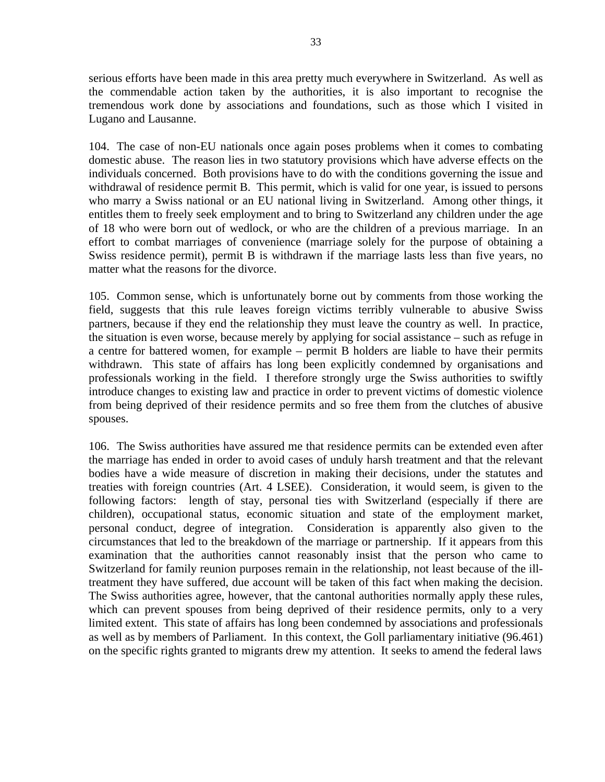serious efforts have been made in this area pretty much everywhere in Switzerland. As well as the commendable action taken by the authorities, it is also important to recognise the tremendous work done by associations and foundations, such as those which I visited in Lugano and Lausanne.

104. The case of non-EU nationals once again poses problems when it comes to combating domestic abuse. The reason lies in two statutory provisions which have adverse effects on the individuals concerned. Both provisions have to do with the conditions governing the issue and withdrawal of residence permit B. This permit, which is valid for one year, is issued to persons who marry a Swiss national or an EU national living in Switzerland. Among other things, it entitles them to freely seek employment and to bring to Switzerland any children under the age of 18 who were born out of wedlock, or who are the children of a previous marriage. In an effort to combat marriages of convenience (marriage solely for the purpose of obtaining a Swiss residence permit), permit B is withdrawn if the marriage lasts less than five years, no matter what the reasons for the divorce.

105. Common sense, which is unfortunately borne out by comments from those working the field, suggests that this rule leaves foreign victims terribly vulnerable to abusive Swiss partners, because if they end the relationship they must leave the country as well. In practice, the situation is even worse, because merely by applying for social assistance – such as refuge in a centre for battered women, for example – permit B holders are liable to have their permits withdrawn. This state of affairs has long been explicitly condemned by organisations and professionals working in the field. I therefore strongly urge the Swiss authorities to swiftly introduce changes to existing law and practice in order to prevent victims of domestic violence from being deprived of their residence permits and so free them from the clutches of abusive spouses.

106. The Swiss authorities have assured me that residence permits can be extended even after the marriage has ended in order to avoid cases of unduly harsh treatment and that the relevant bodies have a wide measure of discretion in making their decisions, under the statutes and treaties with foreign countries (Art. 4 LSEE). Consideration, it would seem, is given to the following factors: length of stay, personal ties with Switzerland (especially if there are children), occupational status, economic situation and state of the employment market, personal conduct, degree of integration. Consideration is apparently also given to the circumstances that led to the breakdown of the marriage or partnership. If it appears from this examination that the authorities cannot reasonably insist that the person who came to Switzerland for family reunion purposes remain in the relationship, not least because of the illtreatment they have suffered, due account will be taken of this fact when making the decision. The Swiss authorities agree, however, that the cantonal authorities normally apply these rules, which can prevent spouses from being deprived of their residence permits, only to a very limited extent. This state of affairs has long been condemned by associations and professionals as well as by members of Parliament. In this context, the Goll parliamentary initiative (96.461) on the specific rights granted to migrants drew my attention. It seeks to amend the federal laws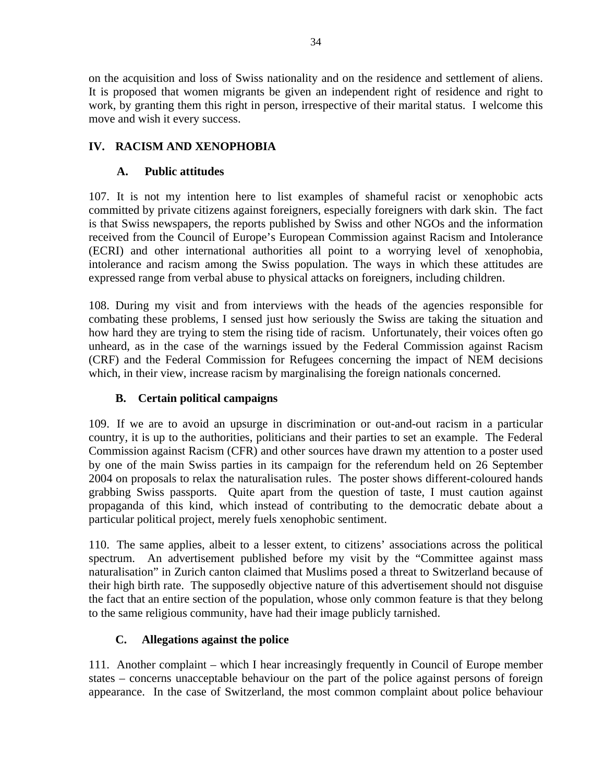on the acquisition and loss of Swiss nationality and on the residence and settlement of aliens. It is proposed that women migrants be given an independent right of residence and right to work, by granting them this right in person, irrespective of their marital status. I welcome this move and wish it every success.

## **IV. RACISM AND XENOPHOBIA**

## **A. Public attitudes**

107. It is not my intention here to list examples of shameful racist or xenophobic acts committed by private citizens against foreigners, especially foreigners with dark skin. The fact is that Swiss newspapers, the reports published by Swiss and other NGOs and the information received from the Council of Europe's European Commission against Racism and Intolerance (ECRI) and other international authorities all point to a worrying level of xenophobia, intolerance and racism among the Swiss population. The ways in which these attitudes are expressed range from verbal abuse to physical attacks on foreigners, including children.

108. During my visit and from interviews with the heads of the agencies responsible for combating these problems, I sensed just how seriously the Swiss are taking the situation and how hard they are trying to stem the rising tide of racism. Unfortunately, their voices often go unheard, as in the case of the warnings issued by the Federal Commission against Racism (CRF) and the Federal Commission for Refugees concerning the impact of NEM decisions which, in their view, increase racism by marginalising the foreign nationals concerned.

## **B. Certain political campaigns**

109. If we are to avoid an upsurge in discrimination or out-and-out racism in a particular country, it is up to the authorities, politicians and their parties to set an example. The Federal Commission against Racism (CFR) and other sources have drawn my attention to a poster used by one of the main Swiss parties in its campaign for the referendum held on 26 September 2004 on proposals to relax the naturalisation rules. The poster shows different-coloured hands grabbing Swiss passports. Quite apart from the question of taste, I must caution against propaganda of this kind, which instead of contributing to the democratic debate about a particular political project, merely fuels xenophobic sentiment.

110. The same applies, albeit to a lesser extent, to citizens' associations across the political spectrum. An advertisement published before my visit by the "Committee against mass naturalisation" in Zurich canton claimed that Muslims posed a threat to Switzerland because of their high birth rate. The supposedly objective nature of this advertisement should not disguise the fact that an entire section of the population, whose only common feature is that they belong to the same religious community, have had their image publicly tarnished.

## **C. Allegations against the police**

111. Another complaint – which I hear increasingly frequently in Council of Europe member states – concerns unacceptable behaviour on the part of the police against persons of foreign appearance. In the case of Switzerland, the most common complaint about police behaviour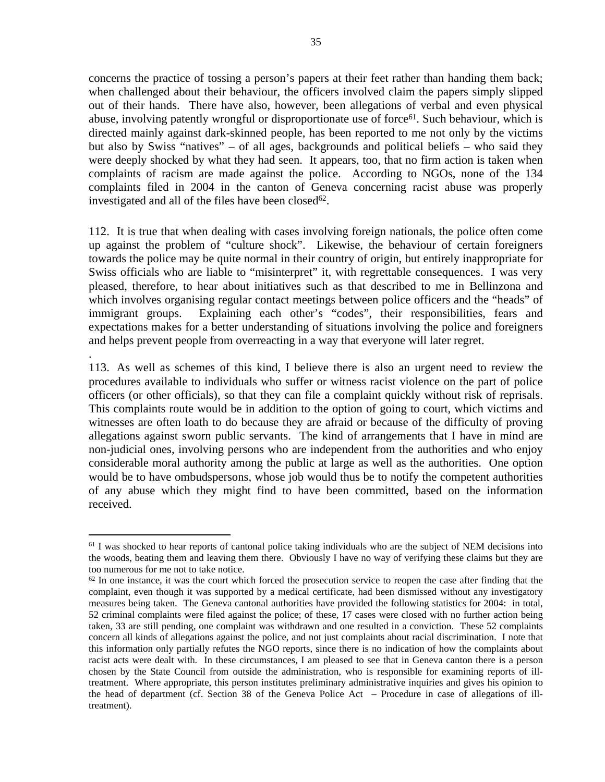concerns the practice of tossing a person's papers at their feet rather than handing them back; when challenged about their behaviour, the officers involved claim the papers simply slipped out of their hands. There have also, however, been allegations of verbal and even physical abuse, involving patently wrongful or disproportionate use of force<sup>61</sup>. Such behaviour, which is directed mainly against dark-skinned people, has been reported to me not only by the victims but also by Swiss "natives" – of all ages, backgrounds and political beliefs – who said they were deeply shocked by what they had seen. It appears, too, that no firm action is taken when complaints of racism are made against the police. According to NGOs, none of the 134 complaints filed in 2004 in the canton of Geneva concerning racist abuse was properly investigated and all of the files have been closed $62$ .

112. It is true that when dealing with cases involving foreign nationals, the police often come up against the problem of "culture shock". Likewise, the behaviour of certain foreigners towards the police may be quite normal in their country of origin, but entirely inappropriate for Swiss officials who are liable to "misinterpret" it, with regrettable consequences. I was very pleased, therefore, to hear about initiatives such as that described to me in Bellinzona and which involves organising regular contact meetings between police officers and the "heads" of immigrant groups. Explaining each other's "codes", their responsibilities, fears and expectations makes for a better understanding of situations involving the police and foreigners and helps prevent people from overreacting in a way that everyone will later regret.

.

113. As well as schemes of this kind, I believe there is also an urgent need to review the procedures available to individuals who suffer or witness racist violence on the part of police officers (or other officials), so that they can file a complaint quickly without risk of reprisals. This complaints route would be in addition to the option of going to court, which victims and witnesses are often loath to do because they are afraid or because of the difficulty of proving allegations against sworn public servants. The kind of arrangements that I have in mind are non-judicial ones, involving persons who are independent from the authorities and who enjoy considerable moral authority among the public at large as well as the authorities. One option would be to have ombudspersons, whose job would thus be to notify the competent authorities of any abuse which they might find to have been committed, based on the information received.

<sup>&</sup>lt;sup>61</sup> I was shocked to hear reports of cantonal police taking individuals who are the subject of NEM decisions into the woods, beating them and leaving them there. Obviously I have no way of verifying these claims but they are too numerous for me not to take notice.

 $62$  In one instance, it was the court which forced the prosecution service to reopen the case after finding that the complaint, even though it was supported by a medical certificate, had been dismissed without any investigatory measures being taken. The Geneva cantonal authorities have provided the following statistics for 2004: in total, 52 criminal complaints were filed against the police; of these, 17 cases were closed with no further action being taken, 33 are still pending, one complaint was withdrawn and one resulted in a conviction. These 52 complaints concern all kinds of allegations against the police, and not just complaints about racial discrimination. I note that this information only partially refutes the NGO reports, since there is no indication of how the complaints about racist acts were dealt with. In these circumstances, I am pleased to see that in Geneva canton there is a person chosen by the State Council from outside the administration, who is responsible for examining reports of illtreatment. Where appropriate, this person institutes preliminary administrative inquiries and gives his opinion to the head of department (cf. Section 38 of the Geneva Police Act – Procedure in case of allegations of illtreatment).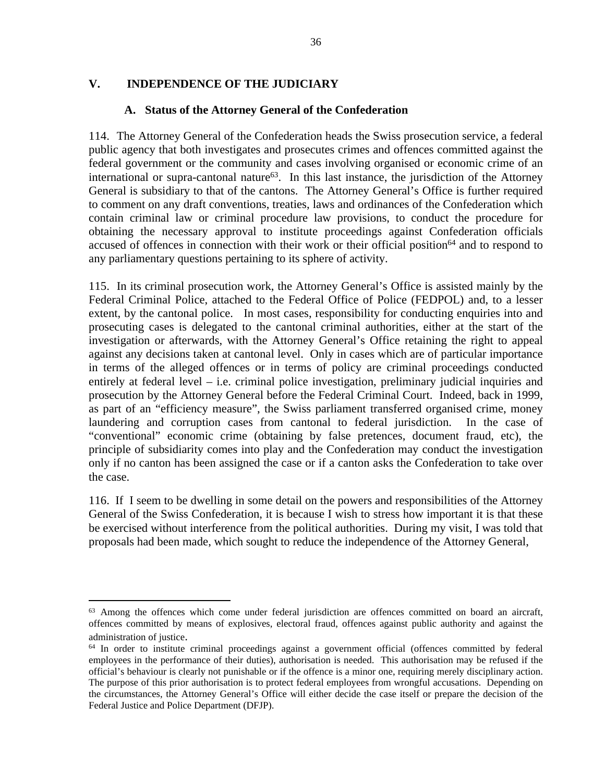#### **V. INDEPENDENCE OF THE JUDICIARY**

#### **A. Status of the Attorney General of the Confederation**

114. The Attorney General of the Confederation heads the Swiss prosecution service, a federal public agency that both investigates and prosecutes crimes and offences committed against the federal government or the community and cases involving organised or economic crime of an international or supra-cantonal nature<sup>63</sup>. In this last instance, the jurisdiction of the Attorney General is subsidiary to that of the cantons. The Attorney General's Office is further required to comment on any draft conventions, treaties, laws and ordinances of the Confederation which contain criminal law or criminal procedure law provisions, to conduct the procedure for obtaining the necessary approval to institute proceedings against Confederation officials accused of offences in connection with their work or their official position $64$  and to respond to any parliamentary questions pertaining to its sphere of activity.

115. In its criminal prosecution work, the Attorney General's Office is assisted mainly by the Federal Criminal Police, attached to the Federal Office of Police (FEDPOL) and, to a lesser extent, by the cantonal police. In most cases, responsibility for conducting enquiries into and prosecuting cases is delegated to the cantonal criminal authorities, either at the start of the investigation or afterwards, with the Attorney General's Office retaining the right to appeal against any decisions taken at cantonal level. Only in cases which are of particular importance in terms of the alleged offences or in terms of policy are criminal proceedings conducted entirely at federal level – i.e. criminal police investigation, preliminary judicial inquiries and prosecution by the Attorney General before the Federal Criminal Court. Indeed, back in 1999, as part of an "efficiency measure", the Swiss parliament transferred organised crime, money laundering and corruption cases from cantonal to federal jurisdiction. In the case of "conventional" economic crime (obtaining by false pretences, document fraud, etc), the principle of subsidiarity comes into play and the Confederation may conduct the investigation only if no canton has been assigned the case or if a canton asks the Confederation to take over the case.

116. If I seem to be dwelling in some detail on the powers and responsibilities of the Attorney General of the Swiss Confederation, it is because I wish to stress how important it is that these be exercised without interference from the political authorities. During my visit, I was told that proposals had been made, which sought to reduce the independence of the Attorney General,

 $63$  Among the offences which come under federal jurisdiction are offences committed on board an aircraft, offences committed by means of explosives, electoral fraud, offences against public authority and against the administration of justice.

<sup>64</sup> In order to institute criminal proceedings against a government official (offences committed by federal employees in the performance of their duties), authorisation is needed. This authorisation may be refused if the official's behaviour is clearly not punishable or if the offence is a minor one, requiring merely disciplinary action. The purpose of this prior authorisation is to protect federal employees from wrongful accusations. Depending on the circumstances, the Attorney General's Office will either decide the case itself or prepare the decision of the Federal Justice and Police Department (DFJP).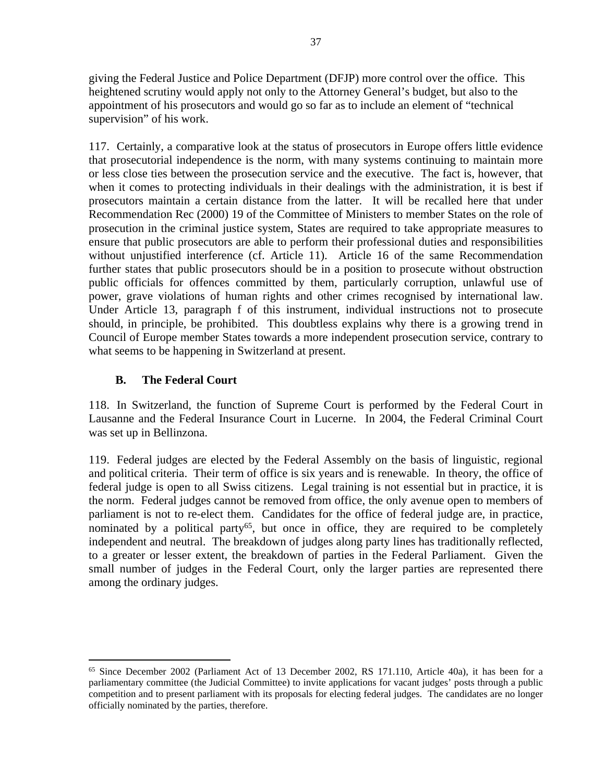giving the Federal Justice and Police Department (DFJP) more control over the office. This heightened scrutiny would apply not only to the Attorney General's budget, but also to the appointment of his prosecutors and would go so far as to include an element of "technical supervision" of his work.

117. Certainly, a comparative look at the status of prosecutors in Europe offers little evidence that prosecutorial independence is the norm, with many systems continuing to maintain more or less close ties between the prosecution service and the executive. The fact is, however, that when it comes to protecting individuals in their dealings with the administration, it is best if prosecutors maintain a certain distance from the latter. It will be recalled here that under Recommendation Rec (2000) 19 of the Committee of Ministers to member States on the role of prosecution in the criminal justice system, States are required to take appropriate measures to ensure that public prosecutors are able to perform their professional duties and responsibilities without unjustified interference (cf. Article 11). Article 16 of the same Recommendation further states that public prosecutors should be in a position to prosecute without obstruction public officials for offences committed by them, particularly corruption, unlawful use of power, grave violations of human rights and other crimes recognised by international law. Under Article 13, paragraph f of this instrument, individual instructions not to prosecute should, in principle, be prohibited. This doubtless explains why there is a growing trend in Council of Europe member States towards a more independent prosecution service, contrary to what seems to be happening in Switzerland at present.

#### **B. The Federal Court**

118. In Switzerland, the function of Supreme Court is performed by the Federal Court in Lausanne and the Federal Insurance Court in Lucerne. In 2004, the Federal Criminal Court was set up in Bellinzona.

119. Federal judges are elected by the Federal Assembly on the basis of linguistic, regional and political criteria. Their term of office is six years and is renewable. In theory, the office of federal judge is open to all Swiss citizens. Legal training is not essential but in practice, it is the norm. Federal judges cannot be removed from office, the only avenue open to members of parliament is not to re-elect them. Candidates for the office of federal judge are, in practice, nominated by a political party<sup>65</sup>, but once in office, they are required to be completely independent and neutral. The breakdown of judges along party lines has traditionally reflected, to a greater or lesser extent, the breakdown of parties in the Federal Parliament. Given the small number of judges in the Federal Court, only the larger parties are represented there among the ordinary judges.

<sup>65</sup> Since December 2002 (Parliament Act of 13 December 2002, RS 171.110, Article 40a), it has been for a parliamentary committee (the Judicial Committee) to invite applications for vacant judges' posts through a public competition and to present parliament with its proposals for electing federal judges. The candidates are no longer officially nominated by the parties, therefore.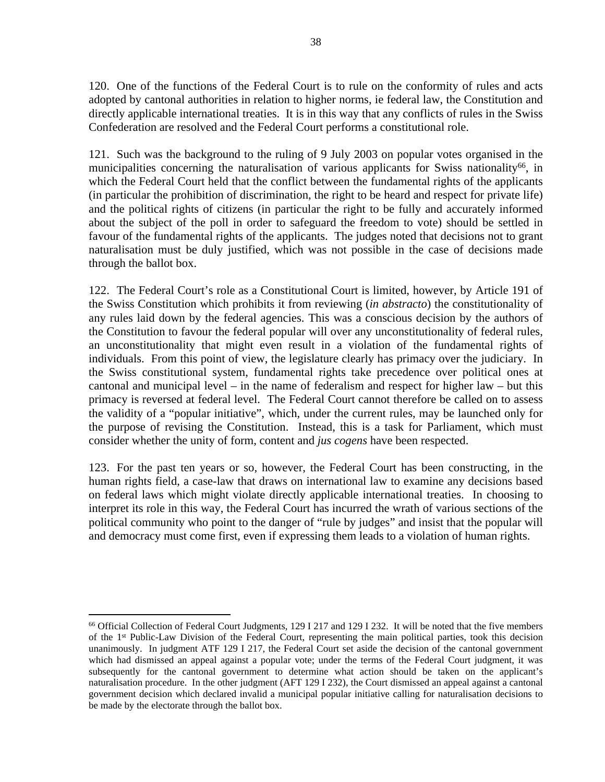120. One of the functions of the Federal Court is to rule on the conformity of rules and acts adopted by cantonal authorities in relation to higher norms, ie federal law, the Constitution and directly applicable international treaties. It is in this way that any conflicts of rules in the Swiss Confederation are resolved and the Federal Court performs a constitutional role.

121. Such was the background to the ruling of 9 July 2003 on popular votes organised in the municipalities concerning the naturalisation of various applicants for Swiss nationality<sup>66</sup>, in which the Federal Court held that the conflict between the fundamental rights of the applicants (in particular the prohibition of discrimination, the right to be heard and respect for private life) and the political rights of citizens (in particular the right to be fully and accurately informed about the subject of the poll in order to safeguard the freedom to vote) should be settled in favour of the fundamental rights of the applicants. The judges noted that decisions not to grant naturalisation must be duly justified, which was not possible in the case of decisions made through the ballot box.

122. The Federal Court's role as a Constitutional Court is limited, however, by Article 191 of the Swiss Constitution which prohibits it from reviewing (*in abstracto*) the constitutionality of any rules laid down by the federal agencies. This was a conscious decision by the authors of the Constitution to favour the federal popular will over any unconstitutionality of federal rules, an unconstitutionality that might even result in a violation of the fundamental rights of individuals. From this point of view, the legislature clearly has primacy over the judiciary. In the Swiss constitutional system, fundamental rights take precedence over political ones at cantonal and municipal level – in the name of federalism and respect for higher law – but this primacy is reversed at federal level. The Federal Court cannot therefore be called on to assess the validity of a "popular initiative", which, under the current rules, may be launched only for the purpose of revising the Constitution. Instead, this is a task for Parliament, which must consider whether the unity of form, content and *jus cogens* have been respected.

123. For the past ten years or so, however, the Federal Court has been constructing, in the human rights field, a case-law that draws on international law to examine any decisions based on federal laws which might violate directly applicable international treaties. In choosing to interpret its role in this way, the Federal Court has incurred the wrath of various sections of the political community who point to the danger of "rule by judges" and insist that the popular will and democracy must come first, even if expressing them leads to a violation of human rights.

<sup>66</sup> Official Collection of Federal Court Judgments, 129 I 217 and 129 I 232. It will be noted that the five members of the 1st Public-Law Division of the Federal Court, representing the main political parties, took this decision unanimously. In judgment ATF 129 I 217, the Federal Court set aside the decision of the cantonal government which had dismissed an appeal against a popular vote; under the terms of the Federal Court judgment, it was subsequently for the cantonal government to determine what action should be taken on the applicant's naturalisation procedure. In the other judgment (AFT 129 I 232), the Court dismissed an appeal against a cantonal government decision which declared invalid a municipal popular initiative calling for naturalisation decisions to be made by the electorate through the ballot box.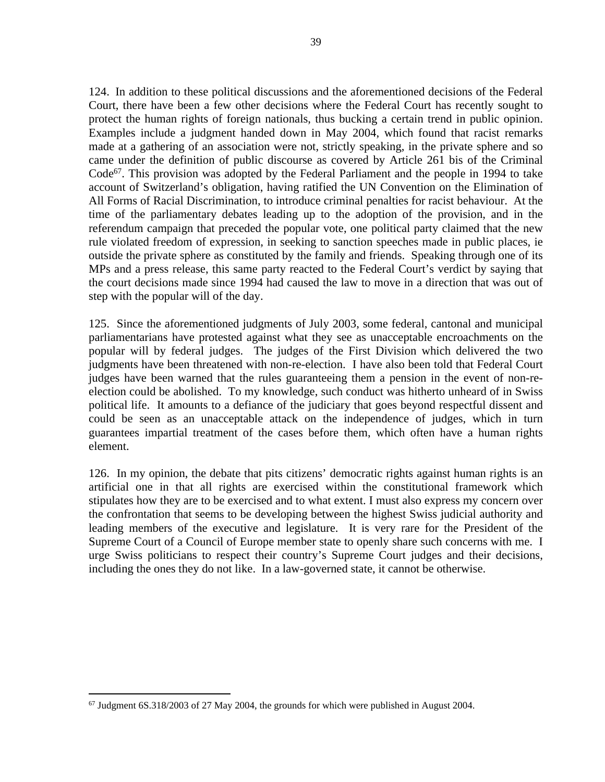124. In addition to these political discussions and the aforementioned decisions of the Federal Court, there have been a few other decisions where the Federal Court has recently sought to protect the human rights of foreign nationals, thus bucking a certain trend in public opinion. Examples include a judgment handed down in May 2004, which found that racist remarks made at a gathering of an association were not, strictly speaking, in the private sphere and so came under the definition of public discourse as covered by Article 261 bis of the Criminal Code<sup>67</sup>. This provision was adopted by the Federal Parliament and the people in 1994 to take account of Switzerland's obligation, having ratified the UN Convention on the Elimination of All Forms of Racial Discrimination, to introduce criminal penalties for racist behaviour. At the time of the parliamentary debates leading up to the adoption of the provision, and in the referendum campaign that preceded the popular vote, one political party claimed that the new rule violated freedom of expression, in seeking to sanction speeches made in public places, ie outside the private sphere as constituted by the family and friends. Speaking through one of its MPs and a press release, this same party reacted to the Federal Court's verdict by saying that the court decisions made since 1994 had caused the law to move in a direction that was out of step with the popular will of the day.

125. Since the aforementioned judgments of July 2003, some federal, cantonal and municipal parliamentarians have protested against what they see as unacceptable encroachments on the popular will by federal judges. The judges of the First Division which delivered the two judgments have been threatened with non-re-election. I have also been told that Federal Court judges have been warned that the rules guaranteeing them a pension in the event of non-reelection could be abolished. To my knowledge, such conduct was hitherto unheard of in Swiss political life. It amounts to a defiance of the judiciary that goes beyond respectful dissent and could be seen as an unacceptable attack on the independence of judges, which in turn guarantees impartial treatment of the cases before them, which often have a human rights element.

126. In my opinion, the debate that pits citizens' democratic rights against human rights is an artificial one in that all rights are exercised within the constitutional framework which stipulates how they are to be exercised and to what extent. I must also express my concern over the confrontation that seems to be developing between the highest Swiss judicial authority and leading members of the executive and legislature. It is very rare for the President of the Supreme Court of a Council of Europe member state to openly share such concerns with me. I urge Swiss politicians to respect their country's Supreme Court judges and their decisions, including the ones they do not like. In a law-governed state, it cannot be otherwise.

<sup>67</sup> Judgment 6S.318/2003 of 27 May 2004, the grounds for which were published in August 2004.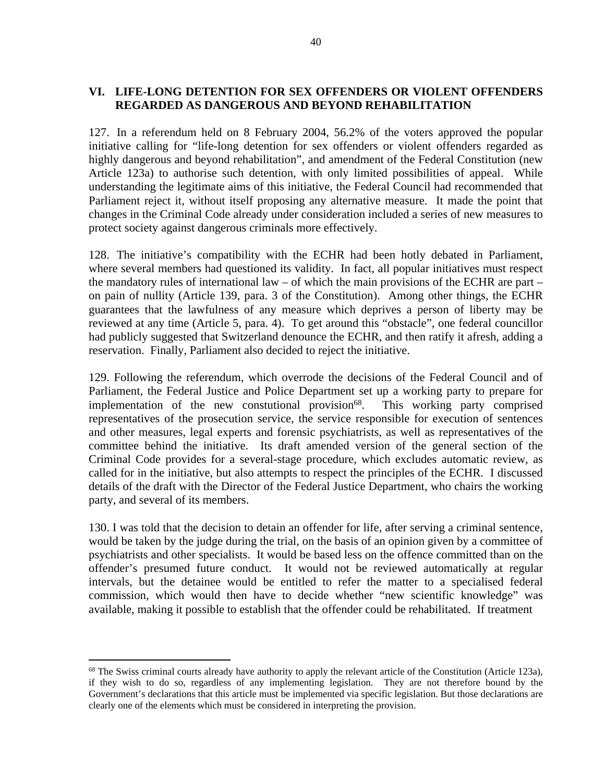#### **VI. LIFE-LONG DETENTION FOR SEX OFFENDERS OR VIOLENT OFFENDERS REGARDED AS DANGEROUS AND BEYOND REHABILITATION**

127. In a referendum held on 8 February 2004, 56.2% of the voters approved the popular initiative calling for "life-long detention for sex offenders or violent offenders regarded as highly dangerous and beyond rehabilitation", and amendment of the Federal Constitution (new Article 123a) to authorise such detention, with only limited possibilities of appeal. While understanding the legitimate aims of this initiative, the Federal Council had recommended that Parliament reject it, without itself proposing any alternative measure. It made the point that changes in the Criminal Code already under consideration included a series of new measures to protect society against dangerous criminals more effectively.

128. The initiative's compatibility with the ECHR had been hotly debated in Parliament, where several members had questioned its validity. In fact, all popular initiatives must respect the mandatory rules of international law – of which the main provisions of the ECHR are part – on pain of nullity (Article 139, para. 3 of the Constitution). Among other things, the ECHR guarantees that the lawfulness of any measure which deprives a person of liberty may be reviewed at any time (Article 5, para. 4). To get around this "obstacle", one federal councillor had publicly suggested that Switzerland denounce the ECHR, and then ratify it afresh, adding a reservation. Finally, Parliament also decided to reject the initiative.

129. Following the referendum, which overrode the decisions of the Federal Council and of Parliament, the Federal Justice and Police Department set up a working party to prepare for implementation of the new constutional provision<sup>68</sup>. This working party comprised representatives of the prosecution service, the service responsible for execution of sentences and other measures, legal experts and forensic psychiatrists, as well as representatives of the committee behind the initiative. Its draft amended version of the general section of the Criminal Code provides for a several-stage procedure, which excludes automatic review, as called for in the initiative, but also attempts to respect the principles of the ECHR. I discussed details of the draft with the Director of the Federal Justice Department, who chairs the working party, and several of its members.

130. I was told that the decision to detain an offender for life, after serving a criminal sentence, would be taken by the judge during the trial, on the basis of an opinion given by a committee of psychiatrists and other specialists. It would be based less on the offence committed than on the offender's presumed future conduct. It would not be reviewed automatically at regular intervals, but the detainee would be entitled to refer the matter to a specialised federal commission, which would then have to decide whether "new scientific knowledge" was available, making it possible to establish that the offender could be rehabilitated. If treatment

<sup>68</sup> The Swiss criminal courts already have authority to apply the relevant article of the Constitution (Article 123a), if they wish to do so, regardless of any implementing legislation. They are not therefore bound by the Government's declarations that this article must be implemented via specific legislation. But those declarations are clearly one of the elements which must be considered in interpreting the provision.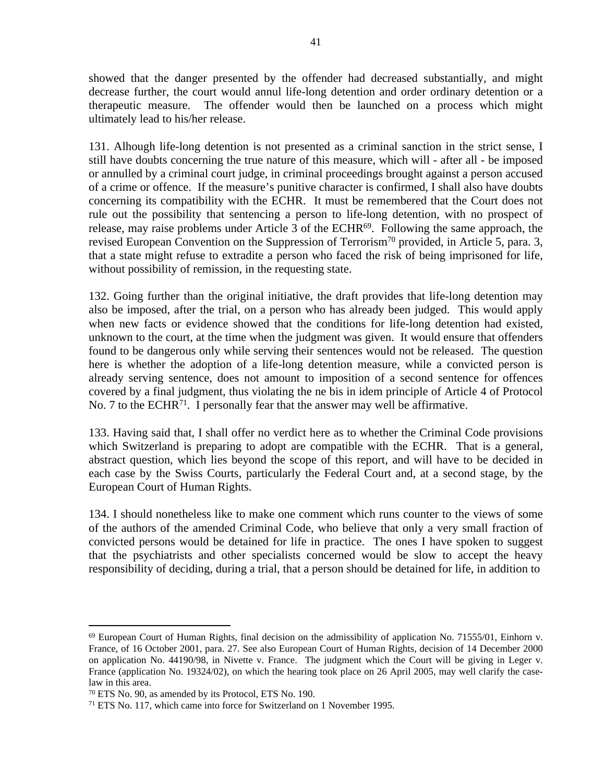showed that the danger presented by the offender had decreased substantially, and might decrease further, the court would annul life-long detention and order ordinary detention or a therapeutic measure. The offender would then be launched on a process which might ultimately lead to his/her release.

131. Alhough life-long detention is not presented as a criminal sanction in the strict sense, I still have doubts concerning the true nature of this measure, which will - after all - be imposed or annulled by a criminal court judge, in criminal proceedings brought against a person accused of a crime or offence. If the measure's punitive character is confirmed, I shall also have doubts concerning its compatibility with the ECHR. It must be remembered that the Court does not rule out the possibility that sentencing a person to life-long detention, with no prospect of release, may raise problems under Article 3 of the ECHR<sup>69</sup>. Following the same approach, the revised European Convention on the Suppression of Terrorism<sup>70</sup> provided, in Article 5, para. 3, that a state might refuse to extradite a person who faced the risk of being imprisoned for life, without possibility of remission, in the requesting state.

132. Going further than the original initiative, the draft provides that life-long detention may also be imposed, after the trial, on a person who has already been judged. This would apply when new facts or evidence showed that the conditions for life-long detention had existed, unknown to the court, at the time when the judgment was given. It would ensure that offenders found to be dangerous only while serving their sentences would not be released. The question here is whether the adoption of a life-long detention measure, while a convicted person is already serving sentence, does not amount to imposition of a second sentence for offences covered by a final judgment, thus violating the ne bis in idem principle of Article 4 of Protocol No. 7 to the ECHR<sup>71</sup>. I personally fear that the answer may well be affirmative.

133. Having said that, I shall offer no verdict here as to whether the Criminal Code provisions which Switzerland is preparing to adopt are compatible with the ECHR. That is a general, abstract question, which lies beyond the scope of this report, and will have to be decided in each case by the Swiss Courts, particularly the Federal Court and, at a second stage, by the European Court of Human Rights.

134. I should nonetheless like to make one comment which runs counter to the views of some of the authors of the amended Criminal Code, who believe that only a very small fraction of convicted persons would be detained for life in practice. The ones I have spoken to suggest that the psychiatrists and other specialists concerned would be slow to accept the heavy responsibility of deciding, during a trial, that a person should be detained for life, in addition to

 $69$  European Court of Human Rights, final decision on the admissibility of application No. 71555/01, Einhorn v. France, of 16 October 2001, para. 27. See also European Court of Human Rights, decision of 14 December 2000 on application No. 44190/98, in Nivette v. France. The judgment which the Court will be giving in Leger v. France (application No. 19324/02), on which the hearing took place on 26 April 2005, may well clarify the caselaw in this area.

<sup>70</sup> ETS No. 90, as amended by its Protocol, ETS No. 190.

<sup>71</sup> ETS No. 117, which came into force for Switzerland on 1 November 1995.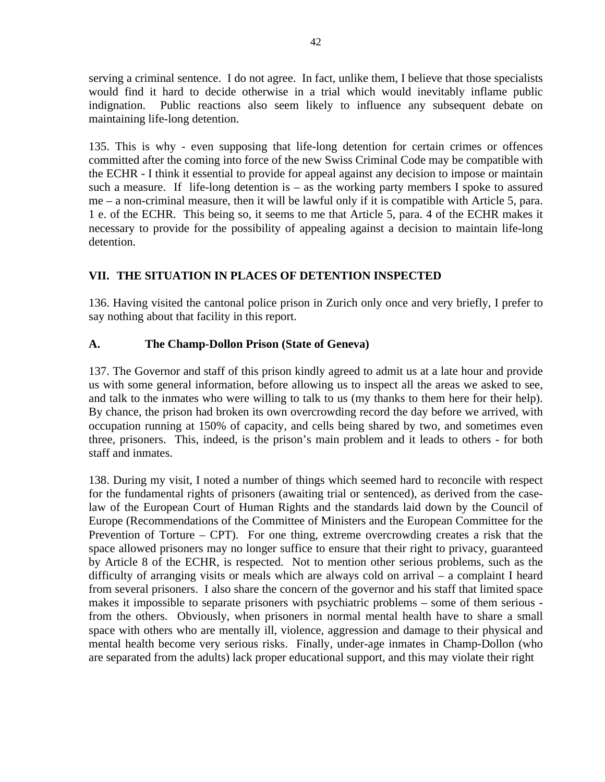serving a criminal sentence. I do not agree. In fact, unlike them, I believe that those specialists would find it hard to decide otherwise in a trial which would inevitably inflame public indignation. Public reactions also seem likely to influence any subsequent debate on maintaining life-long detention.

135. This is why - even supposing that life-long detention for certain crimes or offences committed after the coming into force of the new Swiss Criminal Code may be compatible with the ECHR - I think it essential to provide for appeal against any decision to impose or maintain such a measure. If life-long detention is  $-$  as the working party members I spoke to assured me – a non-criminal measure, then it will be lawful only if it is compatible with Article 5, para. 1 e. of the ECHR. This being so, it seems to me that Article 5, para. 4 of the ECHR makes it necessary to provide for the possibility of appealing against a decision to maintain life-long detention.

## **VII. THE SITUATION IN PLACES OF DETENTION INSPECTED**

136. Having visited the cantonal police prison in Zurich only once and very briefly, I prefer to say nothing about that facility in this report.

## **A. The Champ-Dollon Prison (State of Geneva)**

137. The Governor and staff of this prison kindly agreed to admit us at a late hour and provide us with some general information, before allowing us to inspect all the areas we asked to see, and talk to the inmates who were willing to talk to us (my thanks to them here for their help). By chance, the prison had broken its own overcrowding record the day before we arrived, with occupation running at 150% of capacity, and cells being shared by two, and sometimes even three, prisoners. This, indeed, is the prison's main problem and it leads to others - for both staff and inmates.

138. During my visit, I noted a number of things which seemed hard to reconcile with respect for the fundamental rights of prisoners (awaiting trial or sentenced), as derived from the caselaw of the European Court of Human Rights and the standards laid down by the Council of Europe (Recommendations of the Committee of Ministers and the European Committee for the Prevention of Torture – CPT). For one thing, extreme overcrowding creates a risk that the space allowed prisoners may no longer suffice to ensure that their right to privacy, guaranteed by Article 8 of the ECHR, is respected. Not to mention other serious problems, such as the difficulty of arranging visits or meals which are always cold on arrival – a complaint I heard from several prisoners. I also share the concern of the governor and his staff that limited space makes it impossible to separate prisoners with psychiatric problems – some of them serious from the others. Obviously, when prisoners in normal mental health have to share a small space with others who are mentally ill, violence, aggression and damage to their physical and mental health become very serious risks. Finally, under-age inmates in Champ-Dollon (who are separated from the adults) lack proper educational support, and this may violate their right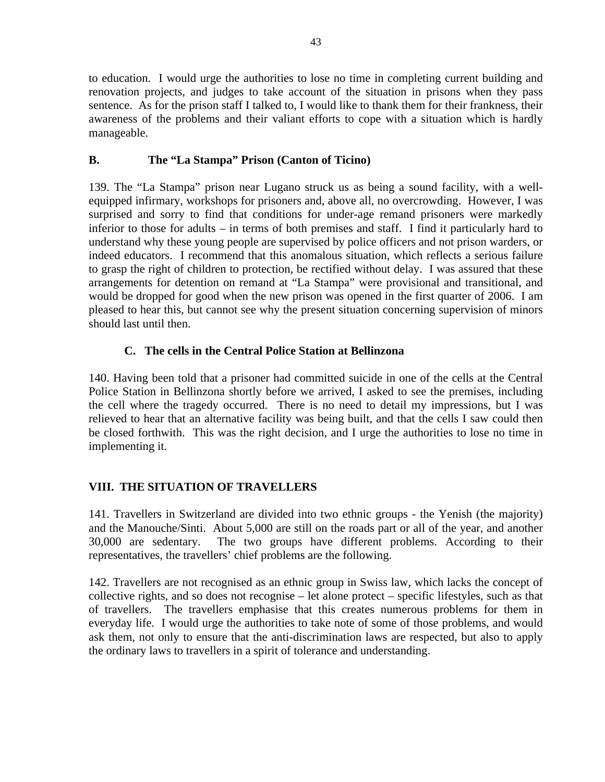to education. I would urge the authorities to lose no time in completing current building and renovation projects, and judges to take account of the situation in prisons when they pass sentence. As for the prison staff I talked to, I would like to thank them for their frankness, their awareness of the problems and their valiant efforts to cope with a situation which is hardly manageable.

## **B. The "La Stampa" Prison (Canton of Ticino)**

139. The "La Stampa" prison near Lugano struck us as being a sound facility, with a wellequipped infirmary, workshops for prisoners and, above all, no overcrowding. However, I was surprised and sorry to find that conditions for under-age remand prisoners were markedly inferior to those for adults – in terms of both premises and staff. I find it particularly hard to understand why these young people are supervised by police officers and not prison warders, or indeed educators. I recommend that this anomalous situation, which reflects a serious failure to grasp the right of children to protection, be rectified without delay. I was assured that these arrangements for detention on remand at "La Stampa" were provisional and transitional, and would be dropped for good when the new prison was opened in the first quarter of 2006. I am pleased to hear this, but cannot see why the present situation concerning supervision of minors should last until then.

## **C. The cells in the Central Police Station at Bellinzona**

140. Having been told that a prisoner had committed suicide in one of the cells at the Central Police Station in Bellinzona shortly before we arrived, I asked to see the premises, including the cell where the tragedy occurred. There is no need to detail my impressions, but I was relieved to hear that an alternative facility was being built, and that the cells I saw could then be closed forthwith. This was the right decision, and I urge the authorities to lose no time in implementing it.

## **VIII. THE SITUATION OF TRAVELLERS**

141. Travellers in Switzerland are divided into two ethnic groups - the Yenish (the majority) and the Manouche/Sinti. About 5,000 are still on the roads part or all of the year, and another 30,000 are sedentary. The two groups have different problems. According to their representatives, the travellers' chief problems are the following.

142. Travellers are not recognised as an ethnic group in Swiss law, which lacks the concept of collective rights, and so does not recognise – let alone protect – specific lifestyles, such as that of travellers. The travellers emphasise that this creates numerous problems for them in everyday life. I would urge the authorities to take note of some of those problems, and would ask them, not only to ensure that the anti-discrimination laws are respected, but also to apply the ordinary laws to travellers in a spirit of tolerance and understanding.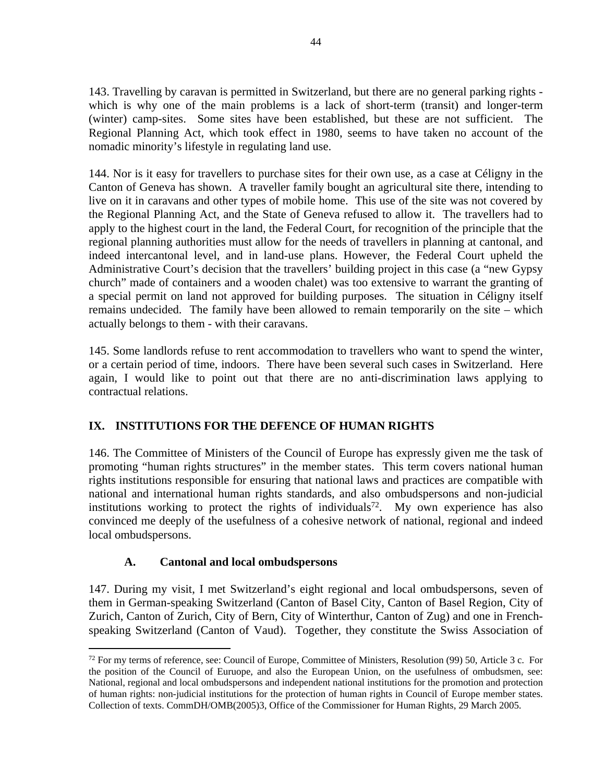143. Travelling by caravan is permitted in Switzerland, but there are no general parking rights which is why one of the main problems is a lack of short-term (transit) and longer-term (winter) camp-sites. Some sites have been established, but these are not sufficient. The Regional Planning Act, which took effect in 1980, seems to have taken no account of the nomadic minority's lifestyle in regulating land use.

144. Nor is it easy for travellers to purchase sites for their own use, as a case at Céligny in the Canton of Geneva has shown. A traveller family bought an agricultural site there, intending to live on it in caravans and other types of mobile home. This use of the site was not covered by the Regional Planning Act, and the State of Geneva refused to allow it. The travellers had to apply to the highest court in the land, the Federal Court, for recognition of the principle that the regional planning authorities must allow for the needs of travellers in planning at cantonal, and indeed intercantonal level, and in land-use plans. However, the Federal Court upheld the Administrative Court's decision that the travellers' building project in this case (a "new Gypsy church" made of containers and a wooden chalet) was too extensive to warrant the granting of a special permit on land not approved for building purposes. The situation in Céligny itself remains undecided. The family have been allowed to remain temporarily on the site – which actually belongs to them - with their caravans.

145. Some landlords refuse to rent accommodation to travellers who want to spend the winter, or a certain period of time, indoors. There have been several such cases in Switzerland. Here again, I would like to point out that there are no anti-discrimination laws applying to contractual relations.

## **IX. INSTITUTIONS FOR THE DEFENCE OF HUMAN RIGHTS**

146. The Committee of Ministers of the Council of Europe has expressly given me the task of promoting "human rights structures" in the member states. This term covers national human rights institutions responsible for ensuring that national laws and practices are compatible with national and international human rights standards, and also ombudspersons and non-judicial institutions working to protect the rights of individuals<sup>72</sup>. My own experience has also convinced me deeply of the usefulness of a cohesive network of national, regional and indeed local ombudspersons.

## **A. Cantonal and local ombudspersons**

147. During my visit, I met Switzerland's eight regional and local ombudspersons, seven of them in German-speaking Switzerland (Canton of Basel City, Canton of Basel Region, City of Zurich, Canton of Zurich, City of Bern, City of Winterthur, Canton of Zug) and one in Frenchspeaking Switzerland (Canton of Vaud). Together, they constitute the Swiss Association of

 $72$  For my terms of reference, see: Council of Europe, Committee of Ministers, Resolution (99) 50, Article 3 c. For the position of the Council of Euruope, and also the European Union, on the usefulness of ombudsmen, see: National, regional and local ombudspersons and independent national institutions for the promotion and protection of human rights: non-judicial institutions for the protection of human rights in Council of Europe member states. Collection of texts. CommDH/OMB(2005)3, Office of the Commissioner for Human Rights, 29 March 2005.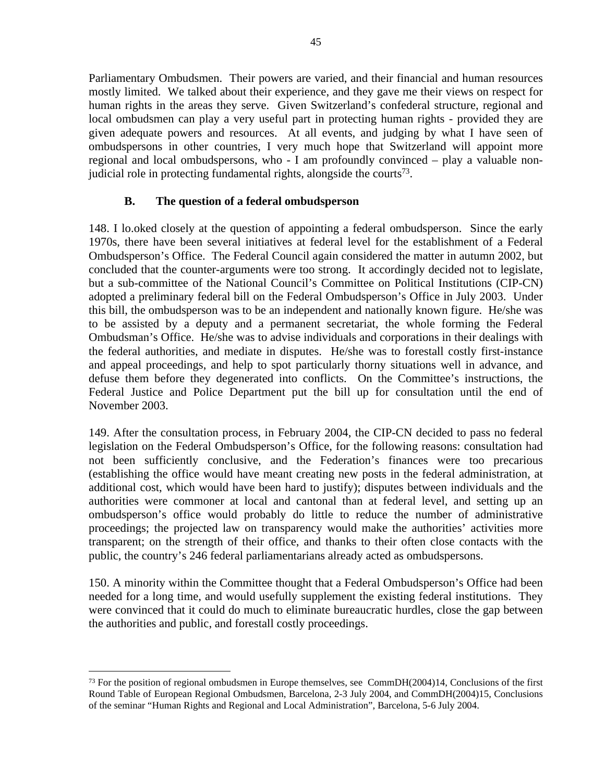Parliamentary Ombudsmen. Their powers are varied, and their financial and human resources mostly limited. We talked about their experience, and they gave me their views on respect for human rights in the areas they serve. Given Switzerland's confederal structure, regional and local ombudsmen can play a very useful part in protecting human rights - provided they are given adequate powers and resources. At all events, and judging by what I have seen of ombudspersons in other countries, I very much hope that Switzerland will appoint more regional and local ombudspersons, who - I am profoundly convinced – play a valuable nonjudicial role in protecting fundamental rights, alongside the courts<sup>73</sup>.

## **B. The question of a federal ombudsperson**

148. I lo.oked closely at the question of appointing a federal ombudsperson. Since the early 1970s, there have been several initiatives at federal level for the establishment of a Federal Ombudsperson's Office. The Federal Council again considered the matter in autumn 2002, but concluded that the counter-arguments were too strong. It accordingly decided not to legislate, but a sub-committee of the National Council's Committee on Political Institutions (CIP-CN) adopted a preliminary federal bill on the Federal Ombudsperson's Office in July 2003. Under this bill, the ombudsperson was to be an independent and nationally known figure. He/she was to be assisted by a deputy and a permanent secretariat, the whole forming the Federal Ombudsman's Office. He/she was to advise individuals and corporations in their dealings with the federal authorities, and mediate in disputes. He/she was to forestall costly first-instance and appeal proceedings, and help to spot particularly thorny situations well in advance, and defuse them before they degenerated into conflicts. On the Committee's instructions, the Federal Justice and Police Department put the bill up for consultation until the end of November 2003.

149. After the consultation process, in February 2004, the CIP-CN decided to pass no federal legislation on the Federal Ombudsperson's Office, for the following reasons: consultation had not been sufficiently conclusive, and the Federation's finances were too precarious (establishing the office would have meant creating new posts in the federal administration, at additional cost, which would have been hard to justify); disputes between individuals and the authorities were commoner at local and cantonal than at federal level, and setting up an ombudsperson's office would probably do little to reduce the number of administrative proceedings; the projected law on transparency would make the authorities' activities more transparent; on the strength of their office, and thanks to their often close contacts with the public, the country's 246 federal parliamentarians already acted as ombudspersons.

150. A minority within the Committee thought that a Federal Ombudsperson's Office had been needed for a long time, and would usefully supplement the existing federal institutions. They were convinced that it could do much to eliminate bureaucratic hurdles, close the gap between the authorities and public, and forestall costly proceedings.

 $^{73}$  For the position of regional ombudsmen in Europe themselves, see CommDH $(2004)14$ , Conclusions of the first Round Table of European Regional Ombudsmen, Barcelona, 2-3 July 2004, and CommDH(2004)15, Conclusions of the seminar "Human Rights and Regional and Local Administration", Barcelona, 5-6 July 2004.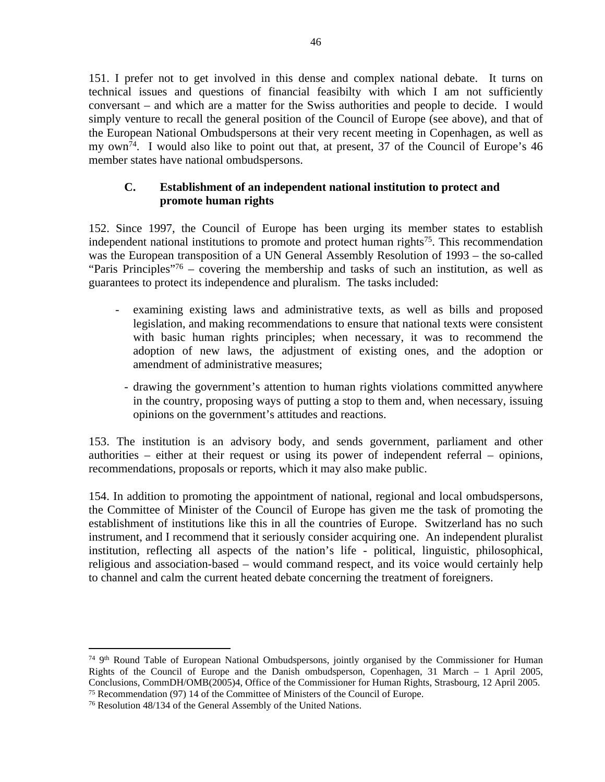151. I prefer not to get involved in this dense and complex national debate. It turns on technical issues and questions of financial feasibilty with which I am not sufficiently conversant – and which are a matter for the Swiss authorities and people to decide. I would simply venture to recall the general position of the Council of Europe (see above), and that of the European National Ombudspersons at their very recent meeting in Copenhagen, as well as my own<sup>74</sup>. I would also like to point out that, at present, 37 of the Council of Europe's 46 member states have national ombudspersons.

#### **C. Establishment of an independent national institution to protect and promote human rights**

152. Since 1997, the Council of Europe has been urging its member states to establish independent national institutions to promote and protect human rights<sup>75</sup>. This recommendation was the European transposition of a UN General Assembly Resolution of 1993 – the so-called "Paris Principles"<sup>76</sup> – covering the membership and tasks of such an institution, as well as guarantees to protect its independence and pluralism. The tasks included:

- examining existing laws and administrative texts, as well as bills and proposed legislation, and making recommendations to ensure that national texts were consistent with basic human rights principles; when necessary, it was to recommend the adoption of new laws, the adjustment of existing ones, and the adoption or amendment of administrative measures;
	- drawing the government's attention to human rights violations committed anywhere in the country, proposing ways of putting a stop to them and, when necessary, issuing opinions on the government's attitudes and reactions.

153. The institution is an advisory body, and sends government, parliament and other authorities – either at their request or using its power of independent referral – opinions, recommendations, proposals or reports, which it may also make public.

154. In addition to promoting the appointment of national, regional and local ombudspersons, the Committee of Minister of the Council of Europe has given me the task of promoting the establishment of institutions like this in all the countries of Europe. Switzerland has no such instrument, and I recommend that it seriously consider acquiring one. An independent pluralist institution, reflecting all aspects of the nation's life - political, linguistic, philosophical, religious and association-based – would command respect, and its voice would certainly help to channel and calm the current heated debate concerning the treatment of foreigners.

<sup>74</sup> 9th Round Table of European National Ombudspersons, jointly organised by the Commissioner for Human Rights of the Council of Europe and the Danish ombudsperson, Copenhagen, 31 March – 1 April 2005, Conclusions, CommDH/OMB(2005)4, Office of the Commissioner for Human Rights, Strasbourg, 12 April 2005. <sup>75</sup> Recommendation (97) 14 of the Committee of Ministers of the Council of Europe.

<sup>76</sup> Resolution 48/134 of the General Assembly of the United Nations.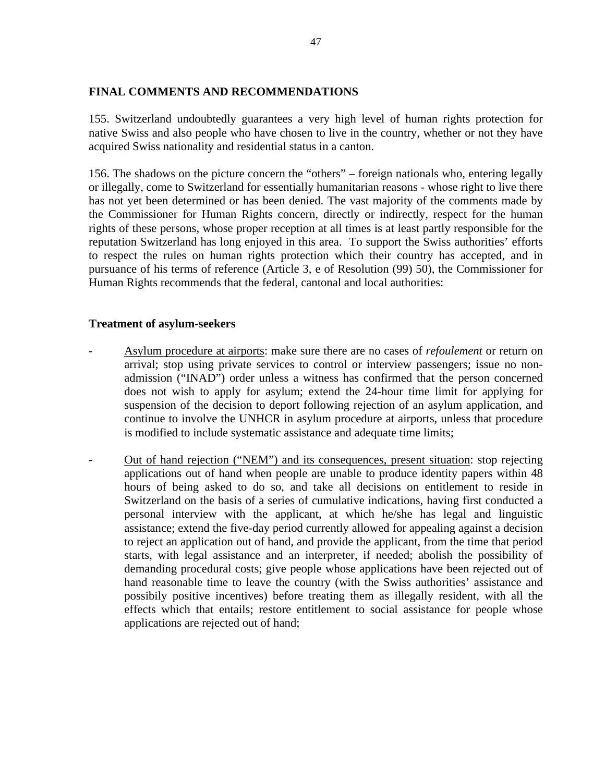#### **FINAL COMMENTS AND RECOMMENDATIONS**

155. Switzerland undoubtedly guarantees a very high level of human rights protection for native Swiss and also people who have chosen to live in the country, whether or not they have acquired Swiss nationality and residential status in a canton.

156. The shadows on the picture concern the "others" – foreign nationals who, entering legally or illegally, come to Switzerland for essentially humanitarian reasons - whose right to live there has not yet been determined or has been denied. The vast majority of the comments made by the Commissioner for Human Rights concern, directly or indirectly, respect for the human rights of these persons, whose proper reception at all times is at least partly responsible for the reputation Switzerland has long enjoyed in this area. To support the Swiss authorities' efforts to respect the rules on human rights protection which their country has accepted, and in pursuance of his terms of reference (Article 3, e of Resolution (99) 50), the Commissioner for Human Rights recommends that the federal, cantonal and local authorities:

#### **Treatment of asylum-seekers**

- Asylum procedure at airports: make sure there are no cases of *refoulement* or return on arrival; stop using private services to control or interview passengers; issue no nonadmission ("INAD") order unless a witness has confirmed that the person concerned does not wish to apply for asylum; extend the 24-hour time limit for applying for suspension of the decision to deport following rejection of an asylum application, and continue to involve the UNHCR in asylum procedure at airports, unless that procedure is modified to include systematic assistance and adequate time limits;
- Out of hand rejection ("NEM") and its consequences, present situation: stop rejecting applications out of hand when people are unable to produce identity papers within 48 hours of being asked to do so, and take all decisions on entitlement to reside in Switzerland on the basis of a series of cumulative indications, having first conducted a personal interview with the applicant, at which he/she has legal and linguistic assistance; extend the five-day period currently allowed for appealing against a decision to reject an application out of hand, and provide the applicant, from the time that period starts, with legal assistance and an interpreter, if needed; abolish the possibility of demanding procedural costs; give people whose applications have been rejected out of hand reasonable time to leave the country (with the Swiss authorities' assistance and possibily positive incentives) before treating them as illegally resident, with all the effects which that entails; restore entitlement to social assistance for people whose applications are rejected out of hand;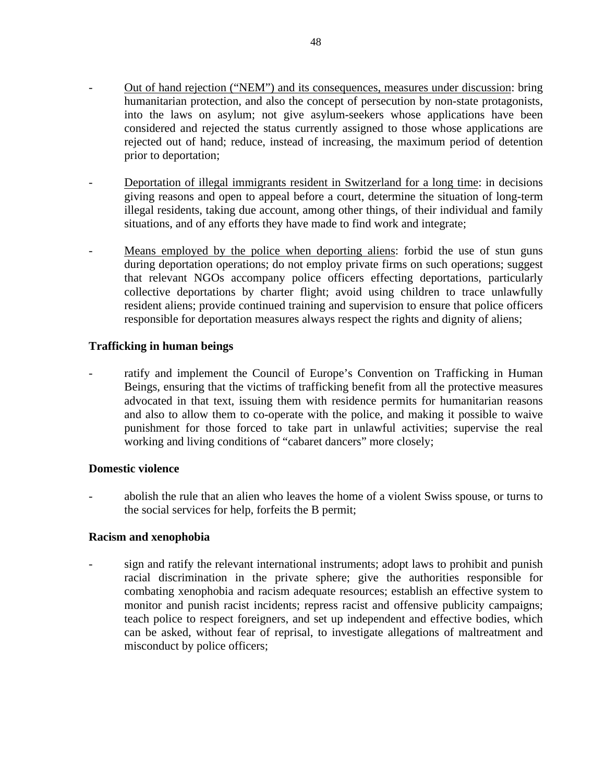- Out of hand rejection ("NEM") and its consequences, measures under discussion: bring humanitarian protection, and also the concept of persecution by non-state protagonists, into the laws on asylum; not give asylum-seekers whose applications have been considered and rejected the status currently assigned to those whose applications are rejected out of hand; reduce, instead of increasing, the maximum period of detention prior to deportation;
- Deportation of illegal immigrants resident in Switzerland for a long time: in decisions giving reasons and open to appeal before a court, determine the situation of long-term illegal residents, taking due account, among other things, of their individual and family situations, and of any efforts they have made to find work and integrate;
- Means employed by the police when deporting aliens: forbid the use of stun guns during deportation operations; do not employ private firms on such operations; suggest that relevant NGOs accompany police officers effecting deportations, particularly collective deportations by charter flight; avoid using children to trace unlawfully resident aliens; provide continued training and supervision to ensure that police officers responsible for deportation measures always respect the rights and dignity of aliens;

#### **Trafficking in human beings**

ratify and implement the Council of Europe's Convention on Trafficking in Human Beings, ensuring that the victims of trafficking benefit from all the protective measures advocated in that text, issuing them with residence permits for humanitarian reasons and also to allow them to co-operate with the police, and making it possible to waive punishment for those forced to take part in unlawful activities; supervise the real working and living conditions of "cabaret dancers" more closely;

#### **Domestic violence**

- abolish the rule that an alien who leaves the home of a violent Swiss spouse, or turns to the social services for help, forfeits the B permit;

#### **Racism and xenophobia**

sign and ratify the relevant international instruments; adopt laws to prohibit and punish racial discrimination in the private sphere; give the authorities responsible for combating xenophobia and racism adequate resources; establish an effective system to monitor and punish racist incidents; repress racist and offensive publicity campaigns; teach police to respect foreigners, and set up independent and effective bodies, which can be asked, without fear of reprisal, to investigate allegations of maltreatment and misconduct by police officers;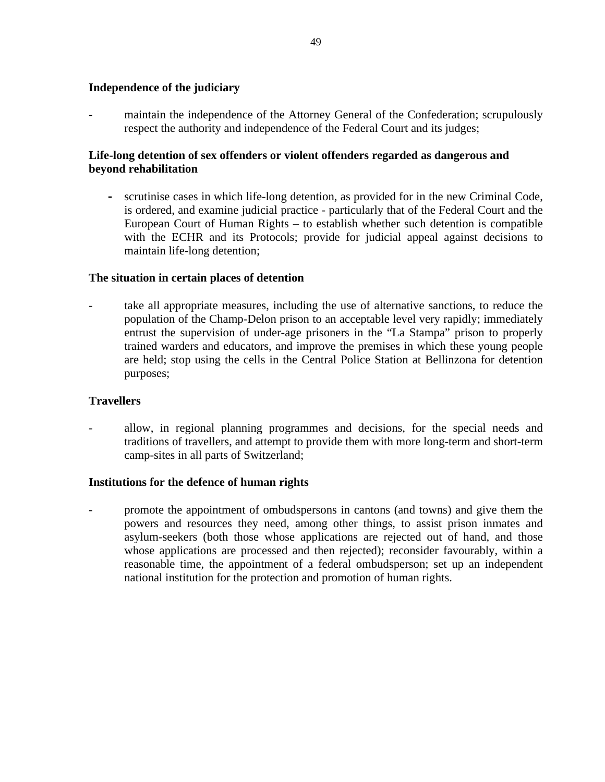#### **Independence of the judiciary**

maintain the independence of the Attorney General of the Confederation; scrupulously respect the authority and independence of the Federal Court and its judges;

## **Life-long detention of sex offenders or violent offenders regarded as dangerous and beyond rehabilitation**

**-** scrutinise cases in which life-long detention, as provided for in the new Criminal Code, is ordered, and examine judicial practice - particularly that of the Federal Court and the European Court of Human Rights – to establish whether such detention is compatible with the ECHR and its Protocols; provide for judicial appeal against decisions to maintain life-long detention;

#### **The situation in certain places of detention**

take all appropriate measures, including the use of alternative sanctions, to reduce the population of the Champ-Delon prison to an acceptable level very rapidly; immediately entrust the supervision of under-age prisoners in the "La Stampa" prison to properly trained warders and educators, and improve the premises in which these young people are held; stop using the cells in the Central Police Station at Bellinzona for detention purposes;

#### **Travellers**

- allow, in regional planning programmes and decisions, for the special needs and traditions of travellers, and attempt to provide them with more long-term and short-term camp-sites in all parts of Switzerland;

## **Institutions for the defence of human rights**

- promote the appointment of ombudspersons in cantons (and towns) and give them the powers and resources they need, among other things, to assist prison inmates and asylum-seekers (both those whose applications are rejected out of hand, and those whose applications are processed and then rejected); reconsider favourably, within a reasonable time, the appointment of a federal ombudsperson; set up an independent national institution for the protection and promotion of human rights.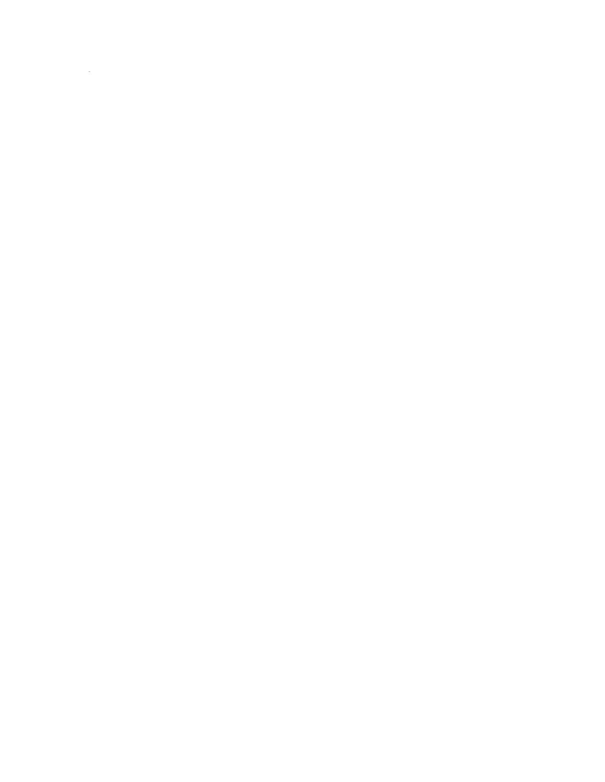$\mathcal{O}(\log\log n)$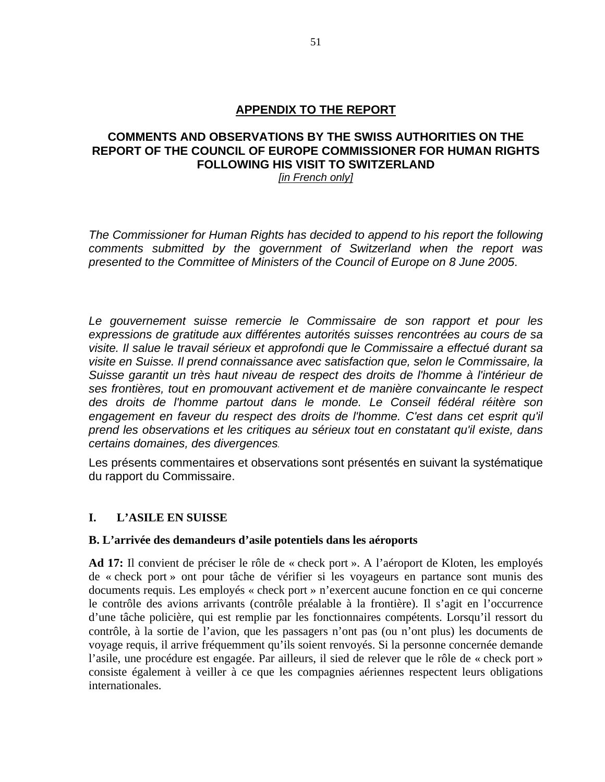## **APPENDIX TO THE REPORT**

## **COMMENTS AND OBSERVATIONS BY THE SWISS AUTHORITIES ON THE REPORT OF THE COUNCIL OF EUROPE COMMISSIONER FOR HUMAN RIGHTS FOLLOWING HIS VISIT TO SWITZERLAND**

*[in French only]*

*The Commissioner for Human Rights has decided to append to his report the following comments submitted by the government of Switzerland when the report was presented to the Committee of Ministers of the Council of Europe on 8 June 2005*.

*Le gouvernement suisse remercie le Commissaire de son rapport et pour les expressions de gratitude aux différentes autorités suisses rencontrées au cours de sa visite. Il salue le travail sérieux et approfondi que le Commissaire a effectué durant sa visite en Suisse. Il prend connaissance avec satisfaction que, selon le Commissaire, la Suisse garantit un très haut niveau de respect des droits de l'homme à l'intérieur de ses frontières, tout en promouvant activement et de manière convaincante le respect des droits de l'homme partout dans le monde. Le Conseil fédéral réitère son engagement en faveur du respect des droits de l'homme. C'est dans cet esprit qu'il prend les observations et les critiques au sérieux tout en constatant qu'il existe, dans certains domaines, des divergences.* 

Les présents commentaires et observations sont présentés en suivant la systématique du rapport du Commissaire.

#### **I. L'ASILE EN SUISSE**

#### **B. L'arrivée des demandeurs d'asile potentiels dans les aéroports**

**Ad 17:** Il convient de préciser le rôle de « check port ». A l'aéroport de Kloten, les employés de « check port » ont pour tâche de vérifier si les voyageurs en partance sont munis des documents requis. Les employés « check port » n'exercent aucune fonction en ce qui concerne le contrôle des avions arrivants (contrôle préalable à la frontière). Il s'agit en l'occurrence d'une tâche policière, qui est remplie par les fonctionnaires compétents. Lorsqu'il ressort du contrôle, à la sortie de l'avion, que les passagers n'ont pas (ou n'ont plus) les documents de voyage requis, il arrive fréquemment qu'ils soient renvoyés. Si la personne concernée demande l'asile, une procédure est engagée. Par ailleurs, il sied de relever que le rôle de « check port » consiste également à veiller à ce que les compagnies aériennes respectent leurs obligations internationales.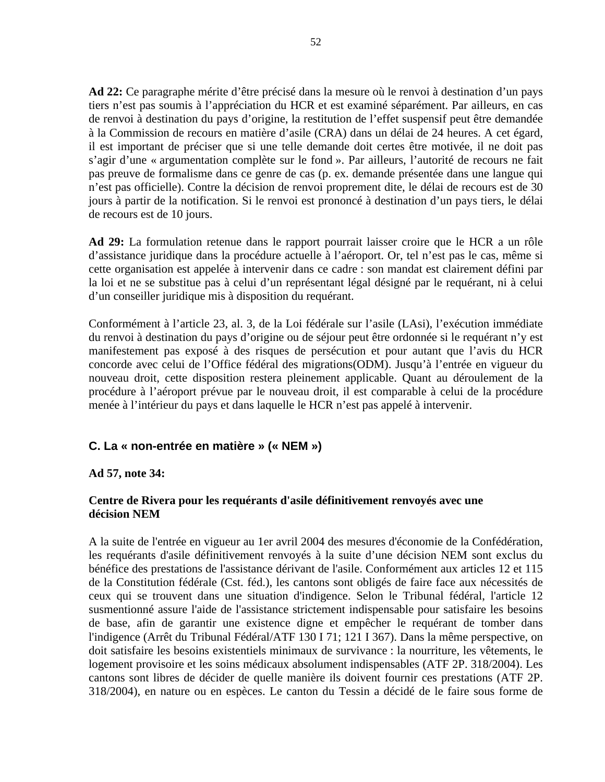**Ad 22:** Ce paragraphe mérite d'être précisé dans la mesure où le renvoi à destination d'un pays tiers n'est pas soumis à l'appréciation du HCR et est examiné séparément. Par ailleurs, en cas de renvoi à destination du pays d'origine, la restitution de l'effet suspensif peut être demandée à la Commission de recours en matière d'asile (CRA) dans un délai de 24 heures. A cet égard, il est important de préciser que si une telle demande doit certes être motivée, il ne doit pas s'agir d'une « argumentation complète sur le fond ». Par ailleurs, l'autorité de recours ne fait pas preuve de formalisme dans ce genre de cas (p. ex. demande présentée dans une langue qui n'est pas officielle). Contre la décision de renvoi proprement dite, le délai de recours est de 30 jours à partir de la notification. Si le renvoi est prononcé à destination d'un pays tiers, le délai de recours est de 10 jours.

**Ad 29:** La formulation retenue dans le rapport pourrait laisser croire que le HCR a un rôle d'assistance juridique dans la procédure actuelle à l'aéroport. Or, tel n'est pas le cas, même si cette organisation est appelée à intervenir dans ce cadre : son mandat est clairement défini par la loi et ne se substitue pas à celui d'un représentant légal désigné par le requérant, ni à celui d'un conseiller juridique mis à disposition du requérant.

Conformément à l'article 23, al. 3, de la Loi fédérale sur l'asile (LAsi), l'exécution immédiate du renvoi à destination du pays d'origine ou de séjour peut être ordonnée si le requérant n'y est manifestement pas exposé à des risques de persécution et pour autant que l'avis du HCR concorde avec celui de l'Office fédéral des migrations(ODM). Jusqu'à l'entrée en vigueur du nouveau droit, cette disposition restera pleinement applicable. Quant au déroulement de la procédure à l'aéroport prévue par le nouveau droit, il est comparable à celui de la procédure menée à l'intérieur du pays et dans laquelle le HCR n'est pas appelé à intervenir.

## **C. La « non-entrée en matière » (« NEM »)**

**Ad 57, note 34:**

#### **Centre de Rivera pour les requérants d'asile définitivement renvoyés avec une décision NEM**

A la suite de l'entrée en vigueur au 1er avril 2004 des mesures d'économie de la Confédération, les requérants d'asile définitivement renvoyés à la suite d'une décision NEM sont exclus du bénéfice des prestations de l'assistance dérivant de l'asile. Conformément aux articles 12 et 115 de la Constitution fédérale (Cst. féd.), les cantons sont obligés de faire face aux nécessités de ceux qui se trouvent dans une situation d'indigence. Selon le Tribunal fédéral, l'article 12 susmentionné assure l'aide de l'assistance strictement indispensable pour satisfaire les besoins de base, afin de garantir une existence digne et empêcher le requérant de tomber dans l'indigence (Arrêt du Tribunal Fédéral/ATF 130 I 71; 121 I 367). Dans la même perspective, on doit satisfaire les besoins existentiels minimaux de survivance : la nourriture, les vêtements, le logement provisoire et les soins médicaux absolument indispensables (ATF 2P. 318/2004). Les cantons sont libres de décider de quelle manière ils doivent fournir ces prestations (ATF 2P. 318/2004), en nature ou en espèces. Le canton du Tessin a décidé de le faire sous forme de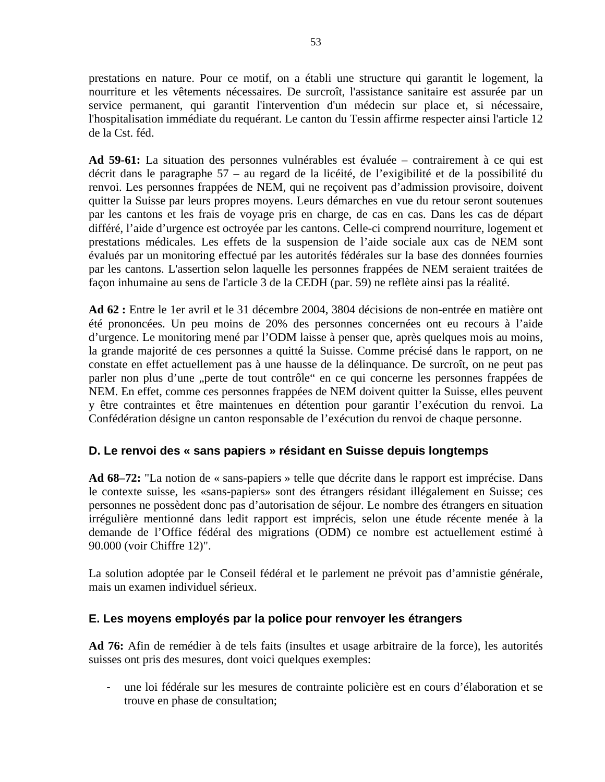prestations en nature. Pour ce motif, on a établi une structure qui garantit le logement, la nourriture et les vêtements nécessaires. De surcroît, l'assistance sanitaire est assurée par un service permanent, qui garantit l'intervention d'un médecin sur place et, si nécessaire, l'hospitalisation immédiate du requérant. Le canton du Tessin affirme respecter ainsi l'article 12 de la Cst. féd.

**Ad 59-61:** La situation des personnes vulnérables est évaluée – contrairement à ce qui est décrit dans le paragraphe 57 – au regard de la licéité, de l'exigibilité et de la possibilité du renvoi. Les personnes frappées de NEM, qui ne reçoivent pas d'admission provisoire, doivent quitter la Suisse par leurs propres moyens. Leurs démarches en vue du retour seront soutenues par les cantons et les frais de voyage pris en charge, de cas en cas. Dans les cas de départ différé, l'aide d'urgence est octroyée par les cantons. Celle-ci comprend nourriture, logement et prestations médicales. Les effets de la suspension de l'aide sociale aux cas de NEM sont évalués par un monitoring effectué par les autorités fédérales sur la base des données fournies par les cantons. L'assertion selon laquelle les personnes frappées de NEM seraient traitées de façon inhumaine au sens de l'article 3 de la CEDH (par. 59) ne reflète ainsi pas la réalité.

**Ad 62 :** Entre le 1er avril et le 31 décembre 2004, 3804 décisions de non-entrée en matière ont été prononcées. Un peu moins de 20% des personnes concernées ont eu recours à l'aide d'urgence. Le monitoring mené par l'ODM laisse à penser que, après quelques mois au moins, la grande majorité de ces personnes a quitté la Suisse. Comme précisé dans le rapport, on ne constate en effet actuellement pas à une hausse de la délinquance. De surcroît, on ne peut pas parler non plus d'une "perte de tout contrôle" en ce qui concerne les personnes frappées de NEM. En effet, comme ces personnes frappées de NEM doivent quitter la Suisse, elles peuvent y être contraintes et être maintenues en détention pour garantir l'exécution du renvoi. La Confédération désigne un canton responsable de l'exécution du renvoi de chaque personne.

## **D. Le renvoi des « sans papiers » résidant en Suisse depuis longtemps**

**Ad 68–72:** "La notion de « sans-papiers » telle que décrite dans le rapport est imprécise. Dans le contexte suisse, les «sans-papiers» sont des étrangers résidant illégalement en Suisse; ces personnes ne possèdent donc pas d'autorisation de séjour. Le nombre des étrangers en situation irrégulière mentionné dans ledit rapport est imprécis, selon une étude récente menée à la demande de l'Office fédéral des migrations (ODM) ce nombre est actuellement estimé à 90.000 (voir Chiffre 12)".

La solution adoptée par le Conseil fédéral et le parlement ne prévoit pas d'amnistie générale, mais un examen individuel sérieux.

## **E. Les moyens employés par la police pour renvoyer les étrangers**

**Ad 76:** Afin de remédier à de tels faits (insultes et usage arbitraire de la force), les autorités suisses ont pris des mesures, dont voici quelques exemples:

- une loi fédérale sur les mesures de contrainte policière est en cours d'élaboration et se trouve en phase de consultation;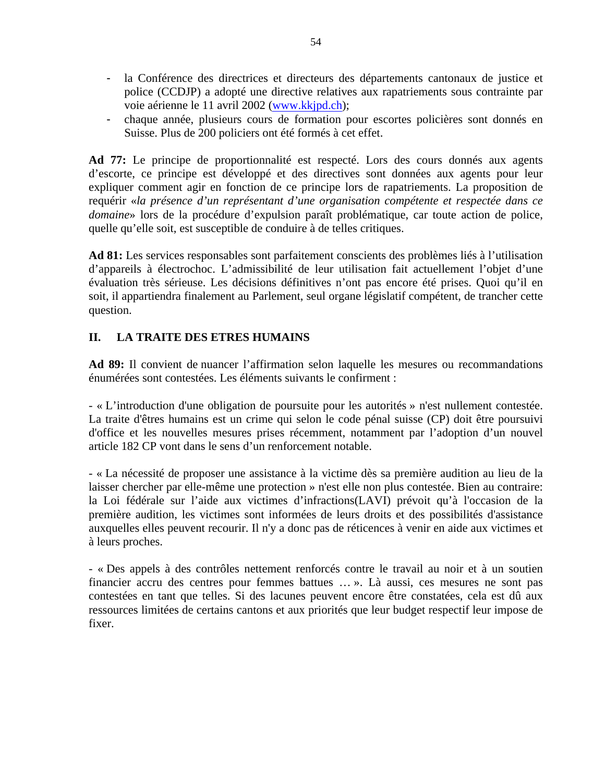- la Conférence des directrices et directeurs des départements cantonaux de justice et police (CCDJP) a adopté une directive relatives aux rapatriements sous contrainte par voie aérienne le 11 avril 2002 ([www.kkjpd.ch](http://www.kkjd.ch));
- chaque année, plusieurs cours de formation pour escortes policières sont donnés en Suisse. Plus de 200 policiers ont été formés à cet effet.

**Ad 77:** Le principe de proportionnalité est respecté. Lors des cours donnés aux agents d'escorte, ce principe est développé et des directives sont données aux agents pour leur expliquer comment agir en fonction de ce principe lors de rapatriements. La proposition de requérir «*la présence d'un représentant d'une organisation compétente et respectée dans ce domaine*» lors de la procédure d'expulsion paraît problématique, car toute action de police, quelle qu'elle soit, est susceptible de conduire à de telles critiques.

**Ad 81:** Les services responsables sont parfaitement conscients des problèmes liés à l'utilisation d'appareils à électrochoc. L'admissibilité de leur utilisation fait actuellement l'objet d'une évaluation très sérieuse. Les décisions définitives n'ont pas encore été prises. Quoi qu'il en soit, il appartiendra finalement au Parlement, seul organe législatif compétent, de trancher cette question.

## **II. LA TRAITE DES ETRES HUMAINS**

**Ad 89:** Il convient de nuancer l'affirmation selon laquelle les mesures ou recommandations énumérées sont contestées. Les éléments suivants le confirment :

- « L'introduction d'une obligation de poursuite pour les autorités » n'est nullement contestée. La traite d'êtres humains est un crime qui selon le code pénal suisse (CP) doit être poursuivi d'office et les nouvelles mesures prises récemment, notamment par l'adoption d'un nouvel article 182 CP vont dans le sens d'un renforcement notable.

- « La nécessité de proposer une assistance à la victime dès sa première audition au lieu de la laisser chercher par elle-même une protection » n'est elle non plus contestée. Bien au contraire: la Loi fédérale sur l'aide aux victimes d'infractions(LAVI) prévoit qu'à l'occasion de la première audition, les victimes sont informées de leurs droits et des possibilités d'assistance auxquelles elles peuvent recourir. Il n'y a donc pas de réticences à venir en aide aux victimes et à leurs proches.

- « Des appels à des contrôles nettement renforcés contre le travail au noir et à un soutien financier accru des centres pour femmes battues … ». Là aussi, ces mesures ne sont pas contestées en tant que telles. Si des lacunes peuvent encore être constatées, cela est dû aux ressources limitées de certains cantons et aux priorités que leur budget respectif leur impose de fixer.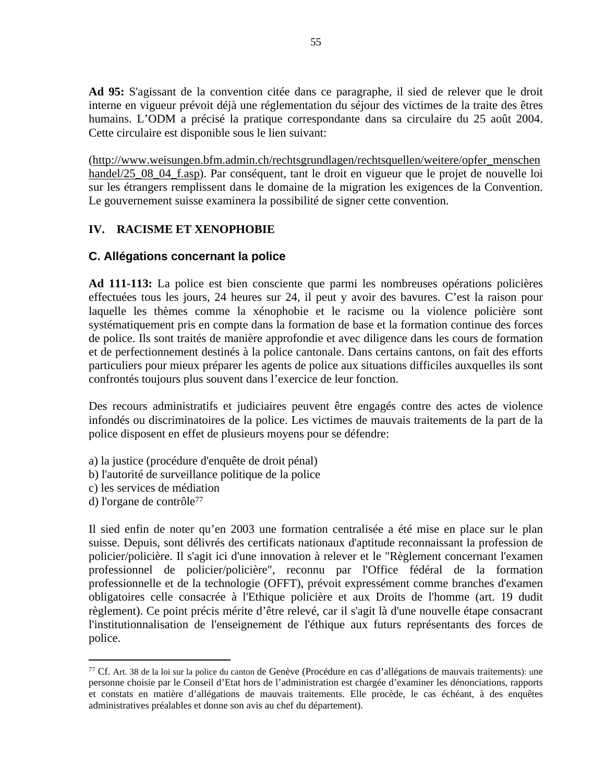**Ad 95:** S'agissant de la convention citée dans ce paragraphe, il sied de relever que le droit interne en vigueur prévoit déjà une réglementation du séjour des victimes de la traite des êtres humains. L'ODM a précisé la pratique correspondante dans sa circulaire du 25 août 2004. Cette circulaire est disponible sous le lien suivant:

([http://www.weisungen.bfm.admin.ch/rechtsgrundlagen/rechtsquellen/weitere/opfer\\_menschen](http://www.weisungen.bfm.admin.ch/rechtsgrundlagen/rechtsquellen/weitere/opfer_menschenhandel/25_08_04_f.asp) [handel/25\\_08\\_04\\_f.asp](http://www.weisungen.bfm.admin.ch/rechtsgrundlagen/rechtsquellen/weitere/opfer_menschenhandel/25_08_04_f.asp)). Par conséquent, tant le droit en vigueur que le projet de nouvelle loi sur les étrangers remplissent dans le domaine de la migration les exigences de la Convention. Le gouvernement suisse examinera la possibilité de signer cette convention.

## **IV. RACISME ET XENOPHOBIE**

## **C. Allégations concernant la police**

**Ad 111-113:** La police est bien consciente que parmi les nombreuses opérations policières effectuées tous les jours, 24 heures sur 24, il peut y avoir des bavures. C'est la raison pour laquelle les thèmes comme la xénophobie et le racisme ou la violence policière sont systématiquement pris en compte dans la formation de base et la formation continue des forces de police. Ils sont traités de manière approfondie et avec diligence dans les cours de formation et de perfectionnement destinés à la police cantonale. Dans certains cantons, on fait des efforts particuliers pour mieux préparer les agents de police aux situations difficiles auxquelles ils sont confrontés toujours plus souvent dans l'exercice de leur fonction.

Des recours administratifs et judiciaires peuvent être engagés contre des actes de violence infondés ou discriminatoires de la police. Les victimes de mauvais traitements de la part de la police disposent en effet de plusieurs moyens pour se défendre:

- a) la justice (procédure d'enquête de droit pénal)
- b) l'autorité de surveillance politique de la police
- c) les services de médiation
- d) l'organe de contrôle<sup>77</sup>

Il sied enfin de noter qu'en 2003 une formation centralisée a été mise en place sur le plan suisse. Depuis, sont délivrés des certificats nationaux d'aptitude reconnaissant la profession de policier/policière. Il s'agit ici d'une innovation à relever et le "Règlement concernant l'examen professionnel de policier/policière", reconnu par l'Office fédéral de la formation professionnelle et de la technologie (OFFT), prévoit expressément comme branches d'examen obligatoires celle consacrée à l'Ethique policière et aux Droits de l'homme (art. 19 dudit règlement). Ce point précis mérite d'être relevé, car il s'agit là d'une nouvelle étape consacrant l'institutionnalisation de l'enseignement de l'éthique aux futurs représentants des forces de police.

<sup>77</sup> Cf. Art. 38 de la loi sur la police du canton [de Genève \(Procédure en cas d'allégations de mauvais traitements](Art.%2039%20Polizeigesetz%20Genf.doc)): une personne choisie par le Conseil d'Etat hors de l'administration est chargée d'examiner les dénonciations, rapports et constats en matière d'allégations de mauvais traitements. Elle procède, le cas échéant, à des enquêtes administratives préalables et donne son avis au chef du département).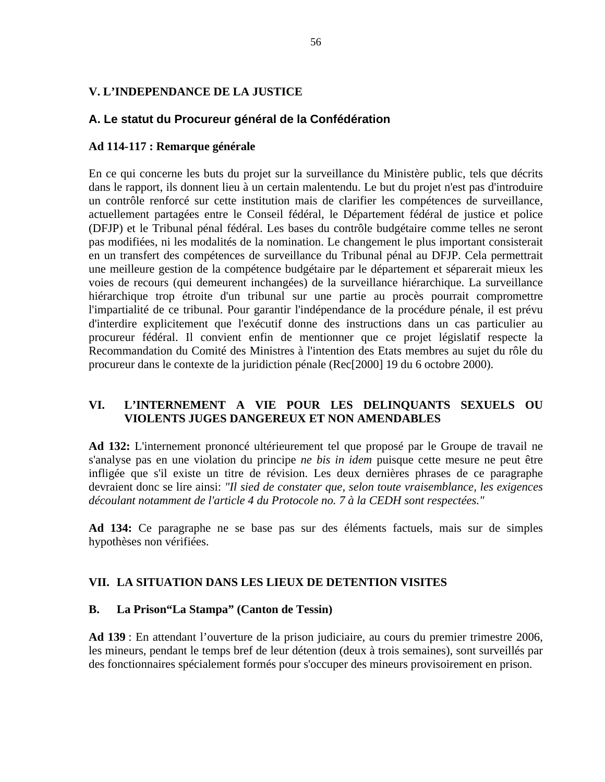#### **V. L'INDEPENDANCE DE LA JUSTICE**

## **A. Le statut du Procureur général de la Confédération**

#### **Ad 114-117 : Remarque générale**

En ce qui concerne les buts du projet sur la surveillance du Ministère public, tels que décrits dans le rapport, ils donnent lieu à un certain malentendu. Le but du projet n'est pas d'introduire un contrôle renforcé sur cette institution mais de clarifier les compétences de surveillance, actuellement partagées entre le Conseil fédéral, le Département fédéral de justice et police (DFJP) et le Tribunal pénal fédéral. Les bases du contrôle budgétaire comme telles ne seront pas modifiées, ni les modalités de la nomination. Le changement le plus important consisterait en un transfert des compétences de surveillance du Tribunal pénal au DFJP. Cela permettrait une meilleure gestion de la compétence budgétaire par le département et séparerait mieux les voies de recours (qui demeurent inchangées) de la surveillance hiérarchique. La surveillance hiérarchique trop étroite d'un tribunal sur une partie au procès pourrait compromettre l'impartialité de ce tribunal. Pour garantir l'indépendance de la procédure pénale, il est prévu d'interdire explicitement que l'exécutif donne des instructions dans un cas particulier au procureur fédéral. Il convient enfin de mentionner que ce projet législatif respecte la Recommandation du Comité des Ministres à l'intention des Etats membres au sujet du rôle du procureur dans le contexte de la juridiction pénale (Rec[2000] 19 du 6 octobre 2000).

#### **VI. L'INTERNEMENT A VIE POUR LES DELINQUANTS SEXUELS OU VIOLENTS JUGES DANGEREUX ET NON AMENDABLES**

**Ad 132:** L'internement prononcé ultérieurement tel que proposé par le Groupe de travail ne s'analyse pas en une violation du principe *ne bis in idem* puisque cette mesure ne peut être infligée que s'il existe un titre de révision. Les deux dernières phrases de ce paragraphe devraient donc se lire ainsi: *"Il sied de constater que, selon toute vraisemblance, les exigences découlant notamment de l'article 4 du Protocole no. 7 à la CEDH sont respectées."*

**Ad 134:** Ce paragraphe ne se base pas sur des éléments factuels, mais sur de simples hypothèses non vérifiées.

#### **VII. LA SITUATION DANS LES LIEUX DE DETENTION VISITES**

#### **B. La Prison"La Stampa" (Canton de Tessin)**

**Ad 139** : En attendant l'ouverture de la prison judiciaire, au cours du premier trimestre 2006, les mineurs, pendant le temps bref de leur détention (deux à trois semaines), sont surveillés par des fonctionnaires spécialement formés pour s'occuper des mineurs provisoirement en prison.